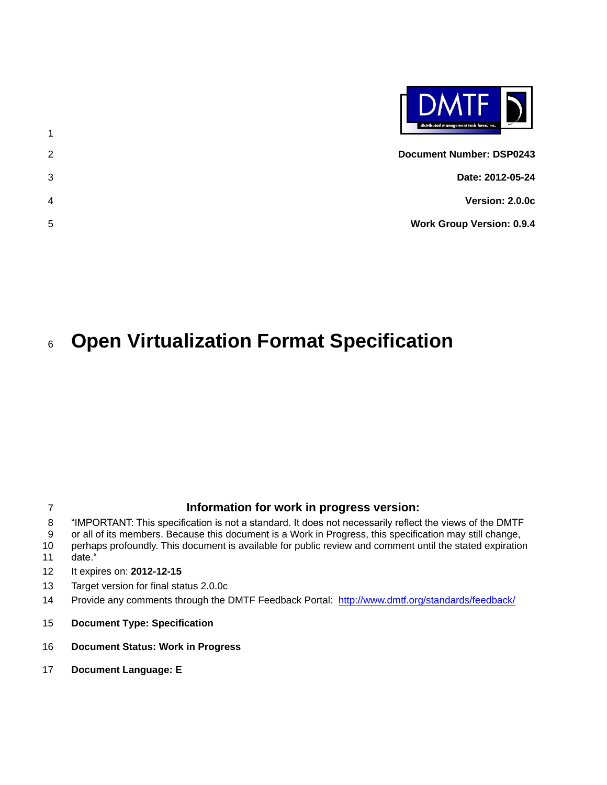

| 1                                     |
|---------------------------------------|
| <b>Document Number: DSP0243</b><br>2  |
| 3<br>Date: 2012-05-24                 |
| Version: 2.0.0c<br>$\overline{4}$     |
| <b>Work Group Version: 0.9.4</b><br>5 |

### **Information for work in progress version:**

- "IMPORTANT: This specification is not a standard. It does not necessarily reflect the views of the DMTF
- or all of its members. Because this document is a Work in Progress, this specification may still change,
- perhaps profoundly. This document is available for public review and comment until the stated expiration
- date."
- It expires on: **2012-12-15**
- Target version for final status 2.0.0c
- 14 Provide any comments through the DMTF Feedback Portal: <http://www.dmtf.org/standards/feedback/>
- **Document Type: Specification**
- **Document Status: Work in Progress**
- **Document Language: E**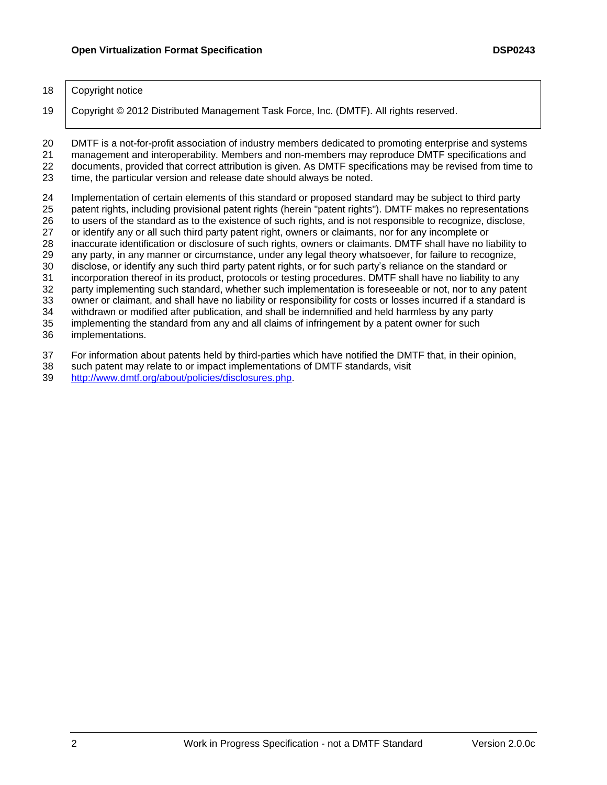18 | Copyright notice

Copyright © 2012 Distributed Management Task Force, Inc. (DMTF). All rights reserved.

 DMTF is a not-for-profit association of industry members dedicated to promoting enterprise and systems management and interoperability. Members and non-members may reproduce DMTF specifications and documents, provided that correct attribution is given. As DMTF specifications may be revised from time to time, the particular version and release date should always be noted.

Implementation of certain elements of this standard or proposed standard may be subject to third party

patent rights, including provisional patent rights (herein "patent rights"). DMTF makes no representations

 to users of the standard as to the existence of such rights, and is not responsible to recognize, disclose, or identify any or all such third party patent right, owners or claimants, nor for any incomplete or

inaccurate identification or disclosure of such rights, owners or claimants. DMTF shall have no liability to

any party, in any manner or circumstance, under any legal theory whatsoever, for failure to recognize,

disclose, or identify any such third party patent rights, or for such party's reliance on the standard or

incorporation thereof in its product, protocols or testing procedures. DMTF shall have no liability to any

party implementing such standard, whether such implementation is foreseeable or not, nor to any patent

owner or claimant, and shall have no liability or responsibility for costs or losses incurred if a standard is

withdrawn or modified after publication, and shall be indemnified and held harmless by any party

implementing the standard from any and all claims of infringement by a patent owner for such

implementations.

For information about patents held by third-parties which have notified the DMTF that, in their opinion,

- such patent may relate to or impact implementations of DMTF standards, visit
- [http://www.dmtf.org/about/policies/disclosures.php.](http://www.dmtf.org/about/policies/disclosures.php)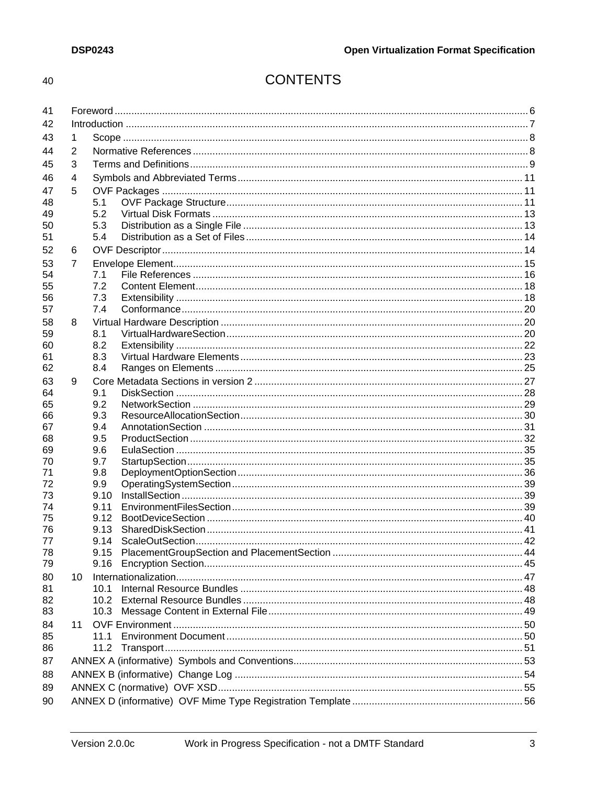#### 40

# **CONTENTS**

| 41 |                |            |  |  |  |
|----|----------------|------------|--|--|--|
| 42 |                |            |  |  |  |
| 43 | 1              |            |  |  |  |
| 44 | 2              |            |  |  |  |
| 45 | 3              |            |  |  |  |
|    |                |            |  |  |  |
| 46 | 4              |            |  |  |  |
| 47 | 5              |            |  |  |  |
| 48 |                | 5.1        |  |  |  |
| 49 |                | 5.2        |  |  |  |
| 50 |                | 5.3<br>5.4 |  |  |  |
| 51 |                |            |  |  |  |
| 52 | 6              |            |  |  |  |
| 53 | $\overline{7}$ |            |  |  |  |
| 54 |                | 7.1        |  |  |  |
| 55 |                | 7.2        |  |  |  |
| 56 |                | 7.3        |  |  |  |
| 57 |                | 7.4        |  |  |  |
| 58 | 8              |            |  |  |  |
| 59 |                | 8.1        |  |  |  |
| 60 |                | 8.2        |  |  |  |
| 61 |                | 8.3        |  |  |  |
| 62 |                | 8.4        |  |  |  |
| 63 | 9              |            |  |  |  |
| 64 |                | 9.1        |  |  |  |
| 65 |                | 9.2        |  |  |  |
| 66 |                | 9.3        |  |  |  |
| 67 |                | 9.4        |  |  |  |
| 68 |                | 9.5        |  |  |  |
| 69 |                | 9.6        |  |  |  |
| 70 |                | 9.7        |  |  |  |
| 71 |                | 9.8        |  |  |  |
| 72 |                | 9.9        |  |  |  |
| 73 |                | 9.10       |  |  |  |
| 74 |                | 9.11       |  |  |  |
| 75 |                | 9.12       |  |  |  |
| 76 |                | 9.13       |  |  |  |
| 77 |                | 9.14       |  |  |  |
| 78 |                |            |  |  |  |
| 79 |                | 9.16       |  |  |  |
| 80 | 10             |            |  |  |  |
| 81 |                | 10.1       |  |  |  |
| 82 |                | 10.2       |  |  |  |
| 83 |                | 10.3       |  |  |  |
| 84 | 11             |            |  |  |  |
| 85 |                | 11.1       |  |  |  |
| 86 |                | 11.2       |  |  |  |
| 87 |                |            |  |  |  |
| 88 |                |            |  |  |  |
| 89 |                |            |  |  |  |
|    |                |            |  |  |  |
| 90 |                |            |  |  |  |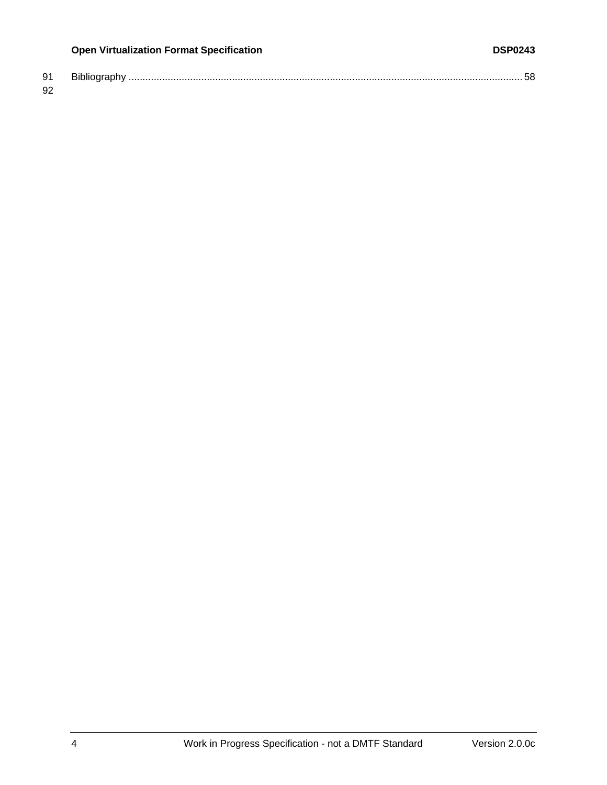|          | <b>Open Virtualization Format Specification</b> | <b>DSP0243</b> |
|----------|-------------------------------------------------|----------------|
| 91<br>92 |                                                 |                |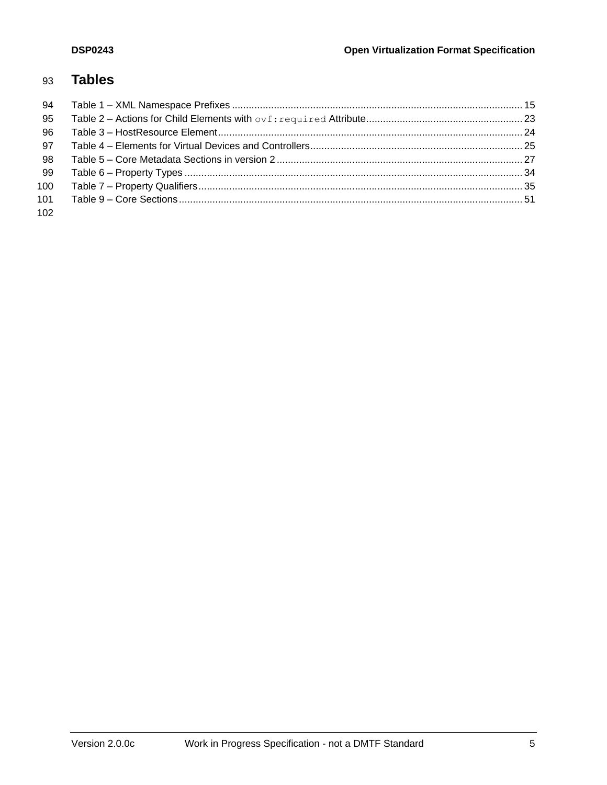## **Tables**

| 94  |  |
|-----|--|
| 95  |  |
| 96  |  |
| 97  |  |
| -98 |  |
| -99 |  |
| 100 |  |
| 101 |  |
| 102 |  |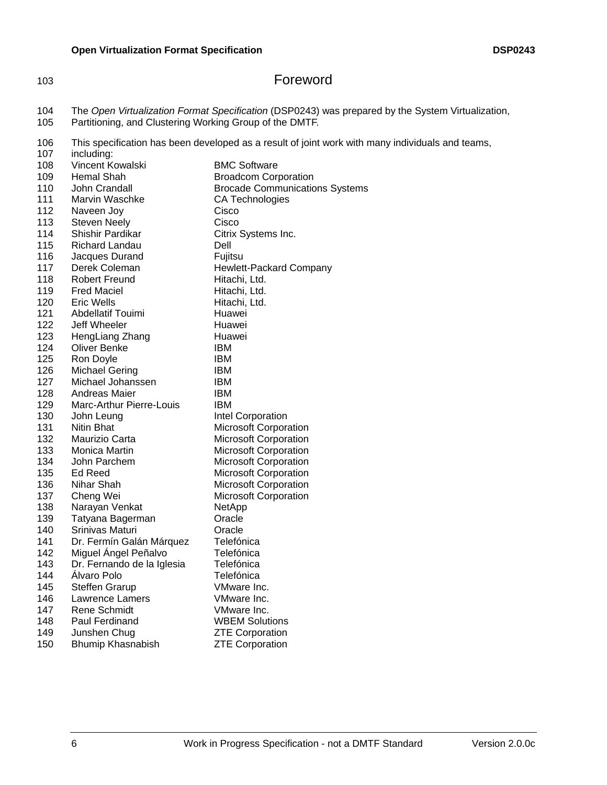| 104 | Th |
|-----|----|
| 105 | Ра |

## <span id="page-5-0"></span>Foreword

The *Open Virtualization Format Specification* (DSP0243) was prepared by the System Virtualization,

- Partitioning, and Clustering Working Group of the DMTF.
- 106 This specification has been developed as a result of joint work with many individuals and teams,<br>107 including:
- including:

| 108 | Vincent Kowalski           | <b>BMC Software</b>                   |
|-----|----------------------------|---------------------------------------|
| 109 | <b>Hemal Shah</b>          | <b>Broadcom Corporation</b>           |
| 110 | John Crandall              | <b>Brocade Communications Systems</b> |
| 111 | Marvin Waschke             | <b>CA Technologies</b>                |
| 112 | Naveen Joy                 | Cisco                                 |
| 113 | <b>Steven Neely</b>        | Cisco                                 |
| 114 | Shishir Pardikar           | Citrix Systems Inc.                   |
| 115 | Richard Landau             | Dell                                  |
| 116 | Jacques Durand             | Fujitsu                               |
| 117 | Derek Coleman              | Hewlett-Packard Company               |
| 118 | Robert Freund              | Hitachi, Ltd.                         |
| 119 | <b>Fred Maciel</b>         | Hitachi, Ltd.                         |
| 120 | Eric Wells                 | Hitachi, Ltd.                         |
| 121 | Abdellatif Touimi          | Huawei                                |
| 122 | Jeff Wheeler               | Huawei                                |
| 123 | HengLiang Zhang            | Huawei                                |
| 124 | Oliver Benke               | IBM                                   |
| 125 | Ron Doyle                  | IBM                                   |
| 126 | <b>Michael Gering</b>      | <b>IBM</b>                            |
| 127 | Michael Johanssen          | IBM                                   |
| 128 | Andreas Maier              | IBM                                   |
| 129 | Marc-Arthur Pierre-Louis   | IBM                                   |
| 130 | John Leung                 | Intel Corporation                     |
| 131 | <b>Nitin Bhat</b>          | <b>Microsoft Corporation</b>          |
| 132 | Maurizio Carta             | <b>Microsoft Corporation</b>          |
| 133 | Monica Martin              | <b>Microsoft Corporation</b>          |
| 134 | John Parchem               | <b>Microsoft Corporation</b>          |
| 135 | Ed Reed                    | <b>Microsoft Corporation</b>          |
| 136 | Nihar Shah                 | <b>Microsoft Corporation</b>          |
| 137 | Cheng Wei                  | <b>Microsoft Corporation</b>          |
| 138 | Narayan Venkat             | NetApp                                |
| 139 | Tatyana Bagerman           | Oracle                                |
| 140 | Srinivas Maturi            | Oracle                                |
| 141 | Dr. Fermín Galán Márquez   | Telefónica                            |
| 142 | Miguel Ángel Peñalvo       | Telefónica                            |
| 143 | Dr. Fernando de la Iglesia | Telefónica                            |
| 144 | Alvaro Polo                | Telefónica                            |
| 145 | <b>Steffen Grarup</b>      | VMware Inc.                           |
| 146 | Lawrence Lamers            | VMware Inc.                           |
| 147 | Rene Schmidt               | VMware Inc.                           |
| 148 | Paul Ferdinand             | <b>WBEM Solutions</b>                 |
| 149 | Junshen Chug               | <b>ZTE Corporation</b>                |
| 150 | Bhumip Khasnabish          | <b>ZTE Corporation</b>                |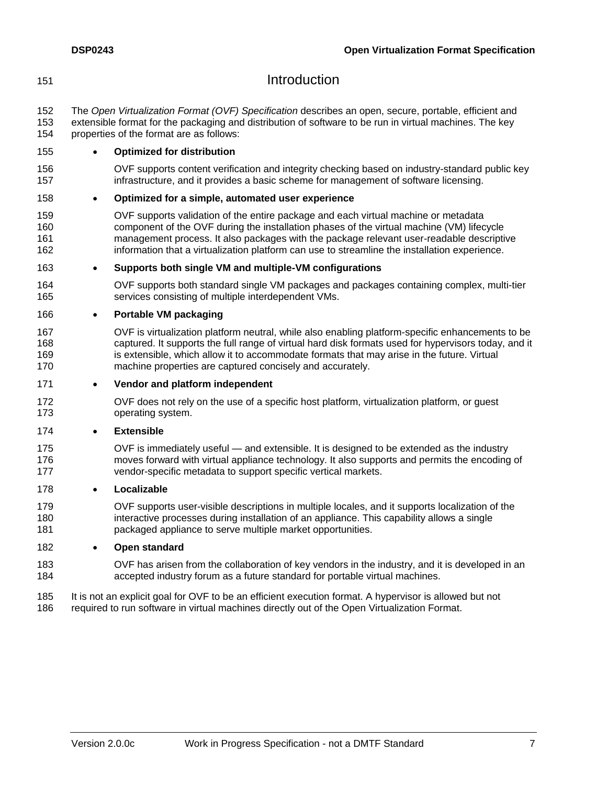## <span id="page-6-0"></span>**Introduction**

 The *Open Virtualization Format (OVF) Specification* describes an open, secure, portable, efficient and extensible format for the packaging and distribution of software to be run in virtual machines. The key properties of the format are as follows:

#### **Optimized for distribution**

 OVF supports content verification and integrity checking based on industry-standard public key infrastructure, and it provides a basic scheme for management of software licensing.

#### **Optimized for a simple, automated user experience**

 OVF supports validation of the entire package and each virtual machine or metadata component of the OVF during the installation phases of the virtual machine (VM) lifecycle management process. It also packages with the package relevant user-readable descriptive information that a virtualization platform can use to streamline the installation experience.

#### **Supports both single VM and multiple-VM configurations**

 OVF supports both standard single VM packages and packages containing complex, multi-tier services consisting of multiple interdependent VMs.

#### **Portable VM packaging**

- OVF is virtualization platform neutral, while also enabling platform-specific enhancements to be captured. It supports the full range of virtual hard disk formats used for hypervisors today, and it is extensible, which allow it to accommodate formats that may arise in the future. Virtual machine properties are captured concisely and accurately.
- **Vendor and platform independent**
- OVF does not rely on the use of a specific host platform, virtualization platform, or guest operating system.

#### **Extensible**

 OVF is immediately useful — and extensible. It is designed to be extended as the industry moves forward with virtual appliance technology. It also supports and permits the encoding of vendor-specific metadata to support specific vertical markets.

#### **Localizable**

 OVF supports user-visible descriptions in multiple locales, and it supports localization of the interactive processes during installation of an appliance. This capability allows a single packaged appliance to serve multiple market opportunities.

#### **Open standard**

- OVF has arisen from the collaboration of key vendors in the industry, and it is developed in an accepted industry forum as a future standard for portable virtual machines.
- It is not an explicit goal for OVF to be an efficient execution format. A hypervisor is allowed but not required to run software in virtual machines directly out of the Open Virtualization Format.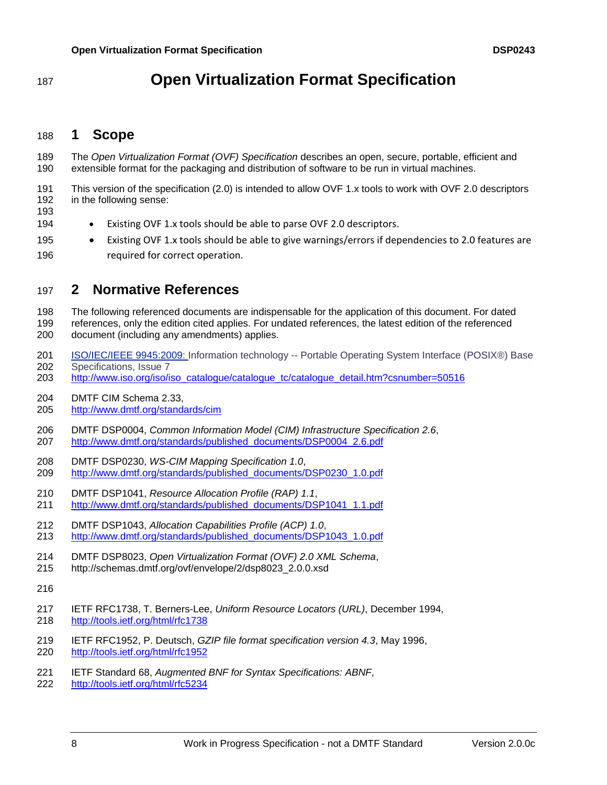### <span id="page-7-0"></span>**1 Scope**

 The *Open Virtualization Format (OVF) Specification* describes an open, secure, portable, efficient and extensible format for the packaging and distribution of software to be run in virtual machines.

 This version of the specification (2.0) is intended to allow OVF 1.x tools to work with OVF 2.0 descriptors in the following sense:

194 • Existing OVF 1.x tools should be able to parse OVF 2.0 descriptors.

195 • Existing OVF 1.x tools should be able to give warnings/errors if dependencies to 2.0 features are 196 required for correct operation.

## <span id="page-7-1"></span>**2 Normative References**

 The following referenced documents are indispensable for the application of this document. For dated references, only the edition cited applies. For undated references, the latest edition of the referenced document (including any amendments) applies.

- ISO/IEC/IEEE 9945:2009: Information technology -- Portable Operating System Interface (POSIX®) Base
- Specifications, Issue 7
- [http://www.iso.org/iso/iso\\_catalogue/catalogue\\_tc/catalogue\\_detail.htm?csnumber=50516](http://www.iso.org/iso/iso_catalogue/catalogue_tc/catalogue_detail.htm?csnumber=50516)
- <span id="page-7-6"></span> DMTF CIM Schema 2.33, <http://www.dmtf.org/standards/cim>
- DMTF DSP0004, *Common Information Model (CIM) Infrastructure Specification 2.6*, [http://www.dmtf.org/standards/published\\_documents/DSP0004\\_2.6.pdf](http://www.dmtf.org/standards/published_documents/DSP0004_2.6.pdf)
- <span id="page-7-4"></span> DMTF DSP0230, *WS-CIM Mapping Specification 1.0*, [http://www.dmtf.org/standards/published\\_documents/DSP0230\\_1.0.pdf](http://www.dmtf.org/standards/published_documents/DSP0230_1.0.pdf)
- <span id="page-7-5"></span> DMTF DSP1041, *Resource Allocation Profile (RAP) 1.1*, [http://www.dmtf.org/standards/published\\_documents/DSP1041\\_1.1.pdf](http://www.dmtf.org/standards/published_documents/DSP1041_1.1.pdf)
- DMTF DSP1043, *Allocation Capabilities Profile (ACP) 1.0*, [http://www.dmtf.org/standards/published\\_documents/DSP1043\\_1.0.pdf](http://www.dmtf.org/standards/published_documents/DSP1043_1.0.pdf)
- DMTF DSP8023, *Open Virtualization Format (OVF) 2.0 XML Schema*,
- http://schemas.dmtf.org/ovf/envelope/2/dsp8023\_2.0.0.xsd
- 
- <span id="page-7-2"></span> IETF RFC1738, T. Berners-Lee, *Uniform Resource Locators (URL)*, December 1994, <http://tools.ietf.org/html/rfc1738>
- <span id="page-7-3"></span> IETF RFC1952, P. Deutsch, *GZIP file format specification version 4.3*, May 1996, <http://tools.ietf.org/html/rfc1952>
- IETF Standard 68, *Augmented BNF for Syntax Specifications: ABNF*,
- <http://tools.ietf.org/html/rfc5234>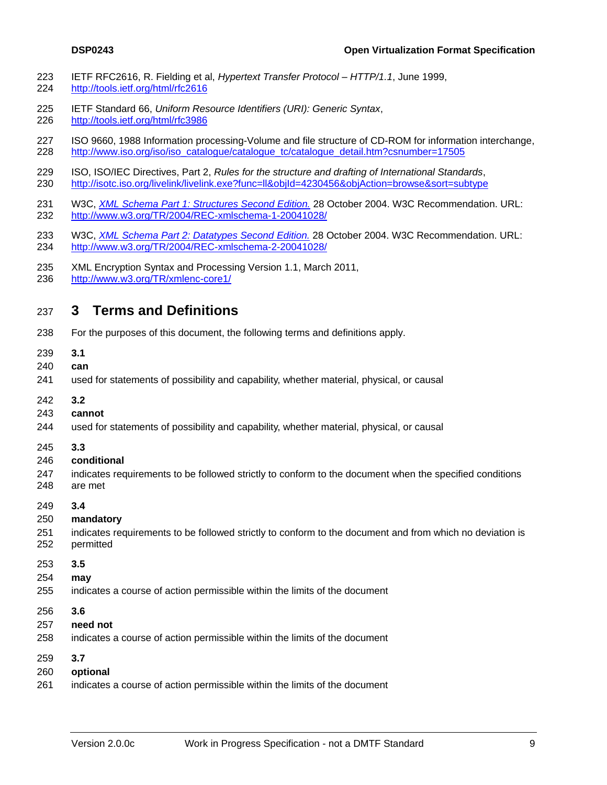- <span id="page-8-2"></span> IETF RFC2616, R. Fielding et al, *Hypertext Transfer Protocol – HTTP/1.1*, June 1999, <http://tools.ietf.org/html/rfc2616>
- <span id="page-8-1"></span> IETF Standard 66, *Uniform Resource Identifiers (URI): Generic Syntax*, <http://tools.ietf.org/html/rfc3986>
- ISO 9660, 1988 Information processing-Volume and file structure of CD-ROM for information interchange, [http://www.iso.org/iso/iso\\_catalogue/catalogue\\_tc/catalogue\\_detail.htm?csnumber=17505](http://www.iso.org/iso/iso_catalogue/catalogue_tc/catalogue_detail.htm?csnumber=17505)
- ISO, ISO/IEC Directives, Part 2, *Rules for the structure and drafting of International Standards*, <http://isotc.iso.org/livelink/livelink.exe?func=ll&objId=4230456&objAction=browse&sort=subtype>
- W3C, *[XML Schema Part 1: Structures Second Edition.](http://www.w3.org/TR/2004/REC-xmlschema-1-20041028/)* 28 October 2004. W3C Recommendation. URL: <http://www.w3.org/TR/2004/REC-xmlschema-1-20041028/>
- W3C, *[XML Schema Part 2: Datatypes Second Edition.](http://www.w3.org/TR/2004/REC-xmlschema-2-20041028/)* 28 October 2004. W3C Recommendation. URL: <http://www.w3.org/TR/2004/REC-xmlschema-2-20041028/>
- XML Encryption Syntax and Processing Version 1.1, March 2011,
- <span id="page-8-0"></span><http://www.w3.org/TR/xmlenc-core1/>

## **3 Terms and Definitions**

- For the purposes of this document, the following terms and definitions apply.
- **3.1**
- **can**
- used for statements of possibility and capability, whether material, physical, or causal
- **3.2**
- **cannot**
- used for statements of possibility and capability, whether material, physical, or causal
- **3.3**
- **conditional**
- indicates requirements to be followed strictly to conform to the document when the specified conditions are met
- **3.4**
- **mandatory**
- indicates requirements to be followed strictly to conform to the document and from which no deviation is permitted
- **3.5**
- **may**
- indicates a course of action permissible within the limits of the document
- **3.6**
- **need not**
- indicates a course of action permissible within the limits of the document
- **3.7**
- **optional**
- indicates a course of action permissible within the limits of the document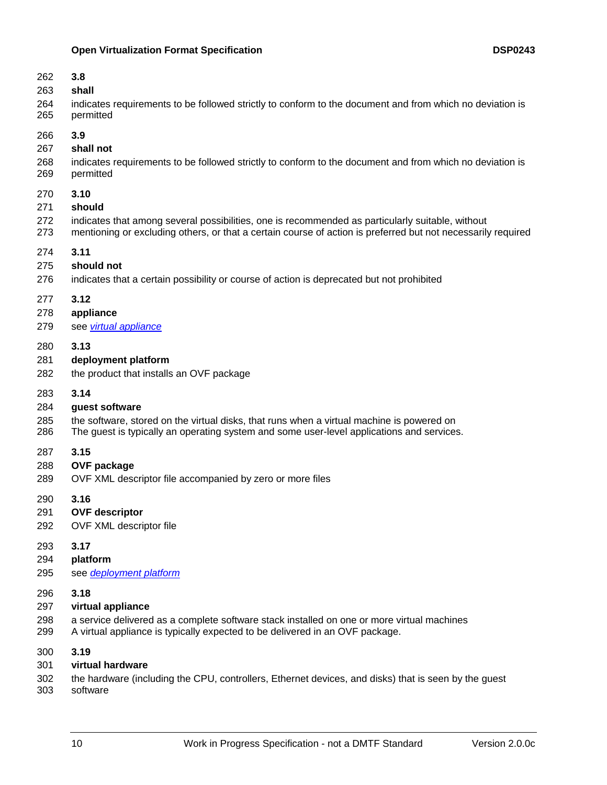<span id="page-9-0"></span>

| 262<br>263<br>264<br>265 | 3.8<br>shall<br>indicates requirements to be followed strictly to conform to the document and from which no deviation is<br>permitted                                                                                              |
|--------------------------|------------------------------------------------------------------------------------------------------------------------------------------------------------------------------------------------------------------------------------|
| 266<br>267<br>268<br>269 | 3.9<br>shall not<br>indicates requirements to be followed strictly to conform to the document and from which no deviation is<br>permitted                                                                                          |
| 270<br>271<br>272<br>273 | 3.10<br>should<br>indicates that among several possibilities, one is recommended as particularly suitable, without<br>mentioning or excluding others, or that a certain course of action is preferred but not necessarily required |
| 274<br>275<br>276        | 3.11<br>should not<br>indicates that a certain possibility or course of action is deprecated but not prohibited                                                                                                                    |
| 277<br>278<br>279        | 3.12<br>appliance<br>see virtual appliance                                                                                                                                                                                         |
| 280<br>281<br>282        | 3.13<br>deployment platform<br>the product that installs an OVF package                                                                                                                                                            |
| 283<br>284<br>285<br>286 | 3.14<br>guest software<br>the software, stored on the virtual disks, that runs when a virtual machine is powered on<br>The guest is typically an operating system and some user-level applications and services.                   |
| 287<br>288<br>289        | 3.15<br>OVF package<br>OVF XML descriptor file accompanied by zero or more files                                                                                                                                                   |
| 290<br>291<br>292        | 3.16<br><b>OVF descriptor</b><br>OVF XML descriptor file                                                                                                                                                                           |
| 293<br>294<br>295        | 3.17<br>platform<br>see deployment platform                                                                                                                                                                                        |
| 296<br>297<br>298<br>299 | 3.18<br>virtual appliance<br>a service delivered as a complete software stack installed on one or more virtual machines<br>A virtual appliance is typically expected to be delivered in an OVF package.                            |
| 300<br>301               | 3.19<br>virtual hardware                                                                                                                                                                                                           |

software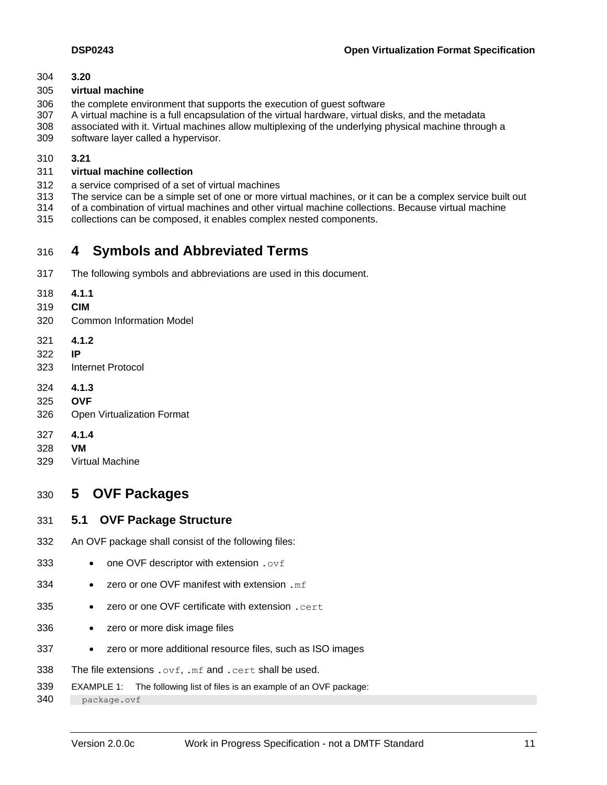**3.20**

#### <span id="page-10-3"></span>**virtual machine**

- the complete environment that supports the execution of guest software
- A virtual machine is a full encapsulation of the virtual hardware, virtual disks, and the metadata
- associated with it. Virtual machines allow multiplexing of the underlying physical machine through a
- software layer called a hypervisor.
- **3.21**

#### **virtual machine collection**

- a service comprised of a set of virtual machines
- The service can be a simple set of one or more virtual machines, or it can be a complex service built out
- of a combination of virtual machines and other virtual machine collections. Because virtual machine
- <span id="page-10-0"></span>collections can be composed, it enables complex nested components.

## **4 Symbols and Abbreviated Terms**

- The following symbols and abbreviations are used in this document.
- **4.1.1**
- **CIM**
- Common Information Model
- **4.1.2**
- **IP**
- Internet Protocol
- **4.1.3**
- **OVF**
- Open Virtualization Format
- **4.1.4**
- **VM**
- <span id="page-10-1"></span>Virtual Machine

## **5 OVF Packages**

### <span id="page-10-2"></span>**5.1 OVF Package Structure**

- An OVF package shall consist of the following files:
- **•** one OVF descriptor with extension . ovf
- **•** zero or one OVF manifest with extension . mf
- **•** zero or one OVF certificate with extension .cert
- 336 zero or more disk image files
- 337 zero or more additional resource files, such as ISO images
- 338 The file extensions .ovf. .mf and .cert shall be used.
- EXAMPLE 1: The following list of files is an example of an OVF package:
- package.ovf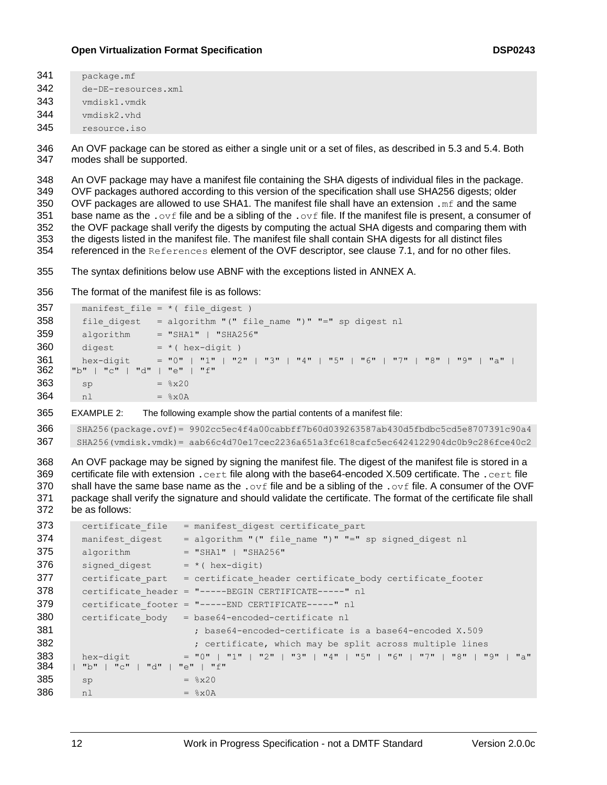| 341  | package.mf              |
|------|-------------------------|
| 342. | de-DE-resources.xml     |
| つイつ  | والمسوور الوالم فالمسوو |

 vmdisk1.vmdk vmdisk2.vhd

resource.iso

 An OVF package can be stored as either a single unit or a set of files, as described in [5.3](#page-12-1) and [5.4.](#page-13-0) Both modes shall be supported.

 An OVF package may have a manifest file containing the SHA digests of individual files in the package. OVF packages authored according to this version of the specification shall use SHA256 digests; older OVF packages are allowed to use SHA1. The manifest file shall have an extension .mf and the same 351 base name as the . ovf file and be a sibling of the . ovf file. If the manifest file is present, a consumer of the OVF package shall verify the digests by computing the actual SHA digests and comparing them with the digests listed in the manifest file. The manifest file shall contain SHA digests for all distinct files referenced in the References element of the OVF descriptor, see clause [7.1,](#page-15-0) and for no other files.

The syntax definitions below use ABNF with the exceptions listed in [ANNEX A.](#page-52-0)

The format of the manifest file is as follows:

```
357 manifest file = *( file digest)
358 file digest = algorithm "(" file name ")" "=" sp digest nl
359 algorithm = "SHA1" | "SHA256"
360 digest = *( hex-digit )
361 hex-digit = "0" | "1" | "2" | "3" | "4" | "5" | "6" | "7" | "8" | "9" | "a" | 
      362 "b" | "c" | "d" | "e" | "f" 
363 sp = \frac{8x20}{9}364 nl = 8 \times 0A365 EXAMPLE 2: The following example show the partial contents of a manifest file:
366 SHA256(package.ovf)= 9902cc5ec4f4a00cabbff7b60d039263587ab430d5fbdbc5cd5e8707391c90a4
```
SHA256(vmdisk.vmdk)= aab66c4d70e17cec2236a651a3fc618cafc5ec6424122904dc0b9c286fce40c2

 An OVF package may be signed by signing the manifest file. The digest of the manifest file is stored in a 369 certificate file with extension . cert file along with the base64-encoded X.509 certificate. The . cert file 370 shall have the same base name as the . ovf file and be a sibling of the . ovf file. A consumer of the OVF package shall verify the signature and should validate the certificate. The format of the certificate file shall be as follows:

```
373 certificate file = manifest digest certificate part
374 manifest digest = algorithm "(" file name ")" "=" sp signed digest nl
375 algorithm = "SHA1" | "SHA256"
376 signed digest = *( hex-digit)
377 certificate part = certificate header certificate body certificate footer
378 certificate header = "-----BEGIN CERTIFICATE-----" nl
379 certificate footer = "-----END CERTIFICATE-----" nl
380 certificate body = base64-encoded-certificate nl
381 ; base64-encoded-certificate is a base64-encoded X.509
382 ; certificate, which may be split across multiple lines
383 hex-digit = "0" | "1" | "2" | "3" | "4" | "5" | "6" | "7" | "8" | "9" | "a"
384 | "b" | "c" | "d" | "e" | "f" 
385 sp = \frac{6}{3}x20386 n \cdot 1 = \frac{1}{6} \times 0A
```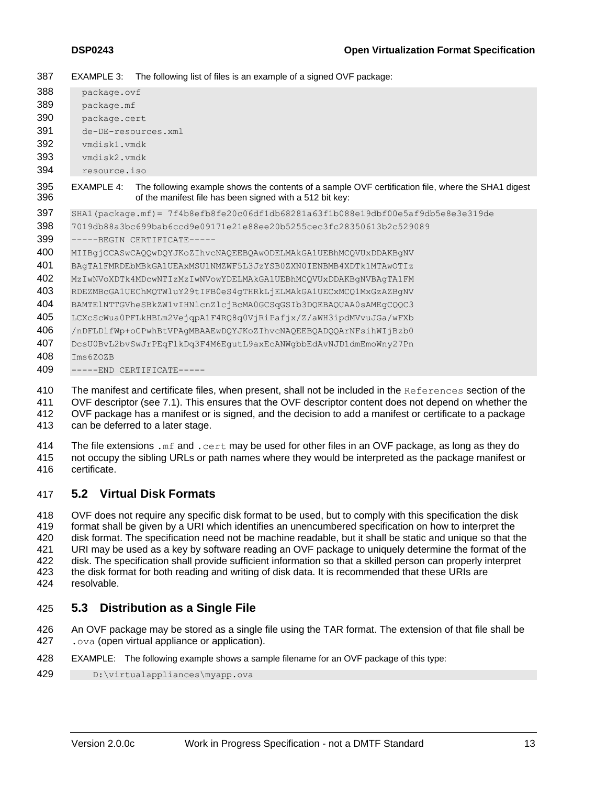EXAMPLE 3: The following list of files is an example of a signed OVF package:

| 388        | package.ovf                                                                                                                                                                  |  |
|------------|------------------------------------------------------------------------------------------------------------------------------------------------------------------------------|--|
| 389        | package.mf                                                                                                                                                                   |  |
| 390        | package.cert                                                                                                                                                                 |  |
| 391        | de-DE-resources.xml                                                                                                                                                          |  |
| 392        | ymdisk1.ymdk                                                                                                                                                                 |  |
| 393        | ymdisk2.ymdk                                                                                                                                                                 |  |
| 394        | resource.iso                                                                                                                                                                 |  |
| 395<br>396 | The following example shows the contents of a sample OVF certification file, where the SHA1 digest<br>EXAMPLE 4:<br>of the manifest file has been signed with a 512 bit key: |  |
| 397        | SHA1(package.mf)= 7f4b8efb8fe20c06df1db68281a63f1b088e19dbf00e5af9db5e8e3e319de                                                                                              |  |
| 398        | 7019db88a3bc699bab6ccd9e09171e21e88ee20b5255cec3fc28350613b2c529089                                                                                                          |  |
| 399        | -----BEGIN CERTIFICATE-----                                                                                                                                                  |  |
| 400        | MIIBgjCCASwCAQQwDQYJKoZIhvcNAQEEBQAwODELMAkGA1UEBhMCQVUxDDAKBgNV                                                                                                             |  |
| 401        | BAGTA1FMRDEbMBkGA1UEAxMSU1NMZWF5L3JzYSB0ZXN0IENBMB4XDTk1MTAwOTIz                                                                                                             |  |
| 402        | MzIwNVoXDTk4MDcwNTIzMzIwNVowYDELMAkGA1UEBhMCOVUxDDAKBqNVBAqTA1FM                                                                                                             |  |
| 403        | RDEZMBcGA1UEChMOTWluY29tIFB0eS4qTHRkLjELMAkGA1UECxMCO1MxGzAZBqNV                                                                                                             |  |
| 404        | BAMTElNTTGVheSBkZW1vIHNlcnZlcjBcMA0GCSqGSIb3DQEBAQUAA0sAMEgCQQC3                                                                                                             |  |
| 405        | LCXcScWua0PFLkHBLm2VejqpA1F4RQ8q0VjRiPafjx/Z/aWH3ipdMVvuJGa/wFXb                                                                                                             |  |
| 406        | /nDFLD1fWp+oCPwhBtVPAgMBAAEwDQYJKoZIhvcNAQEEBQADQQArNFsihWIjBzb0                                                                                                             |  |
| 407        | DcsU0BvL2bvSwJrPEqFlkDq3F4M6EqutL9axEcANWqbbEdAvNJD1dmEmoWny27Pn                                                                                                             |  |
| 408        | Ims6ZOZB                                                                                                                                                                     |  |
| 409        | -----END CERTIFICATE-----                                                                                                                                                    |  |

 The manifest and certificate files, when present, shall not be included in the References section of the OVF descriptor (see [7.1\)](#page-15-0). This ensures that the OVF descriptor content does not depend on whether the OVF package has a manifest or is signed, and the decision to add a manifest or certificate to a package

can be deferred to a later stage.

 The file extensions .mf and .cert may be used for other files in an OVF package, as long as they do not occupy the sibling URLs or path names where they would be interpreted as the package manifest or certificate.

#### <span id="page-12-0"></span>**5.2 Virtual Disk Formats**

 OVF does not require any specific disk format to be used, but to comply with this specification the disk format shall be given by a URI which identifies an unencumbered specification on how to interpret the disk format. The specification need not be machine readable, but it shall be static and unique so that the URI may be used as a key by software reading an OVF package to uniquely determine the format of the disk. The specification shall provide sufficient information so that a skilled person can properly interpret 423 the disk format for both reading and writing of disk data. It is recommended that these URIs are resolvable.

#### <span id="page-12-1"></span>**5.3 Distribution as a Single File**

 An OVF package may be stored as a single file using the TAR format. The extension of that file shall be 427 . ova (open virtual appliance or application).

EXAMPLE: The following example shows a sample filename for an OVF package of this type:

D:\virtualappliances\myapp.ova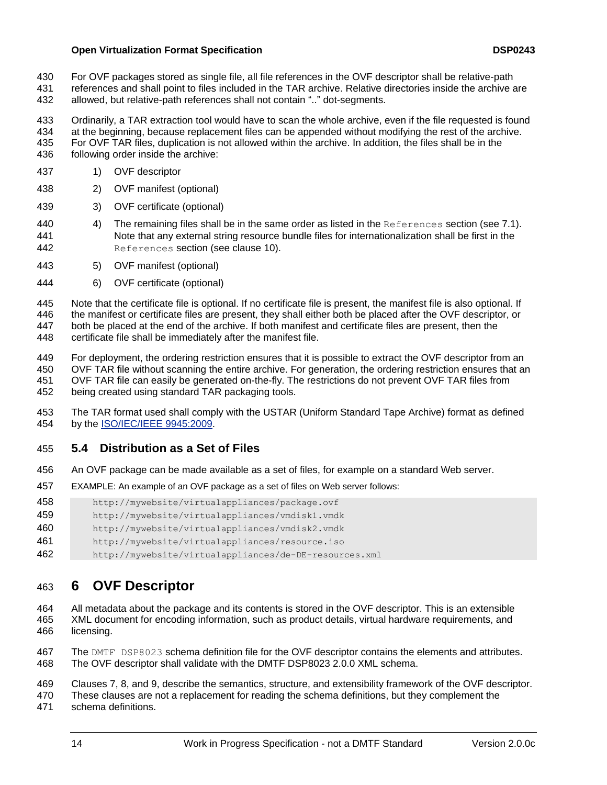- For OVF packages stored as single file, all file references in the OVF descriptor shall be relative-path
- references and shall point to files included in the TAR archive. Relative directories inside the archive are allowed, but relative-path references shall not contain ".." dot-segments.
- Ordinarily, a TAR extraction tool would have to scan the whole archive, even if the file requested is found
- at the beginning, because replacement files can be appended without modifying the rest of the archive. For OVF TAR files, duplication is not allowed within the archive. In addition, the files shall be in the
- following order inside the archive:
- 1) OVF descriptor
- 2) OVF manifest (optional)
- 3) OVF certificate (optional)
- 440 49 The remaining files shall be in the same order as listed in the References section (see [7.1\)](#page-15-0). Note that any external string resource bundle files for internationalization shall be first in the References section (see clause [10\)](#page-46-0).
- 5) OVF manifest (optional)
- 6) OVF certificate (optional)

 Note that the certificate file is optional. If no certificate file is present, the manifest file is also optional. If the manifest or certificate files are present, they shall either both be placed after the OVF descriptor, or both be placed at the end of the archive. If both manifest and certificate files are present, then the certificate file shall be immediately after the manifest file.

- For deployment, the ordering restriction ensures that it is possible to extract the OVF descriptor from an OVF TAR file without scanning the entire archive. For generation, the ordering restriction ensures that an
- OVF TAR file can easily be generated on-the-fly. The restrictions do not prevent OVF TAR files from being created using standard TAR packaging tools.
- The TAR format used shall comply with the USTAR (Uniform Standard Tape Archive) format as defined by the ISO/IEC/IEEE 9945:2009.

### <span id="page-13-0"></span>**5.4 Distribution as a Set of Files**

- An OVF package can be made available as a set of files, for example on a standard Web server.
- EXAMPLE: An example of an OVF package as a set of files on Web server follows:
- <http://mywebsite/>virtualappliances/package.ovf
- <http://mywebsite/>virtualappliances/vmdisk1.vmdk
- <http://mywebsite/>virtualappliances/vmdisk2.vmdk
- <http://mywebsite/>virtualappliances/resource.iso
- <span id="page-13-1"></span><http://mywebsite/>virtualappliances/de-DE-resources.xml

## **6 OVF Descriptor**

 All metadata about the package and its contents is stored in the OVF descriptor. This is an extensible XML document for encoding information, such as product details, virtual hardware requirements, and licensing.

- The DMTF DSP8023 schema definition file for the OVF descriptor contains the elements and attributes. The OVF descriptor shall validate with the DMTF DSP8023 2.0.0 XML schema.
- Clauses [7,](#page-14-0) [8,](#page-19-1) and [9,](#page-26-0) describe the semantics, structure, and extensibility framework of the OVF descriptor.
- These clauses are not a replacement for reading the schema definitions, but they complement the
- schema definitions.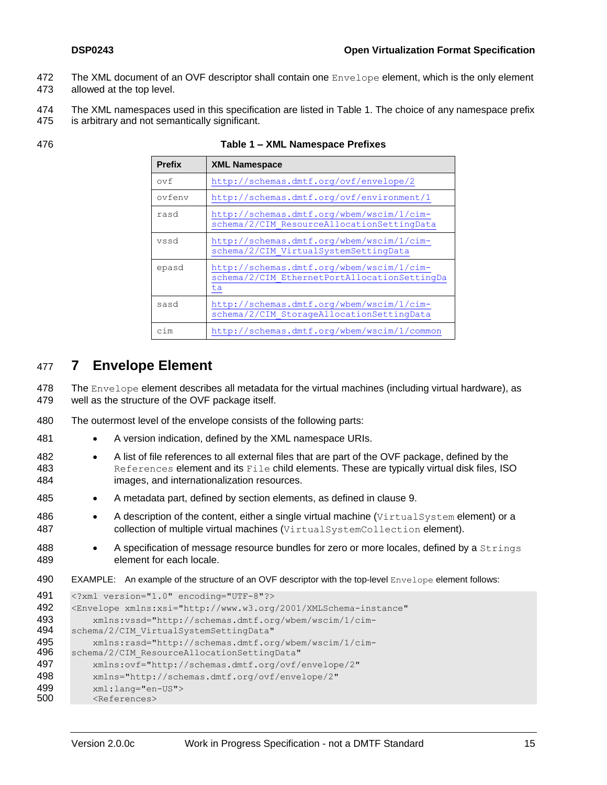- 472 The XML document of an OVF descriptor shall contain one Envelope element, which is the only element 473 allowed at the top level.
- 474 The XML namespaces used in this specification are listed in [Table 1.](#page-14-1) The choice of any namespace prefix
- 475 is arbitrary and not semantically significant.
- <span id="page-14-1"></span>

| <b>Prefix</b> | <b>XML Namespace</b>                                                                            |
|---------------|-------------------------------------------------------------------------------------------------|
| ovf           | http://schemas.dmtf.org/ovf/envelope/2                                                          |
| ovfeny        | http://schemas.dmtf.org/ovf/environment/1                                                       |
| rasd          | http://schemas.dmtf.org/wbem/wscim/1/cim-<br>schema/2/CIM ResourceAllocationSettingData         |
| vssd          | http://schemas.dmtf.org/wbem/wscim/1/cim-<br>schema/2/CIM VirtualSystemSettingData              |
| epasd         | http://schemas.dmtf.org/wbem/wscim/1/cim-<br>schema/2/CIM EthernetPortAllocationSettingDa<br>ta |
| sasd          | http://schemas.dmtf.org/wbem/wscim/1/cim-<br>schema/2/CIM StorageAllocationSettingData          |
| cim           | http://schemas.dmtf.org/wbem/wscim/1/common                                                     |

#### 476 **Table 1 – XML Namespace Prefixes**

## <span id="page-14-0"></span>477 **7 Envelope Element**

478 The Envelope element describes all metadata for the virtual machines (including virtual hardware), as 479 well as the structure of the OVF package itself.

- 480 The outermost level of the envelope consists of the following parts:
- 481 A version indication, defined by the XML namespace URIs.
- 482 A list of file references to all external files that are part of the OVF package, defined by the 483 References element and its File child elements. These are typically virtual disk files, ISO 484 images, and internationalization resources.
- 485 A metadata part, defined by section elements, as defined in clause [9.](#page-26-0)
- 486 A description of the content, either a single virtual machine (VirtualSystem element) or a 487 collection of multiple virtual machines (VirtualSystemCollection element).
- 488 A specification of message resource bundles for zero or more locales, defined by a Strings 489 element for each locale.
- 490 EXAMPLE: An example of the structure of an OVF descriptor with the top-level Envelope element follows:

491 <?xml version="1.0" encoding="UTF-8"?> 492 <Envelope xmlns:xsi="http://www.w3.org/2001/XMLSchema-instance" 493 xmlns:vssd="http://schemas.dmtf.org/wbem/wscim/1/cim-494 schema/2/CIM VirtualSystemSettingData" 495 xmlns:rasd="http://schemas.dmtf.org/wbem/wscim/1/cim-496 schema/2/CIM ResourceAllocationSettingData" 497 xmlns:ovf="http://schemas.dmtf.org/ovf/envelope/2" 498 xmlns="http://schemas.dmtf.org/ovf/envelope/2" 499 xml:lang="en-US"><br>500 <References> <References>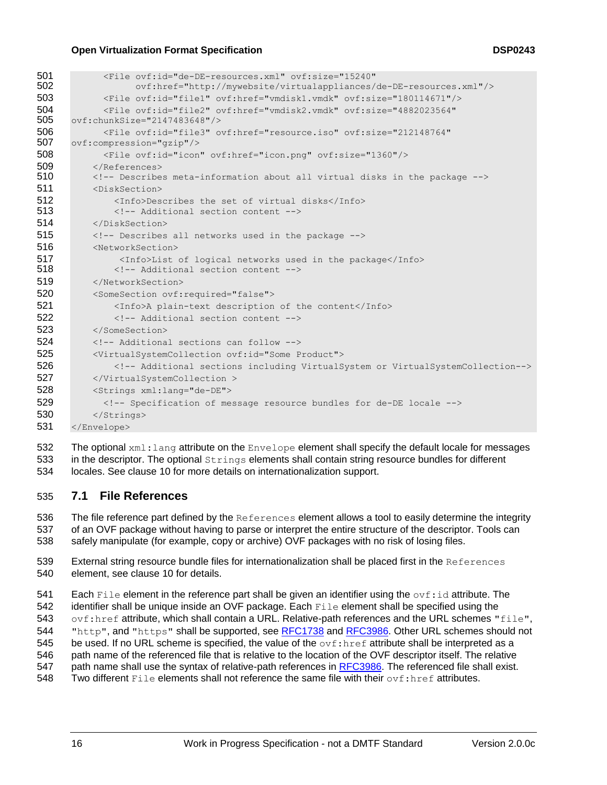```
501 <File ovf:id="de-DE-resources.xml" ovf:size="15240"
502 ovf:href="http://mywebsite/virtualappliances/de-DE-resources.xml"/>
503 <File ovf:id="file1" ovf:href="vmdisk1.vmdk" ovf:size="180114671"/> 
504 <File ovf:id="file2" ovf:href="vmdisk2.vmdk" ovf:size="4882023564" 
505 ovf:chunkSize="2147483648"/>
506 <File ovf:id="file3" ovf:href="resource.iso" ovf:size="212148764"<br>507 ovf:compression="qzip"/>
     507 ovf:compression="gzip"/>
508 <File ovf:id="icon" ovf:href="icon.png" ovf:size="1360"/>
509 </References>
510 <!-- Describes meta-information about all virtual disks in the package -->
511 <DiskSection>
512 <Info>Describes the set of virtual disks</Info><br>513 <!-- Additional section content -->
             513 <!-- Additional section content -->
514 </DiskSection>
515 <!-- Describes all networks used in the package -->
516 <NetworkSection>
517 <Info>List of logical networks used in the package</Info>
518 <!-- Additional section content -->
519 </NetworkSection>
520 <SomeSection ovf:required="false">
521 <Info>A plain-text description of the content</Info>
522 <!-- Additional section content -->
523 </SomeSection>
524 <!-- Additional sections can follow -->
525 <VirtualSystemCollection ovf:id="Some Product">
526 <!-- Additional sections including VirtualSystem or VirtualSystemCollection-->
527 </VirtualSystemCollection >
528 <Strings xml:lang="de-DE">
529 <!-- Specification of message resource bundles for de-DE locale -->
530 </Strings>
```
</Envelope>

532 The optional  $xml:$  lang attribute on the Envelope element shall specify the default locale for messages 533 in the descriptor. The optional  $Strings$  elements shall contain string resource bundles for different

locales. See clause [10](#page-46-0) for more details on internationalization support.

#### <span id="page-15-0"></span>**7.1 File References**

 The file reference part defined by the References element allows a tool to easily determine the integrity of an OVF package without having to parse or interpret the entire structure of the descriptor. Tools can safely manipulate (for example, copy or archive) OVF packages with no risk of losing files.

- External string resource bundle files for internationalization shall be placed first in the References element, see clause [10](#page-46-0) for details.
- 541 Each File element in the reference part shall be given an identifier using the  $ovf$ : id attribute. The identifier shall be unique inside an OVF package. Each File element shall be specified using the 543 ovf:href attribute, which shall contain a URL. Relative-path references and the URL schemes "file", 544 "http", and "https" shall be supported, see [RFC1738](#page-7-2) and [RFC3986.](#page-8-1) Other URL schemes should not 545 be used. If no URL scheme is specified, the value of the  $\text{out}$ : href attribute shall be interpreted as a path name of the referenced file that is relative to the location of the OVF descriptor itself. The relative 547 path name shall use the syntax of relative-path references in [RFC3986.](#page-8-1) The referenced file shall exist. 548 Two different File elements shall not reference the same file with their  $ovf$ : href attributes.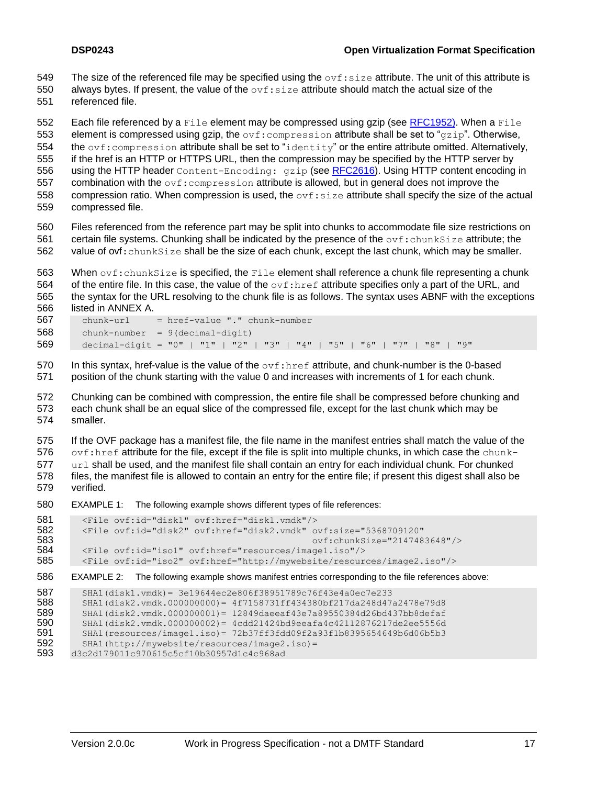- 549 The size of the referenced file may be specified using the  $\sigma$ t: size attribute. The unit of this attribute is
- 550 always bytes. If present, the value of the  $\text{ovf}: \text{size}$  attribute should match the actual size of the
- 551 referenced file.

552 Each file referenced by a  $File$  element may be compressed using gzip (see [RFC1952\).](#page-7-3) When a  $File$ 

553 element is compressed using gzip, the  $\text{ovf:compression}$  attribute shall be set to " $qzip$ ". Otherwise, 554 the  $\text{ovf:compression}$  attribute shall be set to "identity" or the entire attribute omitted. Alternatively, 555 if the href is an HTTP or HTTPS URL, then the compression may be specified by the HTTP server by 556 using the HTTP header Content-Encoding: gzip (see [RFC2616\)](#page-8-2). Using HTTP content encoding in 557 combination with the  $\text{ovf:compression}$  attribute is allowed, but in general does not improve the 558 compression ratio. When compression is used, the  $ovf:size$  attribute shall specify the size of the actual

559 compressed file.

560 Files referenced from the reference part may be split into chunks to accommodate file size restrictions on 561 certain file systems. Chunking shall be indicated by the presence of the  $\text{ovf: chunkSize}$  attribute; the

562 value of ovf: chunkSize shall be the size of each chunk, except the last chunk, which may be smaller.

563 When ovf: chunkSize is specified, the File element shall reference a chunk file representing a chunk 564 of the entire file. In this case, the value of the  $\text{ovf:}$  hexangleriat specifies only a part of the URL, and 565 the syntax for the URL resolving to the chunk file is as follows. The syntax uses ABNF with the exceptions 566 listed in [ANNEX A.](#page-52-0)

```
567 chunk-url = href-value "." chunk-number
568 chunk-number = 9(decimal-digit)
569 decimal-digit = "0" | "1" | "2" | "3" | "4" | "5" | "6" | "7" | "8" | "9"
```
570 In this syntax, href-value is the value of the  $ovf:href$  attribute, and chunk-number is the 0-based 571 position of the chunk starting with the value 0 and increases with increments of 1 for each chunk.

572 Chunking can be combined with compression, the entire file shall be compressed before chunking and 573 each chunk shall be an equal slice of the compressed file, except for the last chunk which may be 574 smaller.

 If the OVF package has a manifest file, the file name in the manifest entries shall match the value of the ovf:href attribute for the file, except if the file is split into multiple chunks, in which case the chunk-577 url shall be used, and the manifest file shall contain an entry for each individual chunk. For chunked files, the manifest file is allowed to contain an entry for the entire file; if present this digest shall also be verified.

580 EXAMPLE 1: The following example shows different types of file references:

```
581 < File ovf:id="disk1" ovf:href="disk1.vmdk"/><br>582 < File ovf:id="disk2" ovf:href="disk2.vmdk" o
          582 <File ovf:id="disk2" ovf:href="disk2.vmdk" ovf:size="5368709120"
583 ovf:chunkSize="2147483648"/>
584 <File ovf:id="iso1" ovf:href="resources/image1.iso"/><br>585 <File ovf:id="iso2" ovf:href="http://mywebsite/resour
          585 <File ovf:id="iso2" ovf:href="http://mywebsite/resources/image2.iso"/>
```
586 EXAMPLE 2: The following example shows manifest entries corresponding to the file references above:

```
587 SHA1(disk1.vmdk) = 3e19644ec2e806f38951789c76f43e4a0ec7e233<br>588 SHA1(disk2.vmdk.000000000) = 4f7158731ff434380bf217da248d47
            588 SHA1(disk2.vmdk.000000000)= 4f7158731ff434380bf217da248d47a2478e79d8
589 SHA1(disk2.vmdk.000000001)= 12849daeeaf43e7a89550384d26bd437bb8defaf<br>590 SHA1(disk2.vmdk.000000002)= 4cdd21424bd9eeafa4c42112876217de2ee5556d
            590 SHA1(disk2.vmdk.000000002)= 4cdd21424bd9eeafa4c42112876217de2ee5556d
591 SHA1(resources/image1.iso)= 72b37ff3fdd09f2a93f1b8395654649b6d06b5b3
592 SHA1(http://mywebsite/resources/image2.iso)=<br>593 d3c2d179011c970615c5cf10b30957d1c4c968ad
         593 d3c2d179011c970615c5cf10b30957d1c4c968ad
```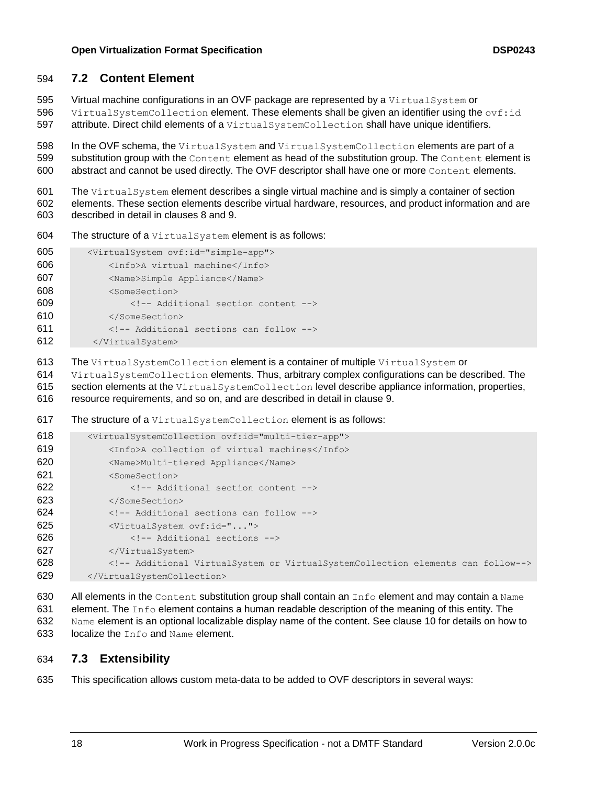#### <span id="page-17-0"></span>594 **7.2 Content Element**

- 595 Virtual machine configurations in an OVF package are represented by a VirtualSystem or
- 596 VirtualSystemCollection element. These elements shall be given an identifier using the  $ovf$ : id
- 597 attribute. Direct child elements of a VirtualSystemCollection shall have unique identifiers.

598 In the OVF schema, the VirtualSystem and VirtualSystemCollection elements are part of a 599 substitution group with the Content element as head of the substitution group. The Content element is 600 abstract and cannot be used directly. The OVF descriptor shall have one or more Content elements.

601 The VirtualSystem element describes a single virtual machine and is simply a container of section 602 elements. These section elements describe virtual hardware, resources, and product information and are 603 described in detail in clauses [8](#page-19-1) and [9.](#page-26-0)

604 The structure of a VirtualSystem element is as follows:

| 605 | <virtualsystem ovf:id="simple-app"></virtualsystem> |
|-----|-----------------------------------------------------|
| 606 | <info>A virtual machine</info>                      |
| 607 | <name>Simple Appliance</name>                       |
| 608 | <somesection></somesection>                         |
| 609 | Additional section content                          |
| 610 |                                                     |
| 611 | Additional sections can follow                      |
| 612 |                                                     |

- 613 The VirtualSystemCollection element is a container of multiple VirtualSystem or
- 614 VirtualSystemCollection elements. Thus, arbitrary complex configurations can be described. The
- 615 section elements at the VirtualSystemCollection level describe appliance information, properties,
- 616 resource requirements, and so on, and are described in detail in clause [9.](#page-26-0)
- 617 The structure of a VirtualSystemCollection element is as follows:

| 618 | <virtualsystemcollection ovf:id="multi-tier-app"></virtualsystemcollection> |
|-----|-----------------------------------------------------------------------------|
| 619 | <info>A collection of virtual machines</info>                               |
| 620 | <name>Multi-tiered Appliance</name>                                         |
| 621 | <somesection></somesection>                                                 |
| 622 | Additional section content                                                  |
| 623 |                                                                             |
| 624 | Additional sections can follow                                              |
| 625 | <virtualsystem ovf:id=""></virtualsystem>                                   |
| 626 | Additional sections                                                         |
| 627 |                                                                             |
| 628 | Additional VirtualSystem or VirtualSystemCollection elements can follow     |
| 629 |                                                                             |

630 All elements in the Content substitution group shall contain an  $\text{Info}$  element and may contain a Name 631 element. The  $Info$  element contains a human readable description of the meaning of this entity. The 632 Name element is an optional localizable display name of the content. See clause [10](#page-46-0) for details on how to 633 localize the Info and Name element.

### <span id="page-17-1"></span>634 **7.3 Extensibility**

635 This specification allows custom meta-data to be added to OVF descriptors in several ways: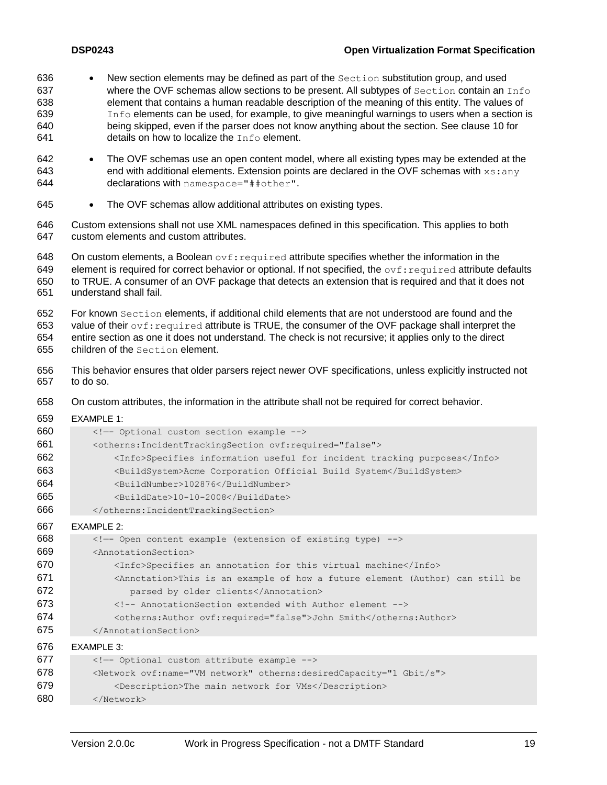- 636 New section elements may be defined as part of the Section substitution group, and used 637 where the OVF schemas allow sections to be present. All subtypes of Section contain an Info 638 element that contains a human readable description of the meaning of this entity. The values of 639 Info elements can be used, for example, to give meaningful warnings to users when a section is 640 being skipped, even if the parser does not know anything about the section. See clause [10](#page-46-0) for 641 details on how to localize the  $Info$  element.
- 642 The OVF schemas use an open content model, where all existing types may be extended at the 643 end with additional elements. Extension points are declared in the OVF schemas with  $xs:any$ 644 declarations with namespace="##other".
- 645 The OVF schemas allow additional attributes on existing types.
- 646 Custom extensions shall not use XML namespaces defined in this specification. This applies to both 647 custom elements and custom attributes.

648 On custom elements, a Boolean  $\text{ovf: required attribute specifies whether the information in the$ 649 element is required for correct behavior or optional. If not specified, the  $\text{ovf: required attribute defaults}$ 650 to TRUE. A consumer of an OVF package that detects an extension that is required and that it does not 651 understand shall fail.

652 For known Section elements, if additional child elements that are not understood are found and the

653 value of their  $\text{ovf: required attribute}$  is TRUE, the consumer of the OVF package shall interpret the 654 entire section as one it does not understand. The check is not recursive; it applies only to the direct

- 655 children of the Section element.
- 656 This behavior ensures that older parsers reject newer OVF specifications, unless explicitly instructed not 657 to do so.
- 658 On custom attributes, the information in the attribute shall not be required for correct behavior.
- 659 EXAMPLE 1:

| 660 | Optional custom section example                                           |
|-----|---------------------------------------------------------------------------|
| 661 | <otherns: incidenttrackingsection="" ovf:="" required="false"></otherns:> |
| 662 | <info>Specifies information useful for incident tracking purposes</info>  |
| 663 | <buildsystem>Acme Corporation Official Build System</buildsystem>         |
| 664 | <buildnumber>102876</buildnumber>                                         |
| 665 | <builddate>10-10-2008</builddate>                                         |
| 666 |                                                                           |

667 EXAMPLE 2:

| 668 | Open content example (extension of existing type)                                         |
|-----|-------------------------------------------------------------------------------------------|
| 669 | <annotationsection></annotationsection>                                                   |
| 670 | <info>Specifies an annotation for this virtual machine</info>                             |
| 671 | <annotation>This is an example of how a future element (Author) can still be</annotation> |
| 672 | parsed by older clients                                                                   |
| 673 | AnnotationSection extended with Author element                                            |
| 674 | <otherns:author ovf:required="false">John Smith</otherns:author>                          |
| 675 |                                                                                           |
| 676 | EXAMPLE 3:                                                                                |
| 677 | Optional custom attribute example                                                         |
| 678 | <network otherns:desiredcapacity="1 Gbit/s" ovf:name="VM network"></network>              |
| 679 | <description>The main network for VMs</description>                                       |
| 680 | $\langle$ Network>                                                                        |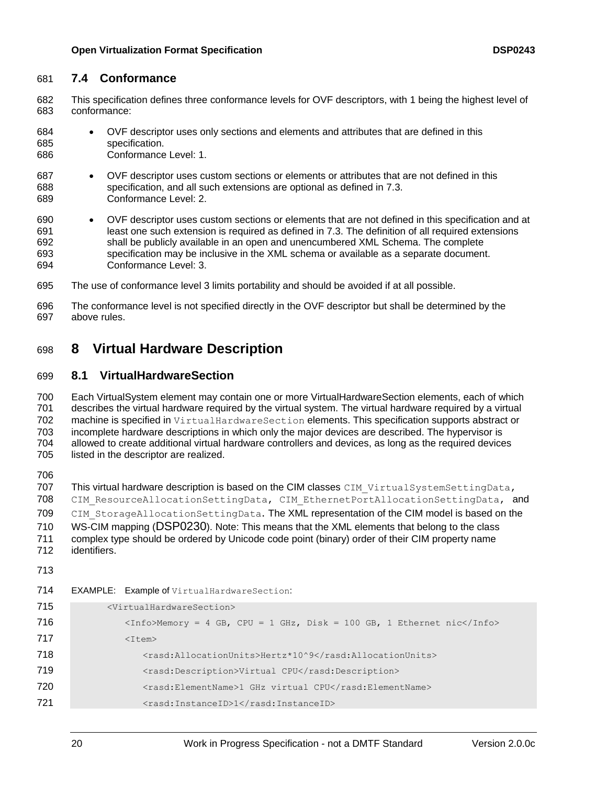#### <span id="page-19-0"></span>**7.4 Conformance**

 This specification defines three conformance levels for OVF descriptors, with 1 being the highest level of conformance:

| 684 | • OVF descriptor uses only sections and elements and attributes that are defined in this |
|-----|------------------------------------------------------------------------------------------|
| 685 | specification.                                                                           |
| 686 | Conformance Level: 1.                                                                    |

- OVF descriptor uses custom sections or elements or attributes that are not defined in this specification, and all such extensions are optional as defined in [7.3.](#page-17-1) Conformance Level: 2.
- OVF descriptor uses custom sections or elements that are not defined in this specification and at least one such extension is required as defined in [7.3.](#page-17-1) The definition of all required extensions shall be publicly available in an open and unencumbered XML Schema. The complete specification may be inclusive in the XML schema or available as a separate document. Conformance Level: 3.
- The use of conformance level 3 limits portability and should be avoided if at all possible.
- The conformance level is not specified directly in the OVF descriptor but shall be determined by the above rules.

## <span id="page-19-1"></span>**8 Virtual Hardware Description**

#### <span id="page-19-2"></span>**8.1 VirtualHardwareSection**

 Each VirtualSystem element may contain one or more VirtualHardwareSection elements, each of which describes the virtual hardware required by the virtual system. The virtual hardware required by a virtual machine is specified in VirtualHardwareSection elements. This specification supports abstract or incomplete hardware descriptions in which only the major devices are described. The hypervisor is allowed to create additional virtual hardware controllers and devices, as long as the required devices 705 listed in the descriptor are realized.

707 This virtual hardware description is based on the CIM classes CIM VirtualSystemSettingData, 708 CIM ResourceAllocationSettingData, CIM EthernetPortAllocationSettingData, and 709 CIM StorageAllocationSettingData. The XML representation of the CIM model is based on the WS-CIM mapping ([DSP0230](#page-7-4)). Note: This means that the XML elements that belong to the class complex type should be ordered by Unicode code point (binary) order of their CIM property name identifiers.

- 
- 

EXAMPLE: Example of VirtualHardwareSection:

| 715 | <virtualhardwaresection></virtualhardwaresection>                                                |
|-----|--------------------------------------------------------------------------------------------------|
| 716 | $\text{CInfoMemory} = 4 \text{ GB}$ , CPU = 1 GHz, Disk = 100 GB, 1 Ethernet nic $\text{C/Info}$ |
| 717 | $<$ Item $>$                                                                                     |
| 718 | <rasd:allocationunits>Hertz*10^9</rasd:allocationunits>                                          |
| 719 | <rasd:description>Virtual CPU</rasd:description>                                                 |
| 720 | <rasd:elementname>1 GHz virtual CPU</rasd:elementname>                                           |
| 721 | <rasd:instanceid>1</rasd:instanceid>                                                             |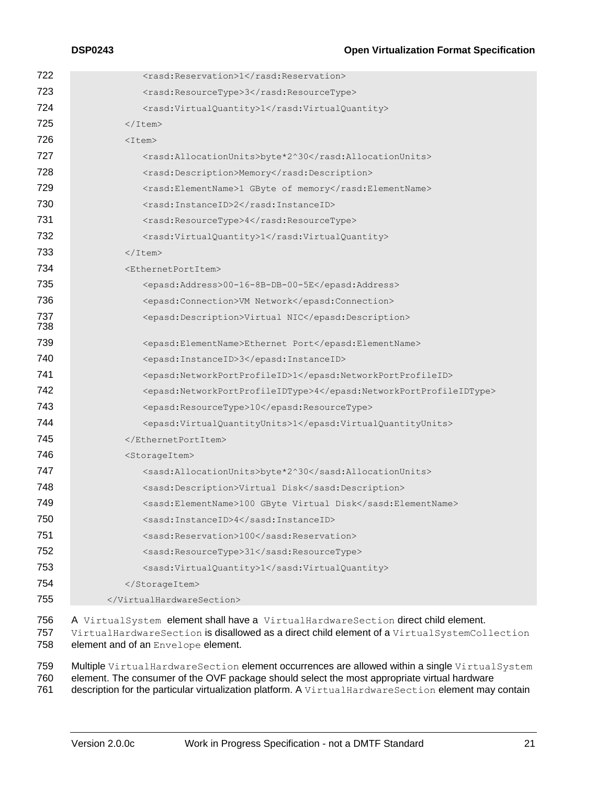| 722        | <rasd:reservation>1</rasd:reservation>                                           |
|------------|----------------------------------------------------------------------------------|
| 723        |                                                                                  |
| 724        | <rasd:resourcetype>3</rasd:resourcetype>                                         |
|            | <rasd:virtualquantity>1</rasd:virtualquantity>                                   |
| 725        | $\langle$ /Item>                                                                 |
| 726        | <item></item>                                                                    |
| 727        | <rasd:allocationunits>byte*2^30</rasd:allocationunits>                           |
| 728        | <rasd:description>Memory</rasd:description>                                      |
| 729        | <rasd:elementname>1 GByte of memory</rasd:elementname>                           |
| 730        | <rasd:instanceid>2</rasd:instanceid>                                             |
| 731        | <rasd:resourcetype>4</rasd:resourcetype>                                         |
| 732        | <rasd:virtualquantity>1</rasd:virtualquantity>                                   |
| 733        | $\langle$ /Item>                                                                 |
| 734        | <ethernetportitem></ethernetportitem>                                            |
| 735        | <epasd:address>00-16-8B-DB-00-5E</epasd:address>                                 |
| 736        | <epasd:connection>VM Network</epasd:connection>                                  |
| 737<br>738 | <epasd:description>Virtual NIC</epasd:description>                               |
| 739        | <epasd:elementname>Ethernet Port</epasd:elementname>                             |
| 740        | <epasd:instanceid>3</epasd:instanceid>                                           |
| 741        | <epasd:networkportprofileid>1</epasd:networkportprofileid>                       |
| 742        | <epasd:networkportprofileidtype>4</epasd:networkportprofileidtype>               |
| 743        | <epasd:resourcetype>10</epasd:resourcetype>                                      |
| 744        | <epasd:virtualquantityunits>1</epasd:virtualquantityunits>                       |
| 745        |                                                                                  |
| 746        | <storageitem></storageitem>                                                      |
| 747        | <sasd:allocationunits>byte*2^30</sasd:allocationunits>                           |
| 748        | <sasd:description>Virtual Disk</sasd:description>                                |
| 749        | <sasd:elementname>100 GByte Virtual Disk</sasd:elementname>                      |
| 750        | <sasd:instanceid>4</sasd:instanceid>                                             |
| 751        | <sasd:reservation>100</sasd:reservation>                                         |
| 752        | <sasd:resourcetype>31</sasd:resourcetype>                                        |
| 753        | <sasd:virtualquantity>1</sasd:virtualquantity>                                   |
| 754        |                                                                                  |
| 755        |                                                                                  |
| <b>756</b> | $121$ Svetom, element shall have a Wintual Hardware Soction direct shild element |

A VirtualSystem element shall have a VirtualHardwareSection direct child element.

757 VirtualHardwareSection is disallowed as a direct child element of a VirtualSystemCollection element and of an Envelope element.

759 Multiple VirtualHardwareSection element occurrences are allowed within a single VirtualSystem

760 element. The consumer of the OVF package should select the most appropriate virtual hardware<br>761 description for the particular virtualization platform. A Virtual Hardware Section element may

description for the particular virtualization platform. A VirtualHardwareSection element may contain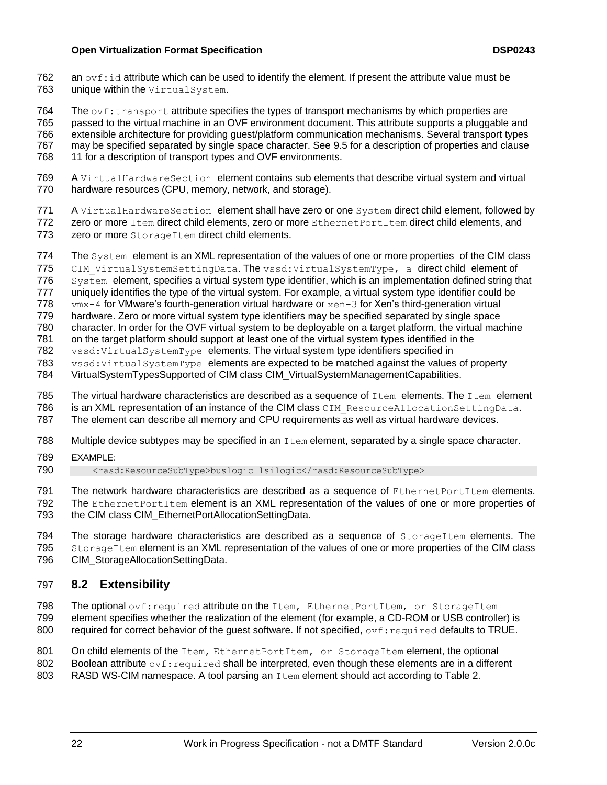762 an  $ovf$ : id attribute which can be used to identify the element. If present the attribute value must be 763 unique within the VirtualSystem.

764 The  $\text{ovf:}$  transport attribute specifies the types of transport mechanisms by which properties are passed to the virtual machine in an OVF environment document. This attribute supports a pluggable and extensible architecture for providing guest/platform communication mechanisms. Several transport types may be specified separated by single space character. See [9.5](#page-31-0) for a description of properties and clause [11](#page-49-0) for a description of transport types and OVF environments.

- 769 A VirtualHardwareSection element contains sub elements that describe virtual system and virtual 770 hardware resources (CPU, memory, network, and storage).
- 771 A VirtualHardwareSection element shall have zero or one System direct child element, followed by 772 zero or more Item direct child elements, zero or more EthernetPortItem direct child elements, and
- 773 zero or more StorageItem direct child elements.
- 774 The System element is an XML representation of the values of one or more properties of the CIM class
- 775 CIM VirtualSystemSettingData. The vssd:VirtualSystemType, a direct child element of
- 776 System element, specifies a virtual system type identifier, which is an implementation defined string that
- 777 uniquely identifies the type of the virtual system. For example, a virtual system type identifier could be
- 778 vmx-4 for VMware's fourth-generation virtual hardware or  $xen-3$  for Xen's third-generation virtual 779 hardware. Zero or more virtual system type identifiers may be specified separated by single space
- 780 character. In order for the OVF virtual system to be deployable on a target platform, the virtual machine
- 781 on the target platform should support at least one of the virtual system types identified in the
- 782 vssd:VirtualSystemType elements. The virtual system type identifiers specified in
- 783 vssd:VirtualSystemType elements are expected to be matched against the values of property
- 784 VirtualSystemTypesSupported of CIM class CIM\_VirtualSystemManagementCapabilities.
- 785 The virtual hardware characteristics are described as a sequence of Item elements. The Item element
- 786 is an XML representation of an instance of the CIM class CIM ResourceAllocationSettingData.
- 787 The element can describe all memory and CPU requirements as well as virtual hardware devices.
- 788 Multiple device subtypes may be specified in an Item element, separated by a single space character.
- 789 EXAMPLE:
- 790 < casd:ResourceSubType>buslogic lsilogic</rasd:ResourceSubType>

791 The network hardware characteristics are described as a sequence of EthernetPortItem elements.

- 792 The EthernetPortItem element is an XML representation of the values of one or more properties of 793 the CIM class CIM\_EthernetPortAllocationSettingData.
- 794 The storage hardware characteristics are described as a sequence of StorageItem elements. The 795 StorageItem element is an XML representation of the values of one or more properties of the CIM class 796 CIM StorageAllocationSettingData.

## <span id="page-21-0"></span>797 **8.2 Extensibility**

- 798 The optional  $\text{ovf: required attribute on the Item, EthernetPortItem, or StorageItem}$ 799 element specifies whether the realization of the element (for example, a CD-ROM or USB controller) is 800 required for correct behavior of the guest software. If not specified, ovf: required defaults to TRUE.
- 801 On child elements of the Item, EthernetPortItem, or StorageItem element, the optional 802 Boolean attribute  $\cot$ : required shall be interpreted, even though these elements are in a different
- 803 RASD WS-CIM namespace. A tool parsing an Item element should act according to [Table 2.](#page-22-1)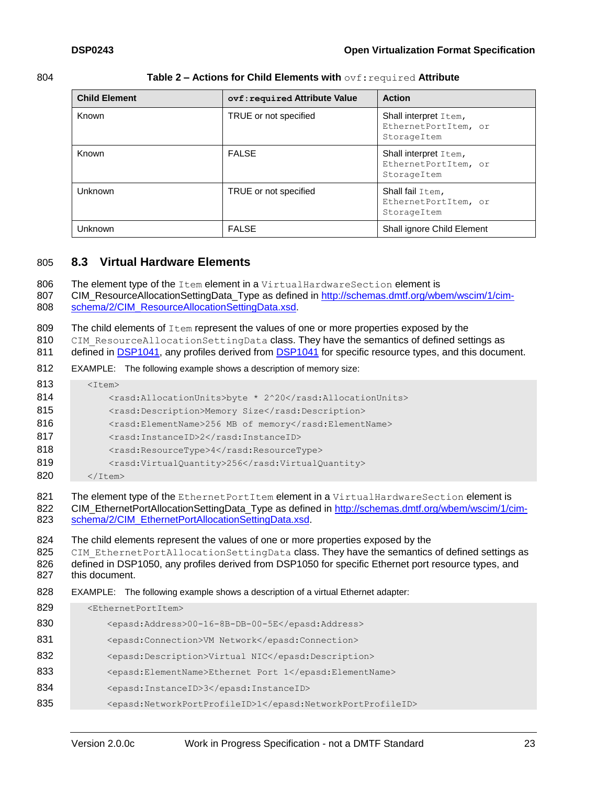| ×<br>۰.<br>۰.<br>× |  |
|--------------------|--|
|--------------------|--|

#### 804 **Table 2 – Actions for Child Elements with** ovf:required **Attribute**

<span id="page-22-1"></span>

| <b>Child Element</b> | ovf: required Attribute Value | <b>Action</b>                                                  |
|----------------------|-------------------------------|----------------------------------------------------------------|
| Known                | TRUE or not specified         | Shall interpret $Item,$<br>EthernetPortItem, or<br>StorageItem |
| Known                | <b>FALSE</b>                  | Shall interpret $Item,$<br>EthernetPortItem, or<br>StorageItem |
| <b>Unknown</b>       | TRUE or not specified         | Shall fail Item,<br>EthernetPortItem, or<br>StorageItem        |
| <b>Unknown</b>       | <b>FALSE</b>                  | Shall ignore Child Element                                     |

#### <span id="page-22-0"></span>805 **8.3 Virtual Hardware Elements**

806 The element type of the Item element in a VirtualHardwareSection element is

807 CIM\_ResourceAllocationSettingData\_Type as defined in [http://schemas.dmtf.org/wbem/wscim/1/cim](http://schemas.dmtf.org/wbem/wscim/1/cim-schema/2/CIM_ResourceAllocationSettingData.xsd)808 [schema/2/CIM\\_ResourceAllocationSettingData.xsd.](http://schemas.dmtf.org/wbem/wscim/1/cim-schema/2/CIM_ResourceAllocationSettingData.xsd)

809 The child elements of Item represent the values of one or more properties exposed by the

810 CIM ResourceAllocationSettingData class. They have the semantics of defined settings as

811 defined in [DSP1041,](#page-7-5) any profiles derived from [DSP1041](#page-7-5) for specific resource types, and this document.

812 EXAMPLE: The following example shows a description of memory size:

| 813               | $<$ Item $>$                                                                                                                                                                                                                                             |
|-------------------|----------------------------------------------------------------------------------------------------------------------------------------------------------------------------------------------------------------------------------------------------------|
| 814               | <rasd:allocationunits>byte * 2^20</rasd:allocationunits>                                                                                                                                                                                                 |
| 815               | <rasd:description>Memory Size</rasd:description>                                                                                                                                                                                                         |
| 816               | <rasd:elementname>256 MB of memory</rasd:elementname>                                                                                                                                                                                                    |
| 817               | <rasd:instanceid>2</rasd:instanceid>                                                                                                                                                                                                                     |
| 818               | <rasd:resourcetype>4</rasd:resourcetype>                                                                                                                                                                                                                 |
| 819               | <rasd:virtualquantity>256</rasd:virtualquantity>                                                                                                                                                                                                         |
| 820               | $\langle$ /Item>                                                                                                                                                                                                                                         |
| 821<br>822<br>823 | The element type of the Ethernet Port Item element in a Virtual Hardware Section element is<br>CIM_EthernetPortAllocationSettingData_Type as defined in http://schemas.dmtf.org/wbem/wscim/1/cim-<br>schema/2/CIM_EthernetPortAllocationSettingData.xsd. |
| 0.21              | The objid elemente represent the values of one or more preparties expected by the                                                                                                                                                                        |

824 The child elements represent the values of one or more properties exposed by the

825 CIM EthernetPortAllocationSettingData class. They have the semantics of defined settings as 826 defined in DSP1050, any profiles derived from DSP1050 for specific Ethernet port resource types, and

827 this document.

#### 828 EXAMPLE: The following example shows a description of a virtual Ethernet adapter:

| 829 | <ethernetportitem></ethernetportitem>                      |
|-----|------------------------------------------------------------|
| 830 | <epasd:address>00-16-8B-DB-00-5E</epasd:address>           |
| 831 | <epasd:connection>VM Network</epasd:connection>            |
| 832 | <epasd:description>Virtual NIC</epasd:description>         |
| 833 | <epasd:elementname>Ethernet Port 1</epasd:elementname>     |
| 834 | <epasd:instanceid>3</epasd:instanceid>                     |
| 835 | <epasd:networkportprofileid>1</epasd:networkportprofileid> |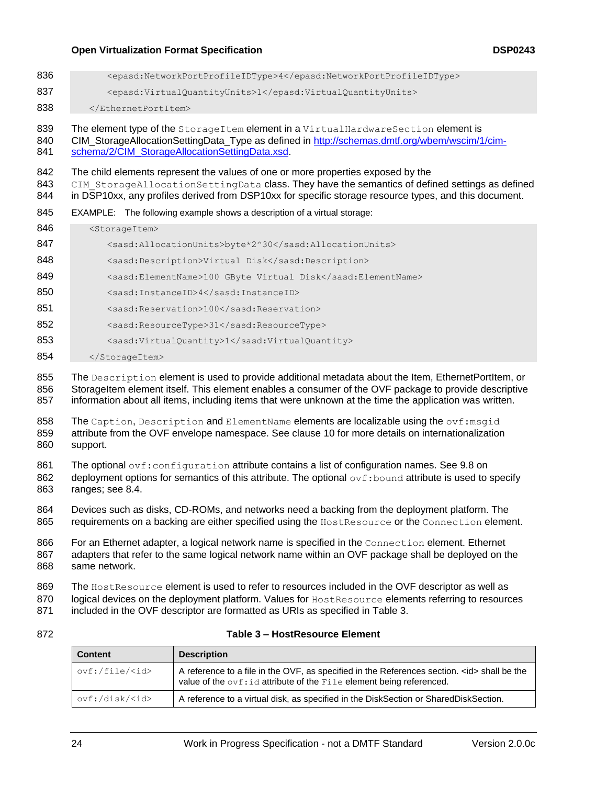- 836 <epasd:NetworkPortProfileIDType>4</epasd:NetworkPortProfileIDType>
- 837 <epasd:VirtualQuantityUnits>1</epasd:VirtualQuantityUnits>
- 838 </EthernetPortItem>

839 The element type of the StorageItem element in a VirtualHardwareSection element is

- 840 CIM\_StorageAllocationSettingData\_Type as defined in [http://schemas.dmtf.org/wbem/wscim/1/cim](http://schemas.dmtf.org/wbem/wscim/1/cim-schema/2/CIM_StorageAllocationSettingData.xsd)841 [schema/2/CIM\\_StorageAllocationSettingData.xsd.](http://schemas.dmtf.org/wbem/wscim/1/cim-schema/2/CIM_StorageAllocationSettingData.xsd)
- 842 The child elements represent the values of one or more properties exposed by the
- 843 CIM StorageAllocationSettingData class. They have the semantics of defined settings as defined
- 844 in DSP10xx, any profiles derived from DSP10xx for specific storage resource types, and this document.
- 845 EXAMPLE: The following example shows a description of a virtual storage:
- 846 <StorageItem> 847 <sasd:AllocationUnits>byte\*2^30</sasd:AllocationUnits> 848 <sasd:Description>Virtual Disk</sasd:Description> 849 <sasd:ElementName>100 GByte Virtual Disk</sasd:ElementName> 850 <sasd:InstanceID>4</sasd:InstanceID> 851 <sasd:Reservation>100</sasd:Reservation>
- 852 <sasd:ResourceType>31</sasd:ResourceType>
- 853 <sasd:VirtualQuantity>1</sasd:VirtualQuantity>
- 854 </StorageItem>

855 The Description element is used to provide additional metadata about the Item, EthernetPortItem, or

856 StorageItem element itself. This element enables a consumer of the OVF package to provide descriptive 857 information about all items, including items that were unknown at the time the application was written.

- 858 The Caption, Description and ElementName elements are localizable using the  $\text{ovf:}$ msgid 859 attribute from the OVF envelope namespace. See clause [10](#page-46-0) for more details on internationalization 860 support.
- 861 The optional  $\text{ovf:}$  configuration attribute contains a list of configuration names. See [9.8](#page-35-0) on
- 862 deployment options for semantics of this attribute. The optional  $\text{ovf:}$  bound attribute is used to specify 863 ranges; see [8.4.](#page-24-0)
- 864 Devices such as disks, CD-ROMs, and networks need a backing from the deployment platform. The 865 requirements on a backing are either specified using the HostResource or the Connection element.
- 866 For an Ethernet adapter, a logical network name is specified in the Connection element. Ethernet 867 adapters that refer to the same logical network name within an OVF package shall be deployed on the 868 same network.
- 869 The HostResource element is used to refer to resources included in the OVF descriptor as well as
- 870 logical devices on the deployment platform. Values for HostResource elements referring to resources 871 included in the OVF descriptor are formatted as URIs as specified in [Table 3.](#page-23-0)
- 
- 

#### 872 **Table 3 – HostResource Element**

<span id="page-23-0"></span>

| <b>Content</b>                  | <b>Description</b>                                                                                                                                                        |
|---------------------------------|---------------------------------------------------------------------------------------------------------------------------------------------------------------------------|
| $ovf://file/\langle id \rangle$ | A reference to a file in the OVF, as specified in the References section. <id> shall be the<br/>value of the ovf: id attribute of the File element being referenced.</id> |
| ovf:/disk/ <id></id>            | A reference to a virtual disk, as specified in the DiskSection or SharedDiskSection.                                                                                      |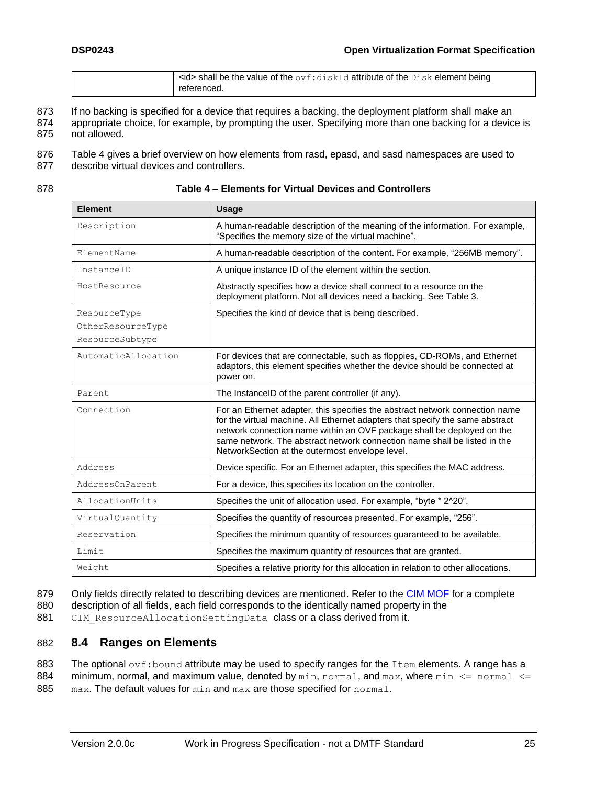| $\sim$ <id> shall be the value of the <math>\sim</math> <math>\sim</math> f: diskId attribute of the Disk element being</id> |
|------------------------------------------------------------------------------------------------------------------------------|
| referenced.                                                                                                                  |

873 If no backing is specified for a device that requires a backing, the deployment platform shall make an

874 appropriate choice, for example, by prompting the user. Specifying more than one backing for a device is 875 not allowed.

- 876 [Table 4](#page-24-1) gives a brief overview on how elements from rasd, epasd, and sasd namespaces are used to
- 877 describe virtual devices and controllers.

| 878 | Table 4 – Elements for Virtual Devices and Controllers |
|-----|--------------------------------------------------------|
|-----|--------------------------------------------------------|

<span id="page-24-1"></span>

| <b>Element</b>      | <b>Usage</b>                                                                                                                                                                                                                                                                                                                                                            |
|---------------------|-------------------------------------------------------------------------------------------------------------------------------------------------------------------------------------------------------------------------------------------------------------------------------------------------------------------------------------------------------------------------|
| Description         | A human-readable description of the meaning of the information. For example,<br>"Specifies the memory size of the virtual machine".                                                                                                                                                                                                                                     |
| ElementName         | A human-readable description of the content. For example, "256MB memory".                                                                                                                                                                                                                                                                                               |
| InstanceID          | A unique instance ID of the element within the section.                                                                                                                                                                                                                                                                                                                 |
| HostResource        | Abstractly specifies how a device shall connect to a resource on the<br>deployment platform. Not all devices need a backing. See Table 3.                                                                                                                                                                                                                               |
| ResourceType        | Specifies the kind of device that is being described.                                                                                                                                                                                                                                                                                                                   |
| OtherResourceType   |                                                                                                                                                                                                                                                                                                                                                                         |
| ResourceSubtype     |                                                                                                                                                                                                                                                                                                                                                                         |
| AutomaticAllocation | For devices that are connectable, such as floppies, CD-ROMs, and Ethernet<br>adaptors, this element specifies whether the device should be connected at<br>power on.                                                                                                                                                                                                    |
| Parent              | The InstanceID of the parent controller (if any).                                                                                                                                                                                                                                                                                                                       |
| Connection          | For an Ethernet adapter, this specifies the abstract network connection name<br>for the virtual machine. All Ethernet adapters that specify the same abstract<br>network connection name within an OVF package shall be deployed on the<br>same network. The abstract network connection name shall be listed in the<br>NetworkSection at the outermost envelope level. |
| Address             | Device specific. For an Ethernet adapter, this specifies the MAC address.                                                                                                                                                                                                                                                                                               |
| AddressOnParent     | For a device, this specifies its location on the controller.                                                                                                                                                                                                                                                                                                            |
| AllocationUnits     | Specifies the unit of allocation used. For example, "byte * 2^20".                                                                                                                                                                                                                                                                                                      |
| VirtualQuantity     | Specifies the quantity of resources presented. For example, "256".                                                                                                                                                                                                                                                                                                      |
| Reservation         | Specifies the minimum quantity of resources guaranteed to be available.                                                                                                                                                                                                                                                                                                 |
| Limit               | Specifies the maximum quantity of resources that are granted.                                                                                                                                                                                                                                                                                                           |
| Weight              | Specifies a relative priority for this allocation in relation to other allocations.                                                                                                                                                                                                                                                                                     |

879 Only fields directly related to describing devices are mentioned. Refer to the [CIM MOF](#page-7-6) for a complete 880 description of all fields, each field corresponds to the identically named property in the

description of all fields, each field corresponds to the identically named property in the

<span id="page-24-0"></span>881 CIM ResourceAllocationSettingData class or a class derived from it.

#### 882 **8.4 Ranges on Elements**

883 The optional  $\text{ovf:}$  bound attribute may be used to specify ranges for the Item elements. A range has a

884 minimum, normal, and maximum value, denoted by  $min$ , normal, and  $max$ , where  $min \le$  normal  $\le$ = 885  $\mu$  max. The default values for  $\min$  and  $\max$  are those specified for  $\text{normal}$ .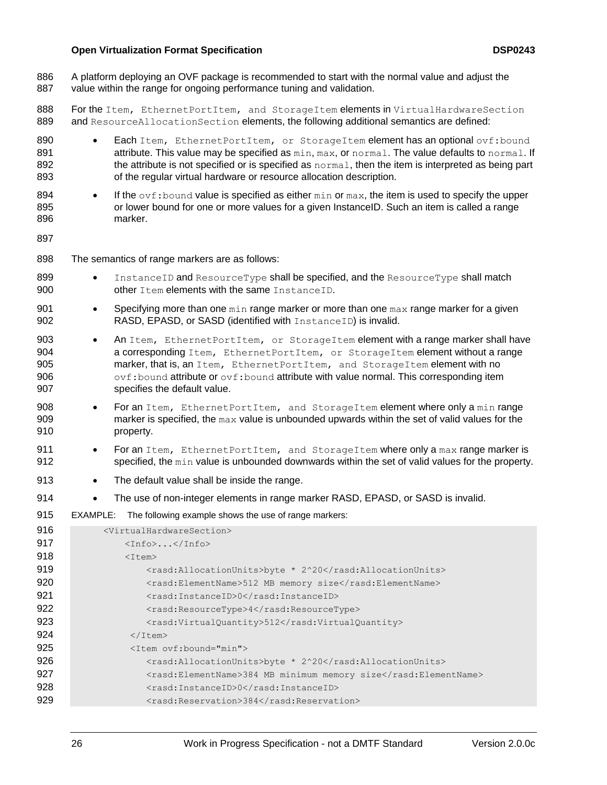- 886 A platform deploying an OVF package is recommended to start with the normal value and adjust the 887 value within the range for ongoing performance tuning and validation. 888 For the Item, EthernetPortItem, and StorageItem elements in VirtualHardwareSection
- 889 and ResourceAllocationSection elements, the following additional semantics are defined:
- 890 **Each Item, EthernetPortItem, or StorageItem element has an optional** ovf: bound 891 **attribute. This value may be specified as**  $min, max, or normal$ . The value defaults to normal. If 892 the attribute is not specified or is specified as  $normal$ , then the item is interpreted as being part 893 of the regular virtual hardware or resource allocation description.
- 894 **If the** ovf: bound value is specified as either  $min$  or  $max$ , the item is used to specify the upper 895 or lower bound for one or more values for a given InstanceID. Such an item is called a range 896 marker.
- 897
- 898 The semantics of range markers are as follows:
- 899 InstanceID and ResourceType shall be specified, and the ResourceType shall match 900 other Item elements with the same InstanceID.
- 901 Specifying more than one  $\min$  range marker or more than one  $\max$  range marker for a given 902 RASD, EPASD, or SASD (identified with InstanceID) is invalid.
- 903 An Item, EthernetPortItem, or StorageItem element with a range marker shall have 904 a corresponding Item, EthernetPortItem, or StorageItem element without a range 905 **marker, that is, an** Item, EthernetPortItem, and StorageItem element with no 906  $ovf:$ bound attribute or  $ovf:$ bound attribute with value normal. This corresponding item 907 specifies the default value.
- 908 For an Item, EthernetPortItem, and StorageItem element where only a min range 909 marker is specified, the  $max$  value is unbounded upwards within the set of valid values for the 910 property.
- 911 For an Item, EthernetPortItem, and StorageItem where only a max range marker is 912 specified, the min value is unbounded downwards within the set of valid values for the property.
- 913 The default value shall be inside the range.
- 914 The use of non-integer elements in range marker RASD, EPASD, or SASD is invalid.
- 915 EXAMPLE: The following example shows the use of range markers:

| 916 | <virtualhardwaresection></virtualhardwaresection>               |
|-----|-----------------------------------------------------------------|
| 917 | $\langle$ Info> $\langle$ /Info>                                |
| 918 | $<$ Item $>$                                                    |
| 919 | <rasd:allocationunits>byte * 2^20</rasd:allocationunits>        |
| 920 | <rasd:elementname>512 MB memory size</rasd:elementname>         |
| 921 | <rasd:instanceid>0</rasd:instanceid>                            |
| 922 | <rasd:resourcetype>4</rasd:resourcetype>                        |
| 923 | <rasd:virtualquantity>512</rasd:virtualquantity>                |
| 924 | $\langle$ /Item $\rangle$                                       |
| 925 | <ttem ovf:bound="min"></ttem>                                   |
| 926 | <rasd:allocationunits>byte * 2^20</rasd:allocationunits>        |
| 927 | <rasd:elementname>384 MB minimum memory size</rasd:elementname> |
| 928 | <rasd:instanceid>0</rasd:instanceid>                            |
| 929 | <rasd:reservation>384</rasd:reservation>                        |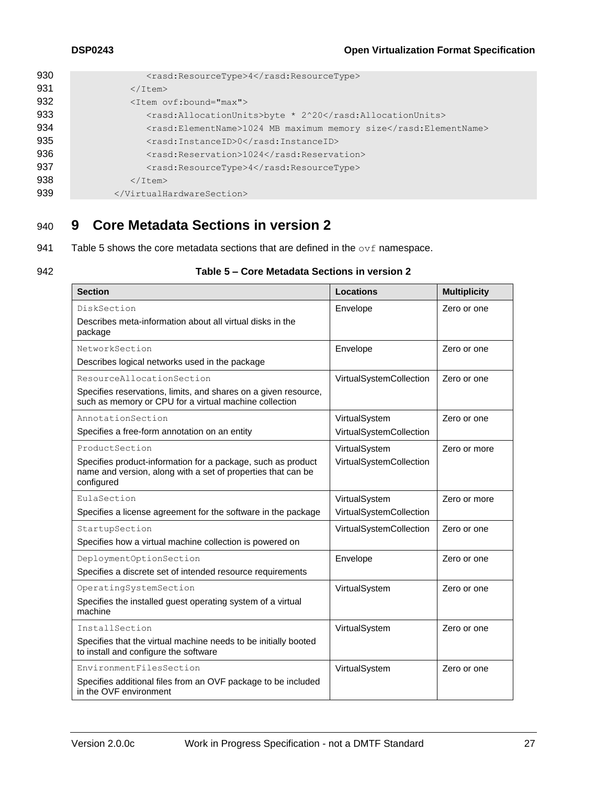| 930 | <rasd:resourcetype>4</rasd:resourcetype>                         |
|-----|------------------------------------------------------------------|
| 931 | $\langle$ /Item>                                                 |
| 932 | <item ovf:bound="max"></item>                                    |
| 933 | <rasd:allocationunits>byte * 2^20</rasd:allocationunits>         |
| 934 | <rasd:elementname>1024 MB maximum memory size</rasd:elementname> |
| 935 | <rasd:instanceid>0</rasd:instanceid>                             |
| 936 | <rasd:reservation>1024</rasd:reservation>                        |
| 937 | <rasd:resourcetype>4</rasd:resourcetype>                         |
| 938 | $\langle$ /Item>                                                 |
| 939 |                                                                  |
|     |                                                                  |

## <span id="page-26-0"></span>940 **9 Core Metadata Sections in version 2**

- 941 [Table 5](#page-26-1) shows the core metadata sections that are defined in the  $\text{ovf}$  namespace.
- 

#### 942 **Table 5 – Core Metadata Sections in version 2**

<span id="page-26-1"></span>

| <b>Section</b>                                                                                                                                               | <b>Locations</b>                         | <b>Multiplicity</b> |
|--------------------------------------------------------------------------------------------------------------------------------------------------------------|------------------------------------------|---------------------|
| DiskSection<br>Describes meta-information about all virtual disks in the<br>package                                                                          | Envelope                                 | Zero or one         |
| NetworkSection<br>Describes logical networks used in the package                                                                                             | Envelope                                 | Zero or one         |
| ResourceAllocationSection<br>Specifies reservations, limits, and shares on a given resource,<br>such as memory or CPU for a virtual machine collection       | VirtualSystemCollection                  | Zero or one         |
| AnnotationSection<br>Specifies a free-form annotation on an entity                                                                                           | VirtualSystem<br>VirtualSystemCollection | Zero or one         |
| ProductSection<br>Specifies product-information for a package, such as product<br>name and version, along with a set of properties that can be<br>configured | VirtualSystem<br>VirtualSystemCollection | Zero or more        |
| EulaSection<br>Specifies a license agreement for the software in the package                                                                                 | VirtualSystem<br>VirtualSystemCollection | Zero or more        |
| StartupSection<br>Specifies how a virtual machine collection is powered on                                                                                   | VirtualSystemCollection                  | Zero or one         |
| DeploymentOptionSection<br>Specifies a discrete set of intended resource requirements                                                                        | Envelope                                 | Zero or one         |
| OperatingSystemSection<br>Specifies the installed guest operating system of a virtual<br>machine                                                             | VirtualSystem                            | Zero or one         |
| InstallSection<br>Specifies that the virtual machine needs to be initially booted<br>to install and configure the software                                   | VirtualSystem                            | Zero or one         |
| EnvironmentFilesSection<br>Specifies additional files from an OVF package to be included<br>in the OVF environment                                           | VirtualSystem                            | Zero or one         |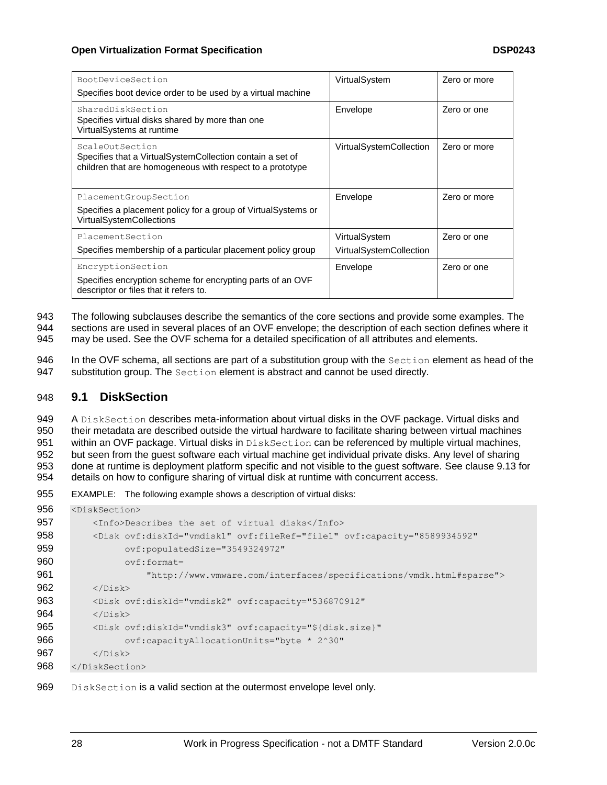| <b>BootDeviceSection</b><br>Specifies boot device order to be used by a virtual machine                                                   | VirtualSystem                            | Zero or more |
|-------------------------------------------------------------------------------------------------------------------------------------------|------------------------------------------|--------------|
| SharedDiskSection<br>Specifies virtual disks shared by more than one<br>VirtualSystems at runtime                                         | Envelope                                 | Zero or one  |
| ScaleOutSection<br>Specifies that a VirtualSystemCollection contain a set of<br>children that are homogeneous with respect to a prototype | VirtualSystemCollection                  | Zero or more |
| PlacementGroupSection<br>Specifies a placement policy for a group of VirtualSystems or<br><b>VirtualSystemCollections</b>                 | Envelope                                 | Zero or more |
| PlacementSection<br>Specifies membership of a particular placement policy group                                                           | VirtualSystem<br>VirtualSystemCollection | Zero or one  |
| EncryptionSection<br>Specifies encryption scheme for encrypting parts of an OVF<br>descriptor or files that it refers to.                 | Envelope                                 | Zero or one  |

943 The following subclauses describe the semantics of the core sections and provide some examples. The

944 sections are used in several places of an OVF envelope; the description of each section defines where it

945 may be used. See the OVF schema for a detailed specification of all attributes and elements.

946 In the OVF schema, all sections are part of a substitution group with the Section element as head of the 947 substitution group. The Section element is abstract and cannot be used directly.

### <span id="page-27-0"></span>948 **9.1 DiskSection**

949 A DiskSection describes meta-information about virtual disks in the OVF package. Virtual disks and 950 their metadata are described outside the virtual hardware to facilitate sharing between virtual machines 951 within an OVF package. Virtual disks in DiskSection can be referenced by multiple virtual machines, 952 but seen from the guest software each virtual machine get individual private disks. Any level of sharing 953 done at runtime is deployment platform specific and not visible to the guest software. See clause [9.13](#page-40-0) for 954 details on how to configure sharing of virtual disk at runtime with concurrent access.

955 EXAMPLE: The following example shows a description of virtual disks:

```
956 <DiskSection>
957 <Info>Describes the set of virtual disks</Info>
958 <Disk ovf:diskId="vmdisk1" ovf:fileRef="file1" ovf:capacity="8589934592"
959 ovf:populatedSize="3549324972" 
960 ovf:format=
961 "http://www.vmware.com/interfaces/specifications/vmdk.html#sparse">
962 </Disk>
963 <Disk ovf:diskId="vmdisk2" ovf:capacity="536870912"
964 \langleDisk>
965 <Disk ovf:diskId="vmdisk3" ovf:capacity="${disk.size}"
966 ovf:capacityAllocationUnits="byte * 2^30"
967 </Disk>
968 </DiskSection>
```
969 DiskSection is a valid section at the outermost envelope level only.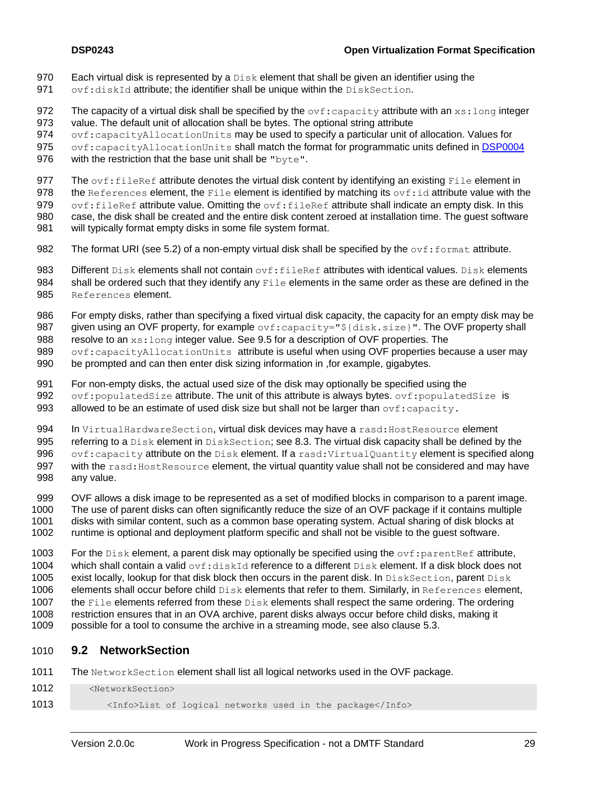- 970 Each virtual disk is represented by a  $_{\text{Disk}}$  element that shall be given an identifier using the
- 971 ovf: $distId$  attribute; the identifier shall be unique within the DiskSection.
- 972 The capacity of a virtual disk shall be specified by the  $ovf: capacity$  attribute with an  $xs:long$  integer 973 value. The default unit of allocation shall be bytes. The optional string attribute

974 ovf: capacityAllocationUnits may be used to specify a particular unit of allocation. Values for

- 975 ovf: capacityAllocationUnits shall match the format for programmatic units defined in DSP0004
- 976 with the restriction that the base unit shall be "byte".
- 977 The  $\text{ovf:fileRef}$  attribute denotes the virtual disk content by identifying an existing File element in
- 978 the References element, the File element is identified by matching its  $ovf$ : id attribute value with the
- 979 ovf: fileRef attribute value. Omitting the ovf: fileRef attribute shall indicate an empty disk. In this
- 980 case, the disk shall be created and the entire disk content zeroed at installation time. The guest software
- 981 will typically format empty disks in some file system format.
- 982 The format URI (see [5.2\)](#page-12-0) of a non-empty virtual disk shall be specified by the  $ovf:format$  attribute.
- 983 Different  $_{\text{Disk}}$  elements shall not contain  $_{\text{ovf:fileRef}}$  attributes with identical values. Disk elements 984 shall be ordered such that they identify any  $\text{File}$  elements in the same order as these are defined in the 985 References element.
- 986 For empty disks, rather than specifying a fixed virtual disk capacity, the capacity for an empty disk may be
- 987 given using an OVF property, for example  $ovf:capacity="S{dist.size}$ ". The OVF property shall
- 988 resolve to an  $xs:$  long integer value. See [9.5](#page-31-0) for a description of OVF properties. The
- $989$  ovf: capacityAllocationUnits attribute is useful when using OVF properties because a user may 990 be prompted and can then enter disk sizing information in ,for example, gigabytes.
- 991 For non-empty disks, the actual used size of the disk may optionally be specified using the
- 992 ovf: populated Size attribute. The unit of this attribute is always bytes.  $ovf$ : populated Size is 993 allowed to be an estimate of used disk size but shall not be larger than  $\text{ovf:} \text{capacity}.$
- 994 In VirtualHardwareSection, virtual disk devices may have a rasd: HostResource element
- 995 referring to a Disk element in DiskSection; see [8.3.](#page-22-0) The virtual disk capacity shall be defined by the 996 ovf: capacity attribute on the Disk element. If a rasd: VirtualQuantity element is specified along 997 with the rasd: HostResource element, the virtual quantity value shall not be considered and may have 998 any value.
- 999 OVF allows a disk image to be represented as a set of modified blocks in comparison to a parent image. 1000 The use of parent disks can often significantly reduce the size of an OVF package if it contains multiple 1001 disks with similar content, such as a common base operating system. Actual sharing of disk blocks at 1002 runtime is optional and deployment platform specific and shall not be visible to the guest software.
- 1003 For the Disk element, a parent disk may optionally be specified using the  $\text{ovf:}$  parentRef attribute, 1004 which shall contain a valid ovf:diskId reference to a different Disk element. If a disk block does not 1005 exist locally, lookup for that disk block then occurs in the parent disk. In DiskSection, parent Disk 1006 elements shall occur before child Disk elements that refer to them. Similarly, in References element, 1007 the File elements referred from these  $Disk$  elements shall respect the same ordering. The ordering 1008 restriction ensures that in an OVA archive, parent disks always occur before child disks, making it 1009 possible for a tool to consume the archive in a streaming mode, see also clause [5.3.](#page-12-1)

## <span id="page-28-0"></span>1010 **9.2 NetworkSection**

- 1011 The NetworkSection element shall list all logical networks used in the OVF package.
- 1012 <NetworkSection> 1013 <Info>List of logical networks used in the package</Info>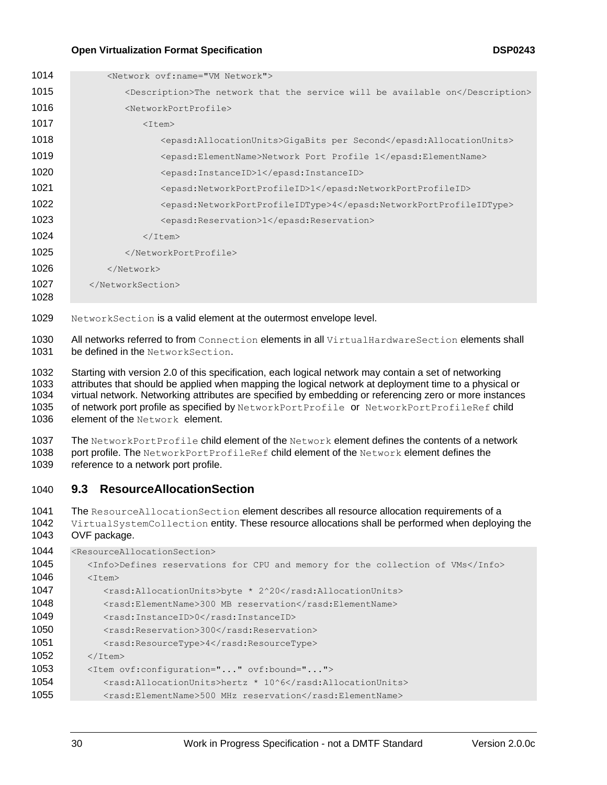| 1014         | <network ovf:name="VM Network"></network>                                    |  |
|--------------|------------------------------------------------------------------------------|--|
| 1015         | <description>The network that the service will be available on</description> |  |
| 1016         | <networkportprofile></networkportprofile>                                    |  |
| 1017         | $<$ Item $>$                                                                 |  |
| 1018         | <epasd:allocationunits>GigaBits per Second</epasd:allocationunits>           |  |
| 1019         | <epasd:elementname>Network Port Profile 1</epasd:elementname>                |  |
| 1020         | <epasd:instanceid>1</epasd:instanceid>                                       |  |
| 1021         | <epasd:networkportprofileid>1</epasd:networkportprofileid>                   |  |
| 1022         | <epasd:networkportprofileidtype>4</epasd:networkportprofileidtype>           |  |
| 1023         | <epasd:reservation>1</epasd:reservation>                                     |  |
| 1024         | $\langle$ /Item>                                                             |  |
| 1025         |                                                                              |  |
| 1026         | $\langle$ Network>                                                           |  |
| 1027<br>1028 |                                                                              |  |

NetworkSection is a valid element at the outermost envelope level.

1030 All networks referred to from Connection elements in all VirtualHardwareSection elements shall 1031 be defined in the NetworkSection.

1032 Starting with version 2.0 of this specification, each logical network may contain a set of networking<br>1033 attributes that should be applied when mapping the logical network at deployment time to a physica attributes that should be applied when mapping the logical network at deployment time to a physical or virtual network. Networking attributes are specified by embedding or referencing zero or more instances 1035 of network port profile as specified by NetworkPortProfile or NetworkPortProfileRef child 1036 element of the Network element.

1037 The NetworkPortProfile child element of the Network element defines the contents of a network 1038 port profile. The NetworkPortProfileRef child element of the Network element defines the reference to a network port profile.

#### <span id="page-29-0"></span>**9.3 ResourceAllocationSection**

1041 The ResourceAllocationSection element describes all resource allocation requirements of a 1042 VirtualSystemCollection entity. These resource allocations shall be performed when deploying the OVF package.

| 1044 | <resourceallocationsection></resourceallocationsection>                        |
|------|--------------------------------------------------------------------------------|
| 1045 | <info>Defines reservations for CPU and memory for the collection of VMs</info> |
| 1046 | $<$ Item $>$                                                                   |
| 1047 | <rasd:allocationunits>byte * 2^20</rasd:allocationunits>                       |
| 1048 | <rasd:elementname>300 MB reservation</rasd:elementname>                        |
| 1049 | <rasd:instanceid>0</rasd:instanceid>                                           |
| 1050 | <rasd:reservation>300</rasd:reservation>                                       |
| 1051 | <rasd:resourcetype>4</rasd:resourcetype>                                       |
| 1052 | $\langle$ /Item>                                                               |
| 1053 | <item ovf:bound="" ovf:configuration=""></item>                                |
| 1054 | <rasd:allocationunits>hertz * 10^6</rasd:allocationunits>                      |
| 1055 | <rasd:elementname>500 MHz reservation</rasd:elementname>                       |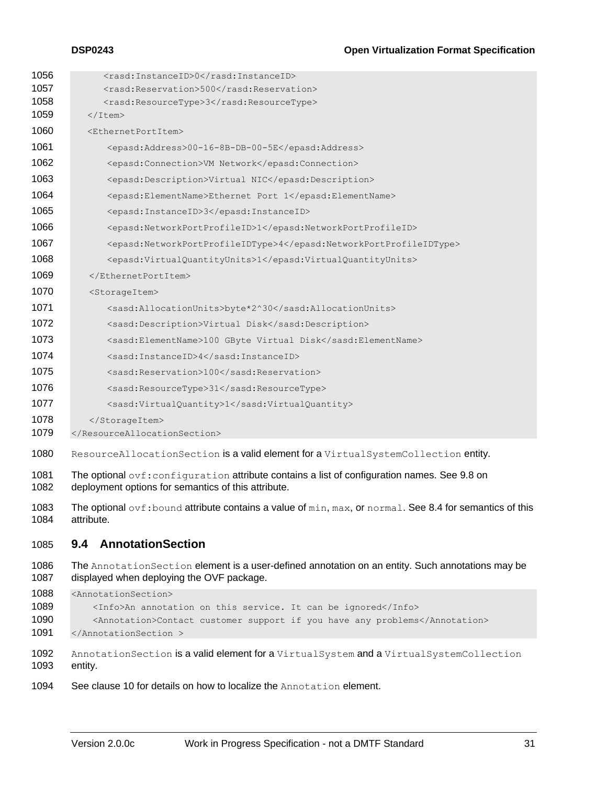## **DEPA 3 Open Virtualization Format Specification**

<span id="page-30-0"></span>

| 1056                         | <rasd:instanceid>0</rasd:instanceid>                                                                                                                                                          |  |  |
|------------------------------|-----------------------------------------------------------------------------------------------------------------------------------------------------------------------------------------------|--|--|
| 1057<br>1058                 | <rasd:reservation>500</rasd:reservation><br><rasd:resourcetype>3</rasd:resourcetype>                                                                                                          |  |  |
| 1059                         | $\langle$ /Item $\rangle$                                                                                                                                                                     |  |  |
| 1060                         | <ethernetportitem></ethernetportitem>                                                                                                                                                         |  |  |
| 1061                         | <epasd:address>00-16-8B-DB-00-5E</epasd:address>                                                                                                                                              |  |  |
| 1062                         | <epasd:connection>VM Network</epasd:connection>                                                                                                                                               |  |  |
| 1063                         | <epasd:description>Virtual NIC</epasd:description>                                                                                                                                            |  |  |
| 1064                         | <epasd:elementname>Ethernet Port 1</epasd:elementname>                                                                                                                                        |  |  |
| 1065                         | <epasd:instanceid>3</epasd:instanceid>                                                                                                                                                        |  |  |
| 1066                         | <epasd:networkportprofileid>1</epasd:networkportprofileid>                                                                                                                                    |  |  |
| 1067                         | <epasd:networkportprofileidtype>4</epasd:networkportprofileidtype>                                                                                                                            |  |  |
| 1068                         | <epasd:virtualquantityunits>1</epasd:virtualquantityunits>                                                                                                                                    |  |  |
| 1069                         |                                                                                                                                                                                               |  |  |
| 1070                         | <storageitem></storageitem>                                                                                                                                                                   |  |  |
| 1071                         | <sasd:allocationunits>byte*2^30</sasd:allocationunits>                                                                                                                                        |  |  |
| 1072                         | <sasd:description>Virtual Disk</sasd:description>                                                                                                                                             |  |  |
| 1073                         | <sasd:elementname>100 GByte Virtual Disk</sasd:elementname>                                                                                                                                   |  |  |
| 1074                         | <sasd:instanceid>4</sasd:instanceid>                                                                                                                                                          |  |  |
| 1075                         | <sasd:reservation>100</sasd:reservation>                                                                                                                                                      |  |  |
| 1076                         | <sasd:resourcetype>31</sasd:resourcetype>                                                                                                                                                     |  |  |
| 1077                         | <sasd:virtualquantity>1</sasd:virtualquantity>                                                                                                                                                |  |  |
| 1078                         |                                                                                                                                                                                               |  |  |
| 1079                         |                                                                                                                                                                                               |  |  |
| 1080                         | ResourceAllocationSection is a valid element for a VirtualSystemCollection entity.                                                                                                            |  |  |
| 1081<br>1082                 | The optional $\text{ovf:}\text{configuration}$ attribute contains a list of configuration names. See 9.8 on<br>deployment options for semantics of this attribute.                            |  |  |
| 1083<br>1084                 | The optional $\text{ovf}:$ bound attribute contains a value of $\min$ , $\max$ , or $\text{normal}$ . See 8.4 for semantics of this<br>attribute.                                             |  |  |
| 1085                         | 9.4 AnnotationSection                                                                                                                                                                         |  |  |
| 1086<br>1087                 | The AnnotationSection element is a user-defined annotation on an entity. Such annotations may be<br>displayed when deploying the OVF package.                                                 |  |  |
| 1088<br>1089<br>1090<br>1091 | <annotationsection><br/><info>An annotation on this service. It can be ignored</info><br/><annotation>Contact customer support if you have any problems</annotation><br/></annotationsection> |  |  |
| 1092<br>1093                 | AnnotationSection is a valid element for a VirtualSystem and a VirtualSystemCollection<br>entity.                                                                                             |  |  |
| 1094                         | See clause 10 for details on how to localize the Annotation element.                                                                                                                          |  |  |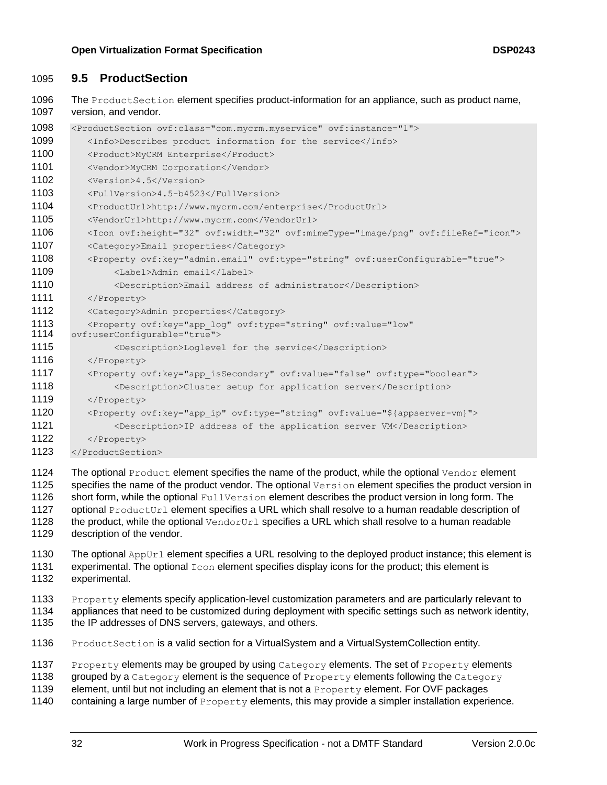#### <span id="page-31-0"></span>**9.5 ProductSection**

1096 The ProductSection element specifies product-information for an appliance, such as product name, version, and vendor.

| 1098         | <productsection ovf:class="com.mycrm.myservice" ovf:instance="1"></productsection>                              |  |
|--------------|-----------------------------------------------------------------------------------------------------------------|--|
| 1099         | <info>Describes product information for the service</info>                                                      |  |
| 1100         | <product>MyCRM Enterprise</product>                                                                             |  |
| 1101         | <vendor>MyCRM Corporation</vendor>                                                                              |  |
| 1102         | <version>4.5</version>                                                                                          |  |
| 1103         | <fullversion>4.5-b4523</fullversion>                                                                            |  |
| 1104         | <producturl>http://www.mycrm.com/enterprise</producturl>                                                        |  |
| 1105         | <vendorurl>http://www.mycrm.com</vendorurl>                                                                     |  |
| 1106         | <icon ovf:fileref="icon" ovf:height="32" ovf:mimetype="image/png" ovf:width="32"></icon>                        |  |
| 1107         | <category>Email properties</category>                                                                           |  |
| 1108         | <property ovf:key="admin.email" ovf:type="string" ovf:userconfigurable="true"></property>                       |  |
| 1109         | <label>Admin email</label>                                                                                      |  |
| 1110         | <description>Email address of administrator</description>                                                       |  |
| 1111         |                                                                                                                 |  |
| 1112         | <category>Admin properties</category>                                                                           |  |
| 1113<br>1114 | <property <br="" ovf:key="app log" ovf:type="string" ovf:value="low">ovf:userConfigurable="true"&gt;</property> |  |
| 1115         | <description>Loglevel for the service</description>                                                             |  |
| 1116         |                                                                                                                 |  |
| 1117         | <property ovf:key="app isSecondary" ovf:type="boolean" ovf:value="false"></property>                            |  |
| 1118         | <description>Cluster setup for application server</description>                                                 |  |
| 1119         |                                                                                                                 |  |
| 1120         | <property ovf:key="app_ip" ovf:type="string" ovf:value="\${appserver-vm}"></property>                           |  |
| 1121         | <description>IP address of the application server VM</description>                                              |  |
| 1122         |                                                                                                                 |  |
| 1123         |                                                                                                                 |  |

1124 The optional Product element specifies the name of the product, while the optional Vendor element 1125 specifies the name of the product vendor. The optional Version element specifies the product version in 1126 short form, while the optional FullVersion element describes the product version in long form. The 1127 optional ProductUrl element specifies a URL which shall resolve to a human readable description of 1128 the product, while the optional  $VendorUr1$  specifies a URL which shall resolve to a human readable description of the vendor.

```
1130 The optional \text{AppUT} element specifies a URL resolving to the deployed product instance; this element is
1131 experimental. The optional I_{\text{con}} element specifies display icons for the product; this element is
```
- experimental.
- 1133 Property elements specify application-level customization parameters and are particularly relevant to appliances that need to be customized during deployment with specific settings such as network identity, 1135 the IP addresses of DNS servers, gateways, and others.
- 1136 ProductSection is a valid section for a VirtualSystem and a VirtualSystemCollection entity.
- 1137 Property elements may be grouped by using Category elements. The set of Property elements
- 1138 grouped by a Category element is the sequence of Property elements following the Category
- 1139 element, until but not including an element that is not a Property element. For OVF packages
- 1140 containing a large number of  $Property$  elements, this may provide a simpler installation experience.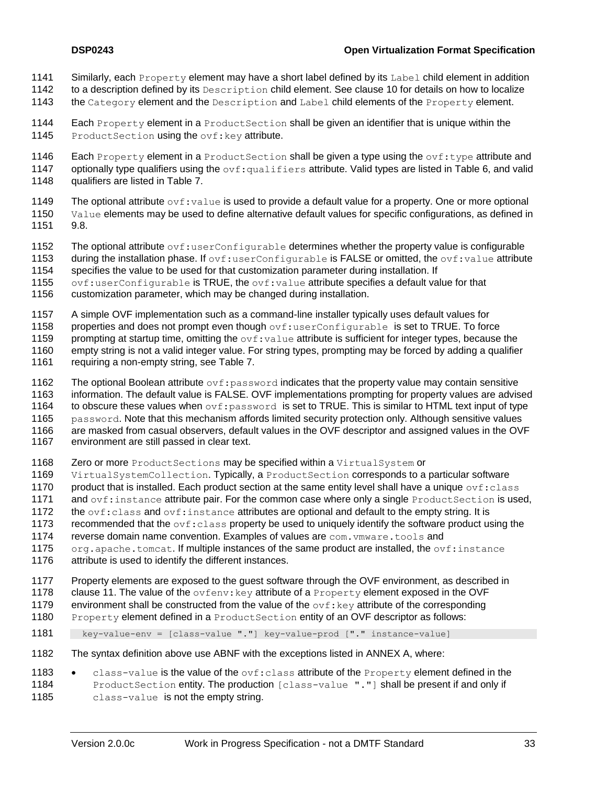- 1141 Similarly, each Property element may have a short label defined by its Label child element in addition
- 1142 to a description defined by its Description child element. See clause [10](#page-46-0) for details on how to localize
- 1143 the Category element and the Description and Label child elements of the Property element.
- 1144 Each Property element in a ProductSection shall be given an identifier that is unique within the 1145 ProductSection using the ovf: key attribute.
- 1146 Each Property element in a Product Section shall be given a type using the  $ovf:type$  attribute and 1147 optionally type qualifiers using the  $ovf$ : qualifiers attribute. Valid types are listed in [Table 6,](#page-33-0) and valid 1148 qualifiers are listed in [Table 7.](#page-34-2)
- 1149 The optional attribute  $\text{ovf:}$  value is used to provide a default value for a property. One or more optional 1150 Value elements may be used to define alternative default values for specific configurations, as defined in 1151 [9.8.](#page-35-0)
- 1152 The optional attribute  $\text{ovf:}$ userConfigurable determines whether the property value is configurable
- 1153 during the installation phase. If  $ovf:userConfigurable$  is FALSE or omitted, the  $ovf:value$  attribute
- 1154 specifies the value to be used for that customization parameter during installation. If
- 1155 ovf:userConfigurable is TRUE, the  $ovf:$  value attribute specifies a default value for that
- 1156 customization parameter, which may be changed during installation.
- 1157 A simple OVF implementation such as a command-line installer typically uses default values for
- 1158 properties and does not prompt even though ovf:userConfigurable is set to TRUE. To force
- 1159 prompting at startup time, omitting the  $ovf:value$  attribute is sufficient for integer types, because the
- 1160 empty string is not a valid integer value. For string types, prompting may be forced by adding a qualifier
- 1161 requiring a non-empty string, see [Table 7.](#page-34-2)
- 1162 The optional Boolean attribute  $\cot$ : password indicates that the property value may contain sensitive
- 1163 information. The default value is FALSE. OVF implementations prompting for property values are advised
- 1164 to obscure these values when  $\text{ovf:password}$  is set to TRUE. This is similar to HTML text input of type
- 1165 password. Note that this mechanism affords limited security protection only. Although sensitive values
- 1166 are masked from casual observers, default values in the OVF descriptor and assigned values in the OVF
- 1167 environment are still passed in clear text.
- 1168 Zero or more ProductSections may be specified within a VirtualSystem or
- 1169 VirtualSystemCollection. Typically, a ProductSection corresponds to a particular software
- 1170 product that is installed. Each product section at the same entity level shall have a unique  $\text{ovf:class}$
- 1171 and  $ovf$ : instance attribute pair. For the common case where only a single ProductSection is used,
- 1172 the  $ovf:class$  and  $ovf:instance$  attributes are optional and default to the empty string. It is
- 1173 recommended that the  $\text{ovf: class property}$  be used to uniquely identify the software product using the
- 1174 reverse domain name convention. Examples of values are com. vmware. tools and
- 1175 org.apache.tomcat. If multiple instances of the same product are installed, the  $ovf$ : instance
- 1176 attribute is used to identify the different instances.
- 1177 Property elements are exposed to the guest software through the OVF environment, as described in
- 1178 clause [11.](#page-49-0) The value of the ovfenv: key attribute of a Property element exposed in the OVF
- 1179 environment shall be constructed from the value of the  $\text{ovf}: \text{key}$  attribute of the corresponding
- 1180 Property element defined in a ProductSection entity of an OVF descriptor as follows:
- 1181 key-value-env = [class-value "."] key-value-prod ["." instance-value]
- 1182 The syntax definition above use ABNF with the exceptions listed in [ANNEX A,](#page-52-0) where:
- 1183  $\bullet$  class-value is the value of the ovf: class attribute of the Property element defined in the 1184 ProductSection entity. The production [class-value "."] shall be present if and only if 1185 class-value is not the empty string.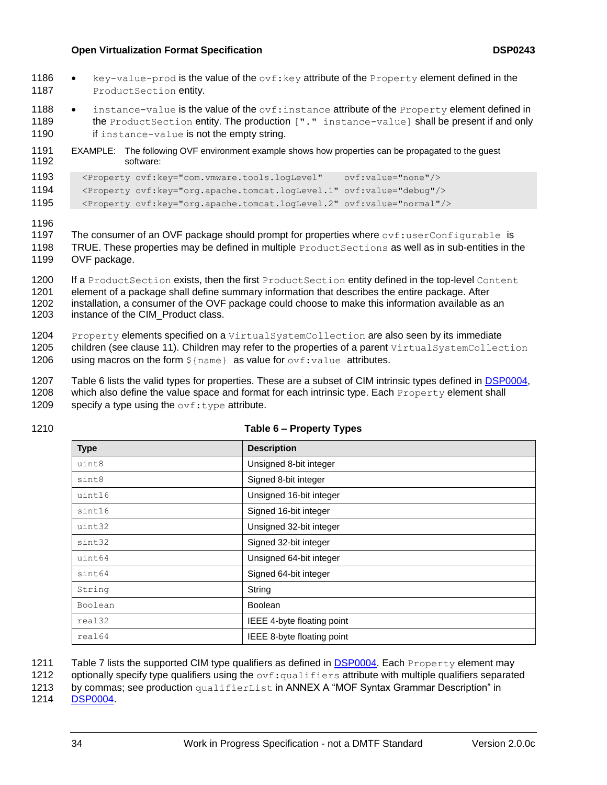- 1186 key-value-prod is the value of the ovf: key attribute of the Property element defined in the 1187 Product Section entity.
- 1188  $\bullet$  instance-value is the value of the ovf: instance attribute of the Property element defined in 1189 the ProductSection entity. The production ["." instance-value] shall be present if and only 1190 if instance-value is not the empty string.
- 1191 EXAMPLE: The following OVF environment example shows how properties can be propagated to the guest software:

```
1193 <Property ovf:key="com.vmware.tools.logLevel" ovf:value="none"/>
```

```
1194 <Property ovf:key="org.apache.tomcat.logLevel.1" ovf:value="debug"/>
```

```
1195 <Property ovf:key="org.apache.tomcat.logLevel.2" ovf:value="normal"/>
```
1196

- 1197 The consumer of an OVF package should prompt for properties where  $\text{ovf:}$ userConfigurable is 1198 TRUE. These properties may be defined in multiple Product Sections as well as in sub-entities in the 1199 OVF package.
- 1200 If a ProductSection exists, then the first ProductSection entity defined in the top-level Content 1201 element of a package shall define summary information that describes the entire package. After 1202 installation, a consumer of the OVF package could choose to make this information available as an 1203 instance of the CIM Product class.
- 1204 Property elements specified on a VirtualSystemCollection are also seen by its immediate 1205 children (see clause [11\)](#page-49-0). Children may refer to the properties of a parent VirtualSystemCollection 1206 using macros on the form  $\S$ {name} as value for  $ovf$ : value attributes.
- 1207 [Table 6](#page-33-0) lists the valid types for properties. These are a subset of CIM intrinsic types defined in DSP0004,
- 1208 which also define the value space and format for each intrinsic type. Each Property element shall 1209 specify a type using the  $ovf:type$  attribute.

#### 1210 **Table 6 – Property Types**

<span id="page-33-0"></span>

| <b>Type</b> | <b>Description</b>         |
|-------------|----------------------------|
| uint8       | Unsigned 8-bit integer     |
| sint8       | Signed 8-bit integer       |
| uint16      | Unsigned 16-bit integer    |
| sint16      | Signed 16-bit integer      |
| uint32      | Unsigned 32-bit integer    |
| sint32      | Signed 32-bit integer      |
| uint64      | Unsigned 64-bit integer    |
| sint64      | Signed 64-bit integer      |
| String      | String                     |
| Boolean     | <b>Boolean</b>             |
| real32      | IEEE 4-byte floating point |
| real64      | IEEE 8-byte floating point |

1211 [Table 7](#page-34-2) lists the supported CIM type qualifiers as defined in DSP0004. Each Property element may

1212 optionally specify type qualifiers using the  $\text{ovf:}$  qualifiers attribute with multiple qualifiers separated

1214 DSP0004.

<sup>1213</sup> by commas; see production qualifierList in ANNEX A "MOF Syntax Grammar Description" in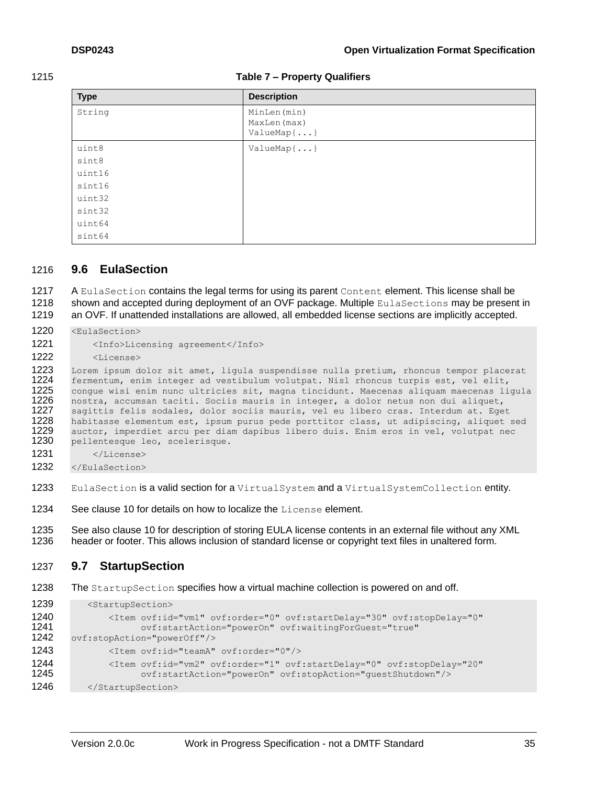#### 1215 **Table 7 – Property Qualifiers**

<span id="page-34-2"></span>

| <b>Type</b> | <b>Description</b>                       |
|-------------|------------------------------------------|
| String      | MinLen(min)<br>MaxLen(max)<br>ValueMap{} |
| uint8       | $ValueMap\{ \}$                          |
| sint8       |                                          |
| uint16      |                                          |
| sint16      |                                          |
| uint32      |                                          |
| sint32      |                                          |
| uint64      |                                          |
| sint64      |                                          |

#### <span id="page-34-0"></span>1216 **9.6 EulaSection**

1217 A EulaSection contains the legal terms for using its parent Content element. This license shall be 1218 shown and accepted during deployment of an OVF package. Multiple EulaSections may be present in 1219 an OVF. If unattended installations are allowed, all embedded license sections are implicitly accepted.

1220 <EulaSection>

```
1221 <Info>Licensing agreement</Info>
```
 $1222$   $\leq$ License>

1223 Lorem ipsum dolor sit amet, ligula suspendisse nulla pretium, rhoncus tempor placerat 1224 fermentum, enim integer ad vestibulum volutpat. Nisl rhoncus turpis est, vel elit, 1225 congue wisi enim nunc ultricies sit, magna tincidunt. Maecenas aliquam maecenas ligula<br>1226 nostra, accumsan taciti. Sociis mauris in integer, a dolor netus non dui aliguet, nostra, accumsan taciti. Sociis mauris in integer, a dolor netus non dui aliquet, 1227 sagittis felis sodales, dolor sociis mauris, vel eu libero cras. Interdum at. Eget<br>1228 habitasse elementum est, ipsum purus pede porttitor class, ut adipiscing, aliquet ; habitasse elementum est, ipsum purus pede porttitor class, ut adipiscing, aliquet sed 1229 auctor, imperdiet arcu per diam dapibus libero duis. Enim eros in vel, volutpat nec 1230 pellentesque leo, scelerisque.

- 1231 </License>
- 1232 </EulaSection>
- 1233 EulaSection is a valid section for a VirtualSystem and a VirtualSystemCollection entity.
- 1234 See clause [10](#page-46-0) for details on how to localize the License element.

1235 See also clause 10 for description of storing EULA license contents in an external file without any XML 1236 header or footer. This allows inclusion of standard license or copyright text files in unaltered form.

#### <span id="page-34-1"></span>1237 **9.7 StartupSection**

1238 The StartupSection specifies how a virtual machine collection is powered on and off.

```
1239 <StartupSection>
1240 <Item ovf:id="vm1" ovf:order="0" ovf:startDelay="30" ovf:stopDelay="0"<br>1241 ovf:startAction="powerOn" ovf:waitingForGuest="true"
1241 ovf:startAction="powerOn" ovf:waitingForGuest="true"<br>1242 ovf:stopAction="powerOff"/>
         ovf:stopAction="powerOff"/>
1243 <Item ovf:id="teamA" ovf:order="0"/>
1244 <Item ovf:id="vm2" ovf:order="1" ovf:startDelay="0" ovf:stopDelay="20"<br>1245 ovf:startAction="powerOn" ovf:stopAction="questShutdown"/>
                         ovf:startAction="powerOn" ovf:stopAction="guestShutdown"/>
1246 </StartupSection>
```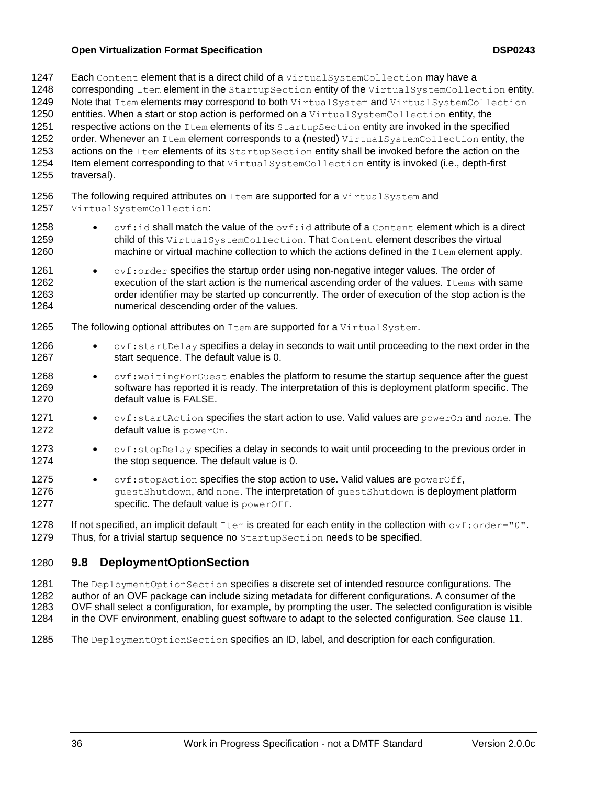1247 Each Content element that is a direct child of a Virtual SystemCollection may have a 1248 corresponding Item element in the StartupSection entity of the VirtualSystemCollection entity. 1249 Note that Item elements may correspond to both VirtualSystem and VirtualSystemCollection 1250 entities. When a start or stop action is performed on a VirtualSystemCollection entity, the 1251 respective actions on the Item elements of its StartupSection entity are invoked in the specified 1252 order. Whenever an Item element corresponds to a (nested) VirtualSystemCollection entity, the 1253 actions on the Item elements of its StartupSection entity shall be invoked before the action on the 1254 Item element corresponding to that VirtualSystemCollection entity is invoked (i.e., depth-first 1255 traversal). 1256 The following required attributes on Item are supported for a VirtualSystem and 1257 VirtualSystemCollection: 1258  $\bullet$  ovf: id shall match the value of the ovf: id attribute of a Content element which is a direct 1259 child of this VirtualSystemCollection. That Content element describes the virtual 1260 machine or virtual machine collection to which the actions defined in the Item element apply. 1261 • ovf: order specifies the startup order using non-negative integer values. The order of 1262 execution of the start action is the numerical ascending order of the values. Items with same 1263 order identifier may be started up concurrently. The order of execution of the stop action is the 1264 numerical descending order of the values. 1265 The following optional attributes on Item are supported for a VirtualSystem. 1266 • ovf: startDelay specifies a delay in seconds to wait until proceeding to the next order in the 1267 start sequence. The default value is 0. 1268 • ovf: waiting For Guest enables the platform to resume the startup sequence after the quest 1269 software has reported it is ready. The interpretation of this is deployment platform specific. The 1270 default value is FALSE. 1271 • ovf: startAction specifies the start action to use. Valid values are powerOn and none. The 1272 default value is powerOn. 1273 • ovf: stopDelay specifies a delay in seconds to wait until proceeding to the previous order in 1274 the stop sequence. The default value is 0. 1275 • ovf: stopAction specifies the stop action to use. Valid values are powerOff, 1276 guestShutdown, and none. The interpretation of questShutdown is deployment platform 1277 specific. The default value is powerOff. 1278 If not specified, an implicit default  $I$ tem is created for each entity in the collection with  $\sigma v f : \sigma v$  and  $T$ . 1279 Thus, for a trivial startup sequence no StartupSection needs to be specified.

## <span id="page-35-0"></span>1280 **9.8 DeploymentOptionSection**

1281 The DeploymentOptionSection specifies a discrete set of intended resource configurations. The author of an OVF package can include sizing metadata for different configurations. A consumer of the OVF shall select a configuration, for example, by prompting the user. The selected configuration is visible in the OVF environment, enabling guest software to adapt to the selected configuration. See clause [11.](#page-49-0)

1285 The DeploymentOptionSection specifies an ID, label, and description for each configuration.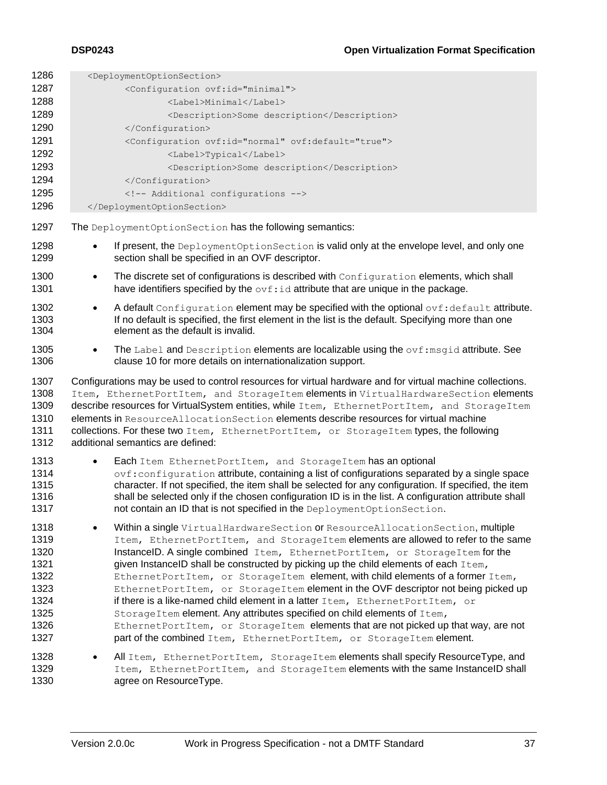| 1286                                 | <deploymentoptionsection></deploymentoptionsection>                                                                                                                                                                                                                                                                                                                                                                                                              |
|--------------------------------------|------------------------------------------------------------------------------------------------------------------------------------------------------------------------------------------------------------------------------------------------------------------------------------------------------------------------------------------------------------------------------------------------------------------------------------------------------------------|
| 1287                                 | <configuration ovf:id="minimal"></configuration>                                                                                                                                                                                                                                                                                                                                                                                                                 |
| 1288                                 | <label>Minimal</label>                                                                                                                                                                                                                                                                                                                                                                                                                                           |
| 1289                                 | <description>Some description</description>                                                                                                                                                                                                                                                                                                                                                                                                                      |
| 1290                                 |                                                                                                                                                                                                                                                                                                                                                                                                                                                                  |
| 1291                                 | <configuration ovf:default="true" ovf:id="normal"></configuration>                                                                                                                                                                                                                                                                                                                                                                                               |
| 1292                                 | <label>Typical</label>                                                                                                                                                                                                                                                                                                                                                                                                                                           |
| 1293                                 | <description>Some description</description>                                                                                                                                                                                                                                                                                                                                                                                                                      |
| 1294                                 |                                                                                                                                                                                                                                                                                                                                                                                                                                                                  |
| 1295                                 | Additional configurations                                                                                                                                                                                                                                                                                                                                                                                                                                        |
| 1296                                 |                                                                                                                                                                                                                                                                                                                                                                                                                                                                  |
| 1297                                 | The DeploymentOptionSection has the following semantics:                                                                                                                                                                                                                                                                                                                                                                                                         |
| 1298                                 | If present, the Deployment Option Section is valid only at the envelope level, and only one                                                                                                                                                                                                                                                                                                                                                                      |
| 1299                                 | section shall be specified in an OVF descriptor.                                                                                                                                                                                                                                                                                                                                                                                                                 |
| 1300<br>1301                         | The discrete set of configurations is described with Configuration elements, which shall<br>$\bullet$<br>have identifiers specified by the $\text{ovf}: \text{id}$ attribute that are unique in the package.                                                                                                                                                                                                                                                     |
| 1302<br>1303<br>1304                 | A default Configuration element may be specified with the optional ovf: default attribute.<br>$\bullet$<br>If no default is specified, the first element in the list is the default. Specifying more than one<br>element as the default is invalid.                                                                                                                                                                                                              |
| 1305<br>1306                         | The Label and Description elements are localizable using the ovf: msgid attribute. See<br>$\bullet$<br>clause 10 for more details on internationalization support.                                                                                                                                                                                                                                                                                               |
| 1307                                 | Configurations may be used to control resources for virtual hardware and for virtual machine collections.                                                                                                                                                                                                                                                                                                                                                        |
| 1308                                 | Item, EthernetPortItem, and StorageItem elements in VirtualHardwareSection elements                                                                                                                                                                                                                                                                                                                                                                              |
| 1309                                 | describe resources for VirtualSystem entities, while Item, EthernetPortItem, and StorageItem                                                                                                                                                                                                                                                                                                                                                                     |
| 1310                                 | elements in ResourceAllocationSection elements describe resources for virtual machine                                                                                                                                                                                                                                                                                                                                                                            |
| 1311                                 | collections. For these two Item, EthernetPortItem, or StorageItem types, the following                                                                                                                                                                                                                                                                                                                                                                           |
| 1312                                 | additional semantics are defined:                                                                                                                                                                                                                                                                                                                                                                                                                                |
| 1313<br>1314<br>1315<br>1316<br>1317 | Each Item EthernetPortItem, and StorageItem has an optional<br>٠<br>ovf: configuration attribute, containing a list of configurations separated by a single space<br>character. If not specified, the item shall be selected for any configuration. If specified, the item<br>shall be selected only if the chosen configuration ID is in the list. A configuration attribute shall<br>not contain an ID that is not specified in the Deployment Option Section. |
| 1318                                 | Within a single VirtualHardwareSection or ResourceAllocationSection, multiple                                                                                                                                                                                                                                                                                                                                                                                    |
| 1319                                 | Item, EthernetPortItem, and StorageItem elements are allowed to refer to the same                                                                                                                                                                                                                                                                                                                                                                                |
| 1320                                 | InstanceID. A single combined Item, EthernetPortItem, or StorageItem for the                                                                                                                                                                                                                                                                                                                                                                                     |
| 1321                                 | given InstanceID shall be constructed by picking up the child elements of each Item,                                                                                                                                                                                                                                                                                                                                                                             |
| 1322                                 | EthernetPortItem, or StorageItem element, with child elements of a former Item,                                                                                                                                                                                                                                                                                                                                                                                  |
| 1323                                 | EthernetPortItem, or StorageItem element in the OVF descriptor not being picked up                                                                                                                                                                                                                                                                                                                                                                               |
| 1324                                 | if there is a like-named child element in a latter Item, EthernetPortItem, or                                                                                                                                                                                                                                                                                                                                                                                    |
| 1325                                 | StorageItem element. Any attributes specified on child elements of Item,                                                                                                                                                                                                                                                                                                                                                                                         |
| 1326                                 | EthernetPortItem, or StorageItem elements that are not picked up that way, are not                                                                                                                                                                                                                                                                                                                                                                               |
| 1327                                 | part of the combined Item, EthernetPortItem, or StorageItem element.                                                                                                                                                                                                                                                                                                                                                                                             |
| 1328                                 | All Item, EthernetPortItem, StorageItem elements shall specify ResourceType, and                                                                                                                                                                                                                                                                                                                                                                                 |
| 1329                                 | Item, EthernetPortItem, and StorageItem elements with the same InstanceID shall                                                                                                                                                                                                                                                                                                                                                                                  |
| 1330                                 | agree on ResourceType.                                                                                                                                                                                                                                                                                                                                                                                                                                           |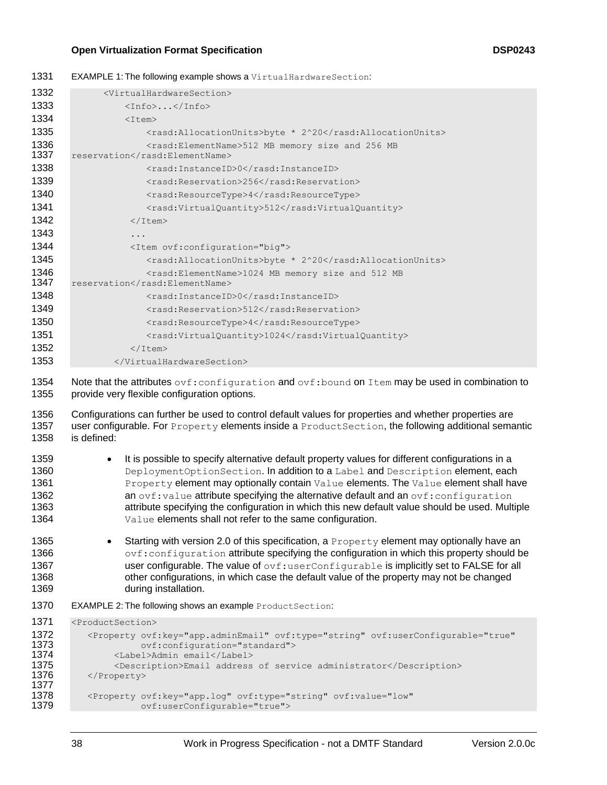1331 EXAMPLE 1: The following example shows a Virtual Hardware Section: 1332 <VirtualHardwareSection> 1333 <Info>...</Info>  $1334$   $\langle$ Ttem> 1335 <rasd:AllocationUnits>byte \* 2^20</rasd:AllocationUnits> 1336 <rasd:ElementName>512 MB memory size and 256 MB 1337 reservation</rasd:ElementName> 1338 <tasd:InstanceID>0</rasd:InstanceID> 1339 <rasd:Reservation>256</rasd:Reservation> 1340 <rasd:ResourceType>4</rasd:ResourceType> 1341 <asd:VirtualQuantity>512</rasd:VirtualQuantity> 1342 </Item> 1343 ... 1344 <ttem ovf:configuration="big"> 1345 <rasd:AllocationUnits>byte \* 2^20</rasd:AllocationUnits> 1346 <casd:ElementName>1024 MB memory size and 512 MB<br>1347 reservation</rasd:ElementName> reservation</rasd:ElementName> 1348 <tasd:InstanceID>0</rasd:InstanceID> 1349 <rasd:Reservation>512</rasd:Reservation> 1350 <rasd:ResourceType>4</rasd:ResourceType> 1351 <rasd:VirtualOuantity>1024</rasd:VirtualOuantity> 1352 </Item> 1353 </VirtualHardwareSection> 1354 Note that the attributes  $\text{ovf:}$  configuration and  $\text{ovf:}$  bound on Item may be used in combination to 1355 provide very flexible configuration options. 1356 Configurations can further be used to control default values for properties and whether properties are 1357 user configurable. For Property elements inside a ProductSection, the following additional semantic 1358 is defined: 1359 **I** It is possible to specify alternative default property values for different configurations in a 1360 DeploymentOptionSection. In addition to a Label and Description element, each 1361 Property element may optionally contain Value elements. The Value element shall have 1362 an ovf:value attribute specifying the alternative default and an ovf:configuration 1363 attribute specifying the configuration in which this new default value should be used. Multiple 1364 Value elements shall not refer to the same configuration. 1365 • Starting with version 2.0 of this specification, a Property element may optionally have an 1366 ovf: configuration attribute specifying the configuration in which this property should be 1367 **user configurable. The value of**  $\text{ovf:}$  userConfigurable is implicitly set to FALSE for all 1368 other configurations, in which case the default value of the property may not be changed 1369 during installation. 1370 EXAMPLE 2: The following shows an example ProductSection: 1371 <ProductSection> 1372 <Property ovf:key="app.adminEmail" ovf:type="string" ovf:userConfigurable="true" 1373 ovf:configuration="standard"><br>1374 <Label>Admin email</Label> 1374 <Label>Admin email</Label> 1375 <Description>Email address of service administrator</Description><br>1376 </Property> </Property> 1377 1378 <Property ovf:key="app.log" ovf:type="string" ovf:value="low"<br>1379 vef:userConfigurable="true"> ovf:userConfigurable="true">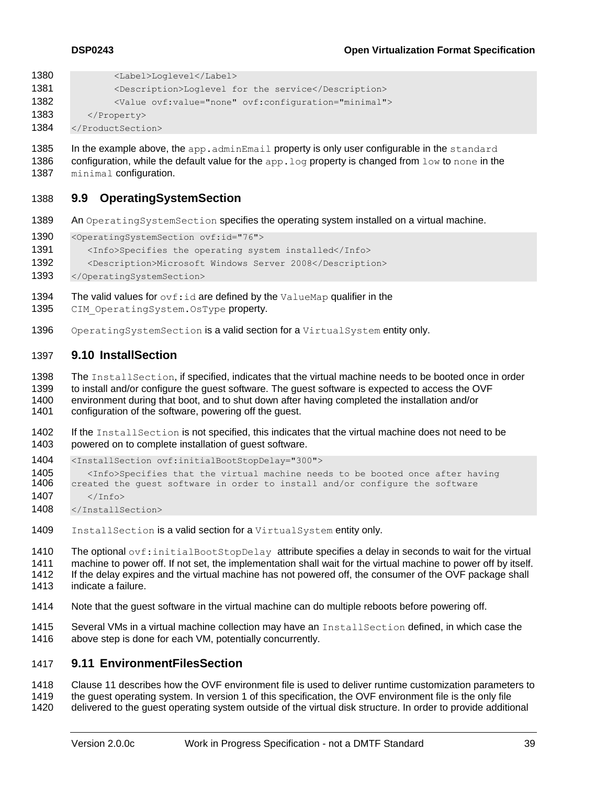| 1380 | <label>Loqlevel</label>                                      |
|------|--------------------------------------------------------------|
| 1381 | <description>Loglevel for the service</description>          |
| 1382 | <value ovf:configuration="minimal" ovf:value="none"></value> |
| 1383 | $\langle$ /Property>                                         |
| 1384 |                                                              |

1385 In the example above, the app. adminEmail property is only user configurable in the standard 1386 configuration, while the default value for the app.  $log$  property is changed from  $low$  to none in the 1387 minimal configuration.

<span id="page-38-0"></span>

### 1388 **9.9 OperatingSystemSection**

- 1389 An OperatingSystemSection specifies the operating system installed on a virtual machine.
- 1390 <OperatingSystemSection ovf:id="76">
- 1391 <Info>Specifies the operating system installed</Info> 1392 <Description>Microsoft Windows Server 2008</Description>
- 1393 </OperatingSystemSection>
- 1394 The valid values for  $\text{ovf}:id$  are defined by the ValueMap qualifier in the
- 1395 CIM OperatingSystem. OsType property.
- <span id="page-38-1"></span>1396 OperatingSystemSection is a valid section for a VirtualSystem entity only.

#### 1397 **9.10 InstallSection**

1398 The InstallSection, if specified, indicates that the virtual machine needs to be booted once in order

1399 to install and/or configure the guest software. The guest software is expected to access the OVF 1400 environment during that boot, and to shut down after having completed the installation and/or

- 1401 configuration of the software, powering off the guest.
- 1402 If the InstallSection is not specified, this indicates that the virtual machine does not need to be 1403 powered on to complete installation of guest software.
- 1404 <InstallSection ovf:initialBootStopDelay="300">

1405 <Info>Specifies that the virtual machine needs to be booted once after having 1406 created the quest software in order to install and/or configure the software 1407 </Info>

- 1408 </InstallSection>
- 1409 InstallSection is a valid section for a VirtualSystem entity only.
- 1410 The optional  $ovf:initialBoosttopDelay$  attribute specifies a delay in seconds to wait for the virtual 1411 machine to power off. If not set, the implementation shall wait for the virtual machine to power off by itself.
- 1412 If the delay expires and the virtual machine has not powered off, the consumer of the OVF package shall 1413 indicate a failure.
- 1414 Note that the guest software in the virtual machine can do multiple reboots before powering off.
- 1415 Several VMs in a virtual machine collection may have an InstallSection defined, in which case the 1416 above step is done for each VM, potentially concurrently.

#### <span id="page-38-2"></span>1417 **9.11 EnvironmentFilesSection**

1418 Clause [11](#page-49-0) describes how the OVF environment file is used to deliver runtime customization parameters to

- 1419 the guest operating system. In version 1 of this specification, the OVF environment file is the only file
- 1420 delivered to the guest operating system outside of the virtual disk structure. In order to provide additional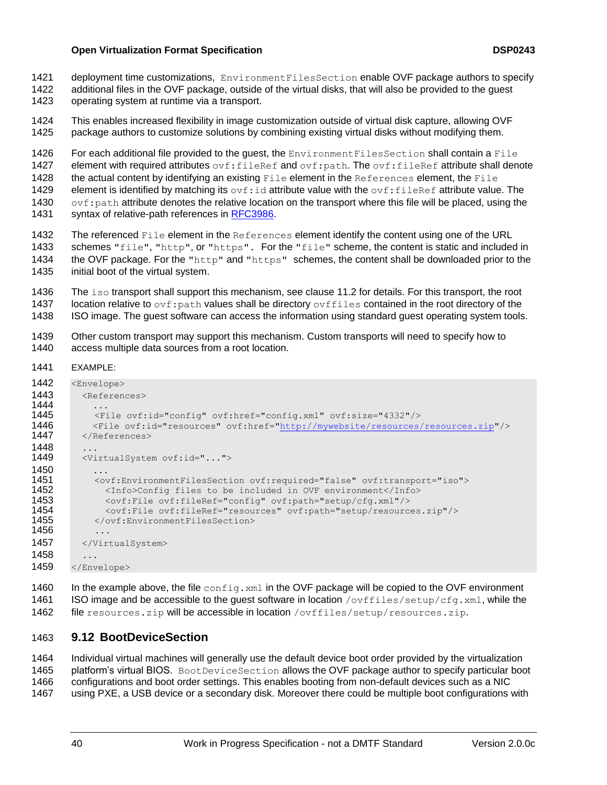1421 deployment time customizations, EnvironmentFilesSection enable OVF package authors to specify

- 1422 additional files in the OVF package, outside of the virtual disks, that will also be provided to the guest 1423 operating system at runtime via a transport.
- 1424 This enables increased flexibility in image customization outside of virtual disk capture, allowing OVF 1425 package authors to customize solutions by combining existing virtual disks without modifying them.

1426 For each additional file provided to the guest, the Environment FilesSection shall contain a File

1427 element with required attributes ovf: fileRef and ovf: path. The ovf: fileRef attribute shall denote

1428 the actual content by identifying an existing  $File$  element in the References element, the File

- 1429 element is identified by matching its  $\cot i$  attribute value with the  $\cot i$  fileRef attribute value. The 1430 ovf: path attribute denotes the relative location on the transport where this file will be placed, using the
- 1431 syntax of relative-path references in [RFC3986.](#page-8-1)
- 1432 The referenced File element in the References element identify the content using one of the URL 1433 schemes "file", "http", or "https". For the "file" scheme, the content is static and included in 1434 the OVF package. For the "http" and "https" schemes, the content shall be downloaded prior to the 1435 initial boot of the virtual system.
- 1436 The iso transport shall support this mechanism, see clause [11.2](#page-50-0) for details. For this transport, the root 1437 location relative to  $ovf:path$  values shall be directory  $ovffiles$  contained in the root directory of the
- 1438 ISO image. The guest software can access the information using standard guest operating system tools.
- 1439 Other custom transport may support this mechanism. Custom transports will need to specify how to 1440 access multiple data sources from a root location.
- 1441 EXAMPLE:

```
1442 <Envelope>
1443 <References>
1444<br>1445
1445 <File ovf:id="config" ovf:href="config.xml" ovf:size="4332"/><br>1446 <File ovf:id="resources" ovf:href="http://mywebsite/resources/
"http://mywebsite/resources/resources.zip"/><br>1447 </References>
          \langle/References>
1448<br>1449
          <VirtualSystem ovf:id="...">
1450<br>1451
1451 < ovf:EnvironmentFilesSection ovf:required="false" ovf:transport="iso"><br>1452 < This>Config files to be included in OVF environment</Info>
1452 <Info>Config files to be included in OVF environment</Info>
               1453 <ovf:File ovf:fileRef="config" ovf:path="setup/cfg.xml"/>
1454 <ovf:File ovf:fileRef="resources" ovf:path="setup/resources.zip"/>
1455 </ovf:EnvironmentFilesSection>
1456
1457 </VirtualSystem>
1458 ...
1459 </Envelope>
```
1460 In the example above, the file config.xml in the OVF package will be copied to the OVF environment 1461 ISO image and be accessible to the guest software in location  $/\text{ovffiles}/\text{setup}/\text{cfg.xml}$ , while the 1462 file resources.zip will be accessible in location /ovffiles/setup/resources.zip.

### <span id="page-39-0"></span>1463 **9.12 BootDeviceSection**

 Individual virtual machines will generally use the default device boot order provided by the virtualization platform's virtual BIOS. BootDeviceSection allows the OVF package author to specify particular boot configurations and boot order settings. This enables booting from non-default devices such as a NIC using PXE, a USB device or a secondary disk. Moreover there could be multiple boot configurations with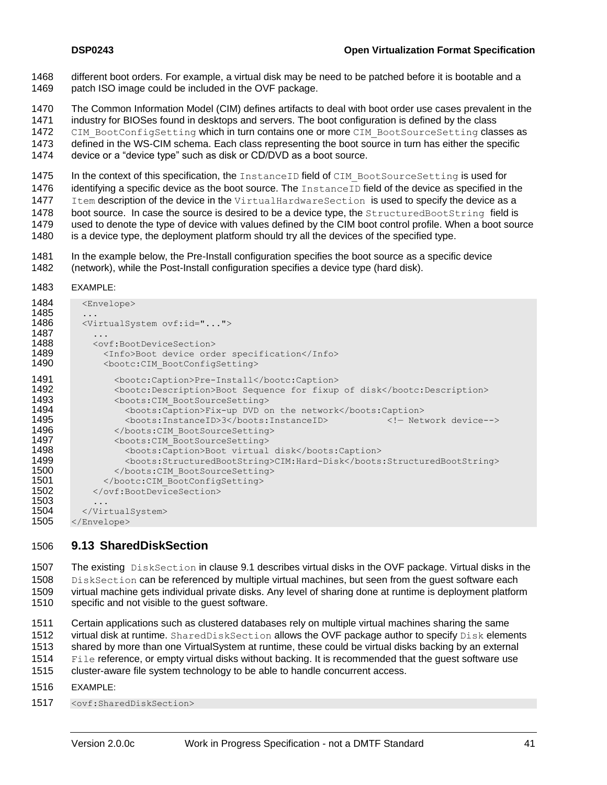- 1468 different boot orders. For example, a virtual disk may be need to be patched before it is bootable and a patch ISO image could be included in the OVF package.
- The Common Information Model (CIM) defines artifacts to deal with boot order use cases prevalent in the

industry for BIOSes found in desktops and servers. The boot configuration is defined by the class

1472 CIM BootConfigSetting which in turn contains one or more CIM BootSourceSetting classes as defined in the WS-CIM schema. Each class representing the boot source in turn has either the specific

device or a "device type" such as disk or CD/DVD as a boot source.

1475 In the context of this specification, the InstanceID field of CIM BootSourceSetting is used for

1476 identifying a specific device as the boot source. The InstanceID field of the device as specified in the

1477 Item description of the device in the VirtualHardwareSection is used to specify the device as a

1478 boot source. In case the source is desired to be a device type, the StructuredBootString field is used to denote the type of device with values defined by the CIM boot control profile. When a boot source

- is a device type, the deployment platform should try all the devices of the specified type.
- 1481 In the example below, the Pre-Install configuration specifies the boot source as a specific device 1482 (network), while the Post-Install configuration specifies a device (hard disk). (network), while the Post-Install configuration specifies a device type (hard disk).
- EXAMPLE:

| 1484 | <envelope></envelope>                                                  |
|------|------------------------------------------------------------------------|
| 1485 | $\cdot$                                                                |
| 1486 | <virtualsystem ovf:id=""></virtualsystem>                              |
| 1487 | .                                                                      |
| 1488 | <ovf:bootdevicesection></ovf:bootdevicesection>                        |
| 1489 | <info>Boot device order specification</info>                           |
| 1490 | <bootc: bootconfigsetting="" cim=""></bootc:>                          |
|      |                                                                        |
| 1491 | <bootc:caption>Pre-Install</bootc:caption>                             |
| 1492 | <bootc:description>Boot Sequence for fixup of disk</bootc:description> |
| 1493 | <boots: bootsourcesetting="" cim=""></boots:>                          |
| 1494 | <boots:caption>Fix-up DVD on the network</boots:caption>               |
| 1495 | <boots:instanceid>3</boots:instanceid><br>- Network device--           |
| 1496 |                                                                        |
| 1497 | <boots: bootsourcesetting="" cim=""></boots:>                          |
| 1498 |                                                                        |
|      | <boots:caption>Boot virtual disk</boots:caption>                       |
| 1499 | <boots:structuredbootstring>CIM:Hard-Disk</boots:structuredbootstring> |
| 1500 |                                                                        |
| 1501 |                                                                        |
| 1502 |                                                                        |
| 1503 | .                                                                      |
| 1504 |                                                                        |
| 1505 |                                                                        |

### <span id="page-40-0"></span>**9.13 SharedDiskSection**

 The existing DiskSection in clause [9.1](#page-27-0) describes virtual disks in the OVF package. Virtual disks in the 1508 DiskSection can be referenced by multiple virtual machines, but seen from the guest software each virtual machine gets individual private disks. Any level of sharing done at runtime is deployment platform specific and not visible to the guest software.

 Certain applications such as clustered databases rely on multiple virtual machines sharing the same 1512 virtual disk at runtime. SharedDiskSection allows the OVF package author to specify Disk elements shared by more than one VirtualSystem at runtime, these could be virtual disks backing by an external File reference, or empty virtual disks without backing. It is recommended that the guest software use cluster-aware file system technology to be able to handle concurrent access.

EXAMPLE:

1517 < ovf: SharedDiskSection>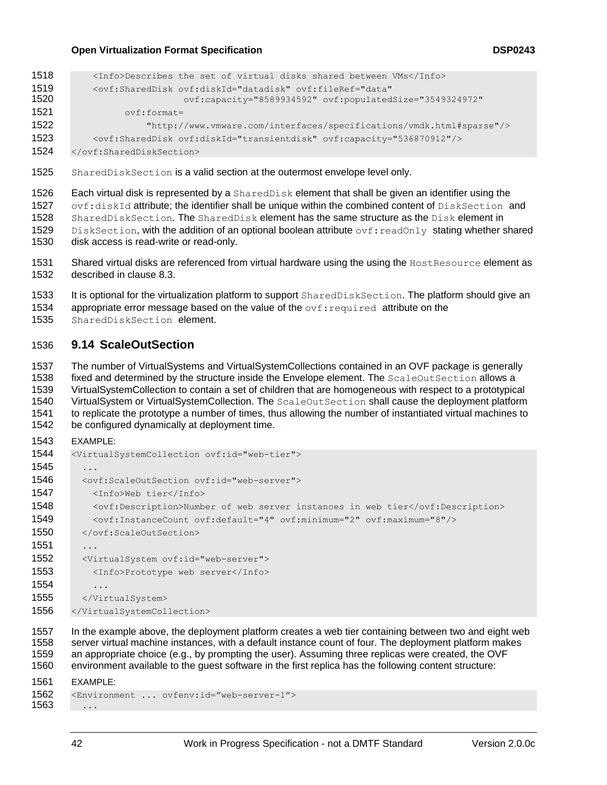```
1518 <Info>Describes the set of virtual disks shared between VMs</Info>
1519 < ovf:SharedDisk ovf:diskId="datadisk" ovf:fileRef="data"<br>1520 ovf:capacity="8589934592" ovf:populated
                             1520 ovf:capacity="8589934592" ovf:populatedSize="3549324972" 
1521 ovf:format=
1522 "http://www.vmware.com/interfaces/specifications/vmdk.html#sparse"/>
1523 <ovf:SharedDisk ovf:diskId="transientdisk" ovf:capacity="536870912"/>
1524 </ovf:SharedDiskSection>
```
SharedDiskSection is a valid section at the outermost envelope level only.

1526 Each virtual disk is represented by a SharedDisk element that shall be given an identifier using the 1527 ovf:diskId attribute; the identifier shall be unique within the combined content of DiskSection and 1528 SharedDiskSection. The SharedDisk element has the same structure as the Disk element in 1529 DiskSection, with the addition of an optional boolean attribute  $\text{ovf:}$  readOnly stating whether shared disk access is read-write or read-only.

- 1531 Shared virtual disks are referenced from virtual hardware using the using the HostResource element as described in clause [8.3.](#page-22-0)
- 1533 It is optional for the virtualization platform to support SharedDiskSection. The platform should give an
- 1534 appropriate error message based on the value of the  $\text{ovf: required}$  attribute on the
- <span id="page-41-0"></span>SharedDiskSection element.

#### **9.14 ScaleOutSection**

 The number of VirtualSystems and VirtualSystemCollections contained in an OVF package is generally 1538 fixed and determined by the structure inside the Envelope element. The ScaleOutSection allows a VirtualSystemCollection to contain a set of children that are homogeneous with respect to a prototypical VirtualSystem or VirtualSystemCollection. The ScaleOutSection shall cause the deployment platform to replicate the prototype a number of times, thus allowing the number of instantiated virtual machines to be configured dynamically at deployment time.

## EXAMPLE:

| 1544 | <virtualsystemcollection ovf:id="web-tier"></virtualsystemcollection>                   |
|------|-----------------------------------------------------------------------------------------|
| 1545 | $\cdots$                                                                                |
| 1546 | <ovf:scaleoutsection ovf:id="web-server"></ovf:scaleoutsection>                         |
| 1547 | <info>Web tier</info>                                                                   |
| 1548 | <ovf:description>Number of web server instances in web tier</ovf:description>           |
| 1549 | <ovf:instancecount ovf:default="4" ovf:maximum="8" ovf:minimum="2"></ovf:instancecount> |
| 1550 |                                                                                         |
| 1551 | $\cdot$ $\cdot$ $\cdot$                                                                 |
| 1552 | <virtualsystem ovf:id="web-server"></virtualsystem>                                     |
| 1553 | <info>Prototype web server</info>                                                       |
| 1554 | .                                                                                       |
| 1555 |                                                                                         |
| 1556 |                                                                                         |

 In the example above, the deployment platform creates a web tier containing between two and eight web server virtual machine instances, with a default instance count of four. The deployment platform makes an appropriate choice (e.g., by prompting the user). Assuming three replicas were created, the OVF environment available to the guest software in the first replica has the following content structure:

```
1561 EXAMPLE:
1562 <Environment ... ovfenv:id="web-server-1">
1563 ...
```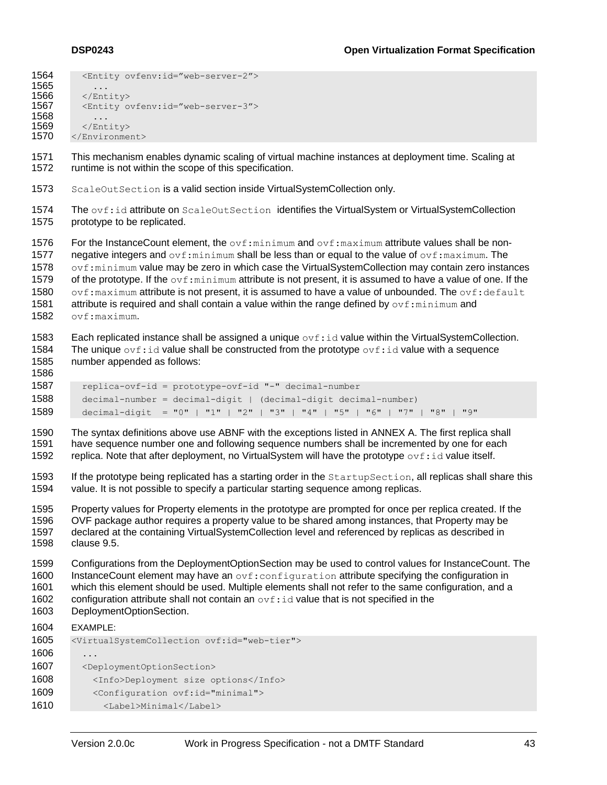```
1564 <Entity ovfenv:id="web-server-2">
1565<br>1566
1566 \le/Entity><br>1567 \leEntity o
             1567 <Entity ovfenv:id="web-server-3">
1568<br>1569
1569 \langle Entity><br>1570 \langle Environmer
          </Environment>
```
1571 This mechanism enables dynamic scaling of virtual machine instances at deployment time. Scaling at 1572 runtime is not within the scope of this specification.

1573 ScaleOutSection is a valid section inside VirtualSystemCollection only.

1574 The ovf: id attribute on ScaleOutSection identifies the VirtualSystem or VirtualSystemCollection 1575 prototype to be replicated.

1576 For the InstanceCount element, the  $\cot$ : minimum and  $\cot$ : maximum attribute values shall be non-1577 negative integers and  $\text{ovf:minimum}$  shall be less than or equal to the value of  $\text{ovf:maximum}$ . The 1578 ovf: minimum value may be zero in which case the VirtualSystemCollection may contain zero instances 1579 of the prototype. If the  $\text{ovf:minimum}$  attribute is not present, it is assumed to have a value of one. If the 1580 ovf: maximum attribute is not present, it is assumed to have a value of unbounded. The  $ovf$ : default 1581 attribute is required and shall contain a value within the range defined by  $\text{ovf:minimum}$  and 1582 ovf:maximum.

1583 Each replicated instance shall be assigned a unique  $\text{ovf}:id$  value within the VirtualSystemCollection. 1584 The unique  $\text{ovf}:id$  value shall be constructed from the prototype  $\text{ovf}:id$  value with a sequence 1585 number appended as follows:

1586

1587 replica-ovf-id = prototype-ovf-id "-" decimal-number 1588 decimal-number = decimal-digit | (decimal-digit decimal-number) 1589 decimal-digit = "0" | "1" | "2" | "3" | "4" | "5" | "6" | "7" | "8" | "9"

1590 The syntax definitions above use ABNF with the exceptions listed in [ANNEX A.](#page-52-0) The first replica shall 1591 have sequence number one and following sequence numbers shall be incremented by one for each 1592 replica. Note that after deployment, no VirtualSystem will have the prototype  $\text{ovf}:id$  value itself.

1593 If the prototype being replicated has a starting order in the StartupSection, all replicas shall share this 1594 value. It is not possible to specify a particular starting sequence among replicas.

 Property values for Property elements in the prototype are prompted for once per replica created. If the OVF package author requires a property value to be shared among instances, that Property may be declared at the containing VirtualSystemCollection level and referenced by replicas as described in clause [9.5.](#page-31-0)

1599 Configurations from the DeploymentOptionSection may be used to control values for InstanceCount. The 1600 InstanceCount element may have an  $ovf:$ configuration attribute specifying the configuration in

1601 which this element should be used. Multiple elements shall not refer to the same configuration, and a

1602 configuration attribute shall not contain an  $\text{ovf}:$  id value that is not specified in the

1603 DeploymentOptionSection.

#### 1604 EXAMPLE:

1605 <VirtualSystemCollection ovf:id="web-tier"> 1606 1607 <DeploymentOptionSection> 1608 <Info>Deployment size options</Info> 1609 < Configuration ovf:id="minimal"> 1610 <Label>Minimal</Label>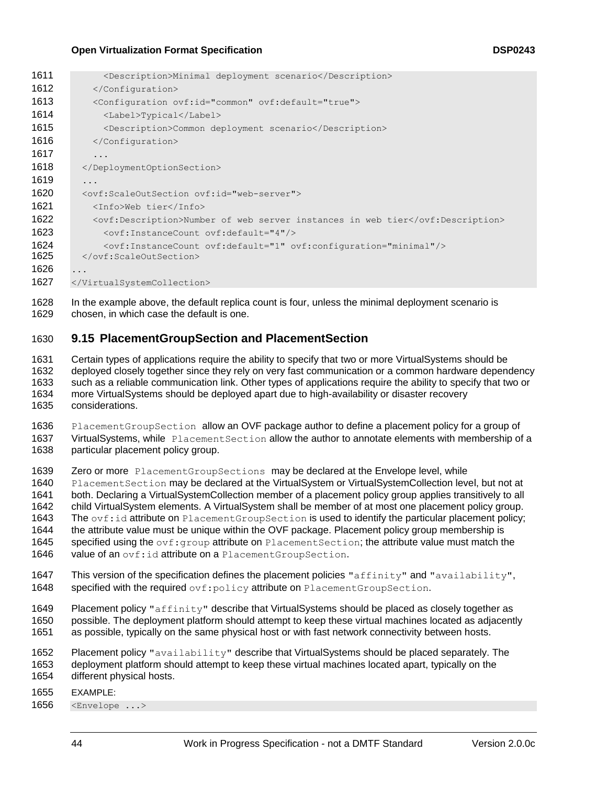| 1611 | <description>Minimal deployment scenario</description>                              |
|------|-------------------------------------------------------------------------------------|
| 1612 |                                                                                     |
| 1613 | <configuration ovf:default="true" ovf:id="common"></configuration>                  |
| 1614 | <label>Typical</label>                                                              |
| 1615 | <description>Common deployment scenario</description>                               |
| 1616 |                                                                                     |
| 1617 | .                                                                                   |
| 1618 |                                                                                     |
| 1619 | .                                                                                   |
| 1620 | <ovf:scaleoutsection ovf:id="web-server"></ovf:scaleoutsection>                     |
| 1621 | <info>Web tier</info>                                                               |
| 1622 | <ovf:description>Number of web server instances in web tier</ovf:description>       |
| 1623 | <ovf:instancecount ovf:default="4"></ovf:instancecount>                             |
| 1624 | <ovf:instancecount ovf:configuration="minimal" ovf:default="1"></ovf:instancecount> |
| 1625 |                                                                                     |
| 1626 | .                                                                                   |
| 1627 |                                                                                     |

1628 In the example above, the default replica count is four, unless the minimal deployment scenario is 1629 chosen, in which case the default is one.

### <span id="page-43-0"></span>1630 **9.15 PlacementGroupSection and PlacementSection**

 Certain types of applications require the ability to specify that two or more VirtualSystems should be deployed closely together since they rely on very fast communication or a common hardware dependency such as a reliable communication link. Other types of applications require the ability to specify that two or more VirtualSystems should be deployed apart due to high-availability or disaster recovery considerations.

```
1636 PlacementGroupSection allow an OVF package author to define a placement policy for a group of 
1637 VirtualSystems, while Placement Section allow the author to annotate elements with membership of a
1638 particular placement policy group.
```
1639 Zero or more PlacementGroupSections may be declared at the Envelope level, while

- 1640 PlacementSection may be declared at the VirtualSystem or VirtualSystemCollection level, but not at
- 1641 both. Declaring a VirtualSystemCollection member of a placement policy group applies transitively to all<br>1642 child VirtualSystem elements. A VirtualSystem shall be member of at most one placement policy group.
- child VirtualSystem elements. A VirtualSystem shall be member of at most one placement policy group.
- 1643 The ovf:id attribute on PlacementGroupSection is used to identify the particular placement policy;
- 1644 the attribute value must be unique within the OVF package. Placement policy group membership is
- 1645 specified using the  $\text{ovf:}$  group attribute on Placement Section; the attribute value must match the 1646 value of an ovf:id attribute on a PlacementGroupSection.
- 1647 This version of the specification defines the placement policies "affinity" and "availability", 1648 specified with the required ovf: policy attribute on Placement GroupSection.
- 1649 Placement policy " $affinity$ " describe that VirtualSystems should be placed as closely together as 1650 possible. The deployment platform should attempt to keep these virtual machines located as adjacently 1651 as possible. typically on the same physical host network connectivity between hosts.
- as possible, typically on the same physical host or with fast network connectivity between hosts.

1655 EXAMPLE:

<sup>1652</sup> Placement policy "availability" describe that VirtualSystems should be placed separately. The 1653 deployment platform should attempt to keep these virtual machines located apart, typically on the 1654 different physical hosts.

<sup>1656</sup> <Envelope ...>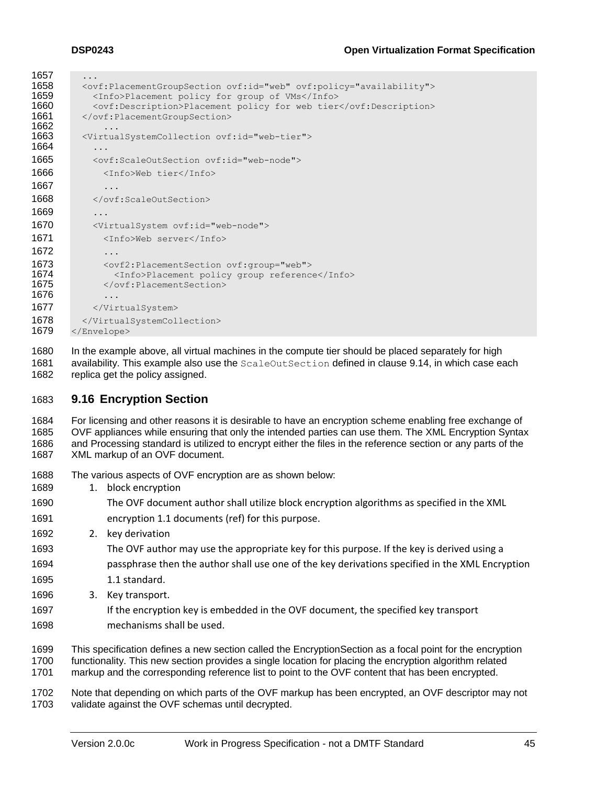```
1657 ...
1658 <ovf:PlacementGroupSection ovf:id="web" ovf:policy="availability"><br>1659 < Sinfo>Placement policy for group of VMs</Info>
1659 <Info>Placement policy for group of VMs</Info><br>1660 < ovf:Description>Placement policy for web tier
1660 < ovf:Description>Placement policy for web tier</ovf:Description><br>1661 </ovf:PlacementGroupSection>
          1661 </ovf:PlacementGroupSection>
1662 ...<br>1663 <Virtua
          1663 <VirtualSystemCollection ovf:id="web-tier">
1664 ...
1665 <ovf:ScaleOutSection ovf:id="web-node">
1666 <Info>Web tier</Info>
1667 ...
1668 </ovf:ScaleOutSection>
1669 ...
1670 <VirtualSystem ovf:id="web-node">
1671 <Info>Web server</Info>
1672 ...
1673 <ovf2:PlacementSection ovf:group="web">
1674 <Info>Placement policy group reference</Info>
1675 </ovf:PlacementSection>
1676 ...
1677 </VirtualSystem>
1678 </VirtualSystemCollection><br>1679 </Envelope>
       </Envelope>
```
 In the example above, all virtual machines in the compute tier should be placed separately for high 1681 availability. This example also use the ScaleOutSection defined in clause [9.14,](#page-41-0) in which case each replica get the policy assigned.

### <span id="page-44-0"></span>**9.16 Encryption Section**

 For licensing and other reasons it is desirable to have an encryption scheme enabling free exchange of OVF appliances while ensuring that only the intended parties can use them. The XML Encryption Syntax and Processing standard is utilized to encrypt either the files in the reference section or any parts of the XML markup of an OVF document.

- The various aspects of OVF encryption are as shown below:
- 1689 1. block encryption
- The OVF document author shall utilize block encryption algorithms as specified in the XML
- encryption 1.1 documents (ref) for this purpose.
- 2. key derivation
- The OVF author may use the appropriate key for this purpose. If the key is derived using a
- passphrase then the author shall use one of the key derivations specified in the XML Encryption
- 1.1 standard.
- 3. Key transport.
- If the encryption key is embedded in the OVF document, the specified key transport mechanisms shall be used.
- This specification defines a new section called the EncryptionSection as a focal point for the encryption functionality. This new section provides a single location for placing the encryption algorithm related markup and the corresponding reference list to point to the OVF content that has been encrypted.
- Note that depending on which parts of the OVF markup has been encrypted, an OVF descriptor may not validate against the OVF schemas until decrypted.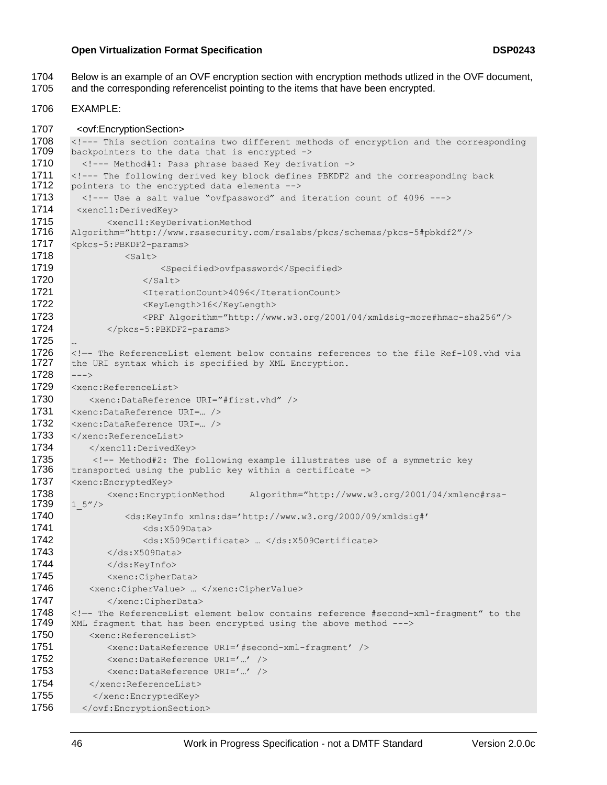1704 Below is an example of an OVF encryption section with encryption methods utlized in the OVF document, 1705 and the corresponding referencelist pointing to the items that have been encrypted.

```
1706 EXAMPLE:
```

```
1707 <ovf:EncryptionSection>
1708 \leq --- This section contains two different methods of encryption and the corresponding
1709 backpointers to the data that is encrypted ->
1710 <!--- Method#1: Pass phrase based Key derivation ->
1711 <!--- The following derived key block defines PBKDF2 and the corresponding back
1712 pointers to the encrypted data elements -->
1713 <!--- Use a salt value "ovfpassword" and iteration count of 4096 --->
1714 <xenc11:DerivedKey>
1715 <xenc11:KeyDerivationMethod
1716 Algorithm="http://www.rsasecurity.com/rsalabs/pkcs/schemas/pkcs-5#pbkdf2"/>
1717 <pkcs-5:PBKDF2-params>
1718 <Salt>
1719 <Specified>ovfpassword</Specified>
1720 \langle /Salt>
1721 <trerationCount>4096</IterationCount>
1722 <KeyLength>16</KeyLength>
1723 <PRF Algorithm="http://www.w3.org/2001/04/xmldsig-more#hmac-sha256"/>
1724 </pkcs-5:PBKDF2-params>
1725 …
1726 <!-- The ReferenceList element below contains references to the file Ref-109. vhd via
1727 the URI syntax which is specified by XML Encryption.
1728 --->
1729 <xenc:ReferenceList>
1730 <xenc:DataReference URI="#first.vhd" />
1731 <xenc:DataReference URI=… />
1732 <xenc:DataReference URI=… />
1733 </xenc:ReferenceList>
1734 </xenc11:DerivedKey>
1735 \langle -- Method#2: The following example illustrates use of a symmetric key 1736 transported using the public key within a certificate ->
      transported using the public key within a certificate \rightarrow1737 <xenc:EncryptedKey>
1738 <xenc:EncryptionMethod Algorithm="http://www.w3.org/2001/04/xmlenc#rsa-<br>1739 1 5"/>
      15''/1740 <ds:KeyInfo xmlns:ds='http://www.w3.org/2000/09/xmldsig#'
1741 <ds:X509Data>
1742 <ds:X509Certificate> ... </ds:X509Certificate>
1743 </ds:X509Data>
1744 </ds:KeyInfo>
1745 <xenc:CipherData>
1746 <xenc:CipherValue> ... </xenc:CipherValue>
1747 </xenc:CipherData>
1748 <!-- The ReferenceList element below contains reference #second-xml-fragment" to the 1749 XML fragment that has been encrypted using the above method --->
       XML fragment that has been encrypted using the above method --->1750 <xenc:ReferenceList>
1751 <xenc:DataReference URI=' #second-xml-fragment' />
1752 <xenc:DataReference URI='...' />
1753 <xenc:DataReference URI='…' />
1754 </xenc:ReferenceList>
1755 </xenc:EncryptedKey>
1756 </ovf:EncryptionSection>
```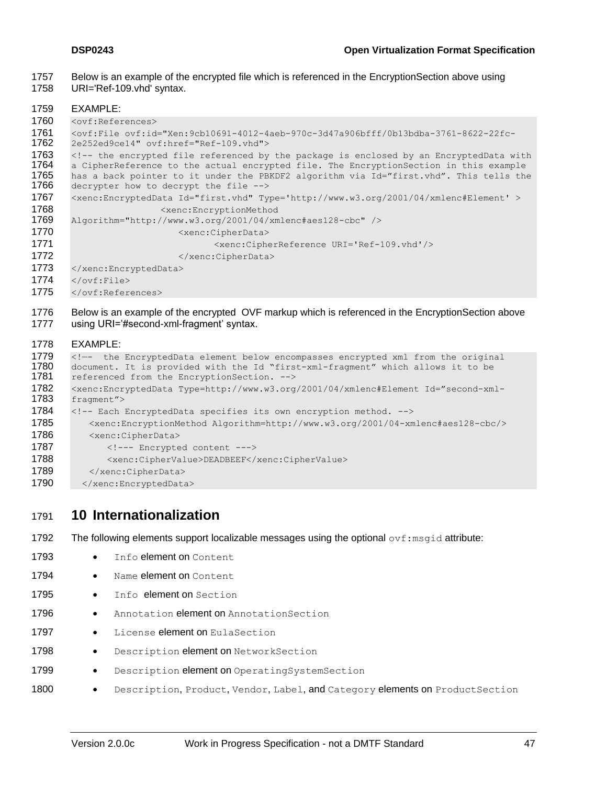- 1757 Below is an example of the encrypted file which is referenced in the EncryptionSection above using
- 1758 URI='Ref-109.vhd' syntax.
- 1759 EXAMPLE:

```
1760 < ovf: References>
1761 <ovf:File ovf:id="Xen:9cb10691-4012-4aeb-970c-3d47a906bfff/0b13bdba-3761-8622-22fc-
1762 2e252ed9ce14" ovf:href="Ref-109.vhd">
1763 \leq -- the encrypted file referenced by the package is enclosed by an EncryptedData with
1764 a CipherReference to the actual encrypted file. The EncryptionSection in this example<br>1765 has a back pointer to it under the PBKDF2 algorithm via Id="first.vhd". This tells the
       has a back pointer to it under the PBKDF2 algorithm via Id="first.vhd". This tells the
1766 decrypter how to decrypt the file -->
1767 <xenc:EncryptedData Id="first.vhd" Type='http://www.w3.org/2001/04/xmlenc#Element' >
1768 <xenc:EncryptionMethod 
1769 Algorithm="http://www.w3.org/2001/04/xmlenc#aes128-cbc" />
1770 <xenc:CipherData>
1771 <xenc:CipherReference URI='Ref-109.vhd'/>
1772 </xenc:CipherData>
1773 </xenc: EncryptedData>
1774 \times /ovf:File>1775 </ovf:References>
```
1776 Below is an example of the encrypted OVF markup which is referenced in the EncryptionSection above 1777 using URI='#second-xml-fragment' syntax.

#### 1778 EXAMPLE:

```
1779 <!-- the EncryptedData element below encompasses encrypted xml from the original 1780 document. It is provided with the Id "first-xml-fragment" which allows it to be
       document. It is provided with the Id "first-xml-fragment" which allows it to be
1781 referenced from the EncryptionSection. -->
1782 <xenc:EncryptedData Type=http://www.w3.org/2001/04/xmlenc#Element Id="second-xml-
1783 fragment">
1784 \langle -- Each EncryptedData specifies its own encryption method. -->
1785 <xenc:EncryptionMethod Algorithm=http://www.w3.org/2001/04-xmlenc#aes128-cbc/>
1786 <xenc:CipherData>
1787 <!--- Encrypted content --->
1788 <xenc:CipherValue>DEADBEEF</xenc:CipherValue>
1789 </xenc:CipherData>
1790 </xenc:EncryptedData>
```
### <span id="page-46-0"></span>1791 **10 Internationalization**

- 1792 The following elements support localizable messages using the optional  $\text{ovf}$ : msgid attribute:
- 1793 Info element on Content
- 1794 Name element on Content
- 1795 Info element on Section
- 1796 Annotation element on AnnotationSection
- 1797 License element on EulaSection
- 1798 Description element on NetworkSection
- 1799 Description element on OperatingSystemSection
- 1800 Description, Product, Vendor, Label, and Category elements on ProductSection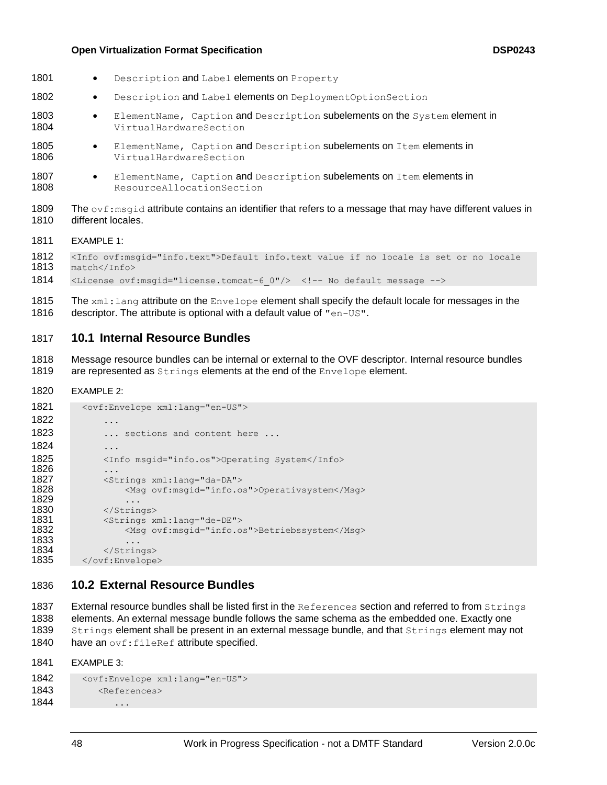| 1801         | $\bullet$          | Description and Label elements on Property                                                                           |
|--------------|--------------------|----------------------------------------------------------------------------------------------------------------------|
| 1802         | $\bullet$          | Description and Label elements on DeploymentOptionSection                                                            |
| 1803<br>1804 | $\bullet$          | ElementName, Caption and Description subelements on the System element in<br>VirtualHardwareSection                  |
| 1805<br>1806 | $\bullet$          | ElementName, Caption and Description subelements on Item elements in<br>VirtualHardwareSection                       |
| 1807<br>1808 | $\bullet$          | ElementName, Caption and Description subelements on Item elements in<br>ResourceAllocationSection                    |
| 1809<br>1810 | different locales. | The $\text{ovf}$ : msqid attribute contains an identifier that refers to a message that may have different values in |

1811 EXAMPLE 1:

```
1812 <Info ovf:msgid="info.text">Default info.text value if no locale is set or no locale 1813 match</Info>
        match</Info>
```
1814 <License ovf:msgid="license.tomcat-6\_0"/> <!-- No default message -->

1815 The  $xml:$  lang attribute on the  $Envelope$  element shall specify the default locale for messages in the 1816 descriptor. The attribute is optional with a default value of "en-US".

#### <span id="page-47-0"></span>1817 **10.1 Internal Resource Bundles**

1818 Message resource bundles can be internal or external to the OVF descriptor. Internal resource bundles 1819 are represented as Strings elements at the end of the Envelope element.

```
1820 EXAMPLE 2:
```

```
1821 <ovf:Envelope xml:lang="en-US">
1822 ...
1823 ... sections and content here ...
1824 ...
1825 <Info msgid="info.os">Operating System</Info>
1826<br>1827
1827 <Strings xml:lang="da-DA">
               <Msg ovf:msgid="info.os">Operativsystem</Msg>
1829 ...
1830 </Strings>
1831 < Strings xml:lang="de-DE"><br>1832 < Msq ovf:msgid="info.or
                1832 <Msg ovf:msgid="info.os">Betriebssystem</Msg>
1833<br>1834
            </Strings>
1835 </ovf:Envelope>
```
#### <span id="page-47-1"></span>1836 **10.2 External Resource Bundles**

1837 External resource bundles shall be listed first in the References section and referred to from Strings 1838 elements. An external message bundle follows the same schema as the embedded one. Exactly one 1839 Strings element shall be present in an external message bundle, and that Strings element may not 1840 have an ovf: fileRef attribute specified.

```
1841 EXAMPLE 3:
```

```
1842 <ovf:Envelope xml:lang="en-US">
1843 <References>
1844
```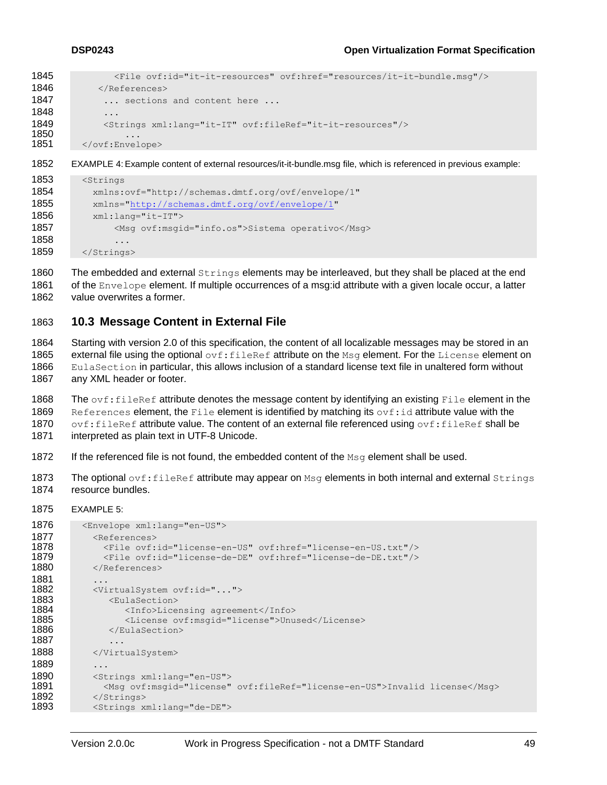```
1845 <File ovf:id="it-it-resources" ovf:href="resources/it-it-bundle.msg"/>
1846 </References>
1847 ... sections and content here ...
1848 ...
1849 <Strings xml:lang="it-IT" ovf:fileRef="it-it-resources"/>
1850
1851 </ovf:Envelope>
```
1852 EXAMPLE 4: Example content of external resources/it-it-bundle.msg file, which is referenced in previous example:

| 1853 | <strings< th=""></strings<>                        |
|------|----------------------------------------------------|
| 1854 | xmlns:ovf="http://schemas.dmtf.org/ovf/envelope/1" |
| 1855 | xmlns="http://schemas.dmtf.org/ovf/envelope/1"     |
| 1856 | $xml:lang="it-TT"$                                 |
| 1857 | <msq ovf:msqid="info.os">Sistema operativo</msq>   |
| 1858 | $\ddotsc$                                          |
| 1859 | $\langle$ /Strings>                                |

1860 The embedded and external Strings elements may be interleaved, but they shall be placed at the end 1861 of the Envelope element. If multiple occurrences of a msg: id attribute with a given locale occur, a latter 1862 value overwrites a former.

```
1863 10.3 Message Content in External File
```
 Starting with version 2.0 of this specification, the content of all localizable messages may be stored in an 1865 external file using the optional  $ovf:fileRef$  attribute on the Msg element. For the License element on EulaSection in particular, this allows inclusion of a standard license text file in unaltered form without any XML header or footer.

1868 The  $ovf:fileRef$  attribute denotes the message content by identifying an existing File element in the 1869 References element, the File element is identified by matching its  $ovf$ : id attribute value with the 1870 ovf: fileRef attribute value. The content of an external file referenced using  $ovf$ : fileRef shall be 1871 interpreted as plain text in UTF-8 Unicode.

- 1872 If the referenced file is not found, the embedded content of the Msg element shall be used.
- 1873 The optional  $\text{ovf:fileRef}$  attribute may appear on  $\text{Msq}$  elements in both internal and external Strings 1874 resource bundles.
- 1875 EXAMPLE 5:

```
1876 <Envelope xml:lang="en-US">
1877 < References><br>1878 < File ovf:
              \forallFile ovf:id="license-en-US" ovf:href="license-en-US.txt"/>
1879 <File ovf:id="license-de-DE" ovf:href="license-de-DE.txt"/>
1880 </References>
1881<br>1882
1882 < VirtualSystem ovf:id="..."><br>1883 < EulaSection>
1883 <EulaSection><br>1884 <eremploymatic rate:
1884 <Info>Licensing agreement</Info>
                  1885 <License ovf:msgid="license">Unused</License>
1886 </EulaSection>
1887 ...
1888 </VirtualSystem>
1889 ...
1890 < Strings xml: lang="en-US"><br>1891 < Msq ovf: msqid="license"
1891 <Msg ovf:msgid="license" ovf:fileRef="license-en-US">Invalid license</Msg> 
            </Strings>
1893 <Strings xml:lang="de-DE">
```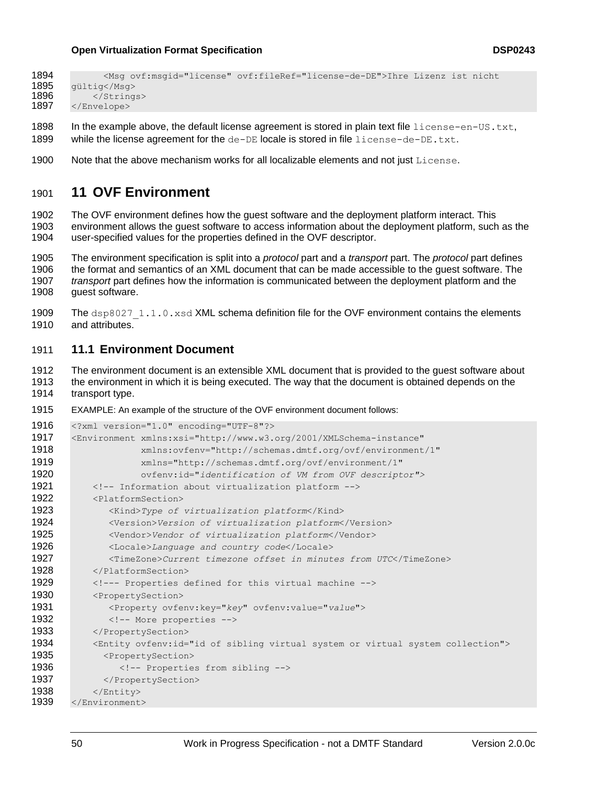```
1894 <Msq ovf:msgid="license" ovf:fileRef="license-de-DE">Ihre Lizenz ist nicht
1895 gültig</Msg><br>1896 </String
1896 \le/Strings><br>1897 \le/Envelope>
        \langleEnvelope>
```
- 1898 In the example above, the default license agreement is stored in plain text file license-en-US.txt, 1899 while the license agreement for the  $de$ -DE locale is stored in file  $line$ cense-de-DE.txt.
- <span id="page-49-0"></span>1900 Note that the above mechanism works for all localizable elements and not just License.

## **11 OVF Environment**

 The OVF environment defines how the guest software and the deployment platform interact. This environment allows the guest software to access information about the deployment platform, such as the user-specified values for the properties defined in the OVF descriptor.

 The environment specification is split into a *protocol* part and a *transport* part. The *protocol* part defines the format and semantics of an XML document that can be made accessible to the guest software. The *transport* part defines how the information is communicated between the deployment platform and the guest software.

1909 The dsp8027  $1.1.0.$ xsd XML schema definition file for the OVF environment contains the elements and attributes.

#### <span id="page-49-1"></span>**11.1 Environment Document**

 The environment document is an extensible XML document that is provided to the guest software about the environment in which it is being executed. The way that the document is obtained depends on the 1914 transport type.

EXAMPLE: An example of the structure of the OVF environment document follows:

```
1916 <?xml version="1.0" encoding="UTF-8"?>
1917 <Environment xmlns:xsi="http://www.w3.org/2001/XMLSchema-instance"
1918 xmlns:ovfenv="http://schemas.dmtf.org/ovf/environment/1"
1919 xmlns="http://schemas.dmtf.org/ovf/environment/1"
1920 ovfenv:id="identification of VM from OVF descriptor">
1921 <!-- Information about virtualization platform -->
1922 <PlatformSection>
1923 <Kind>Type of virtualization platform</Kind>
1924 <Version>Version of virtualization platform</Version>
1925 <Vendor>Vendor of virtualization platform</Vendor>
1926 <Locale>Language and country code</Locale>
1927 <TimeZone>Current timezone offset in minutes from UTC</TimeZone>
1928 </PlatformSection>
1929 <!--- Properties defined for this virtual machine -->
1930 <PropertySection>
1931 <Property ovfenv:key="key" ovfenv:value="value">
1932 <!-- More properties -->
1933 </PropertySection>
1934 <Entity ovfenv:id="id of sibling virtual system or virtual system collection"> 
1935 <PropertySection>
1936 <!-- Properties from sibling -->
1937 </PropertySection>
1938 \langleEntity><br>1939 \langle/Environmenti
      </Environment>
```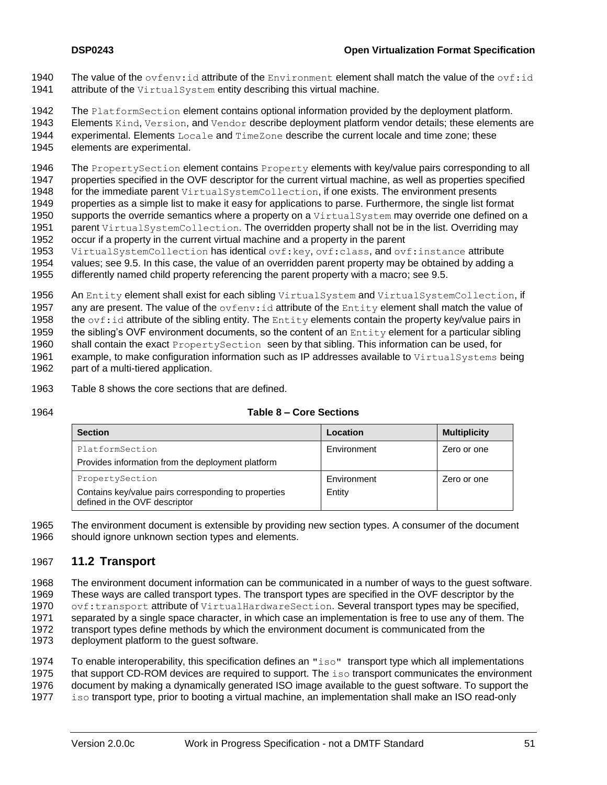- 1940 The value of the  $\text{ovfenv}$ : id attribute of the Environment element shall match the value of the  $\text{ovf}:$ id 1941 attribute of the VirtualSystem entity describing this virtual machine.
- 1942 The PlatformSection element contains optional information provided by the deployment platform.
- 1943 Elements Kind, Version, and Vendor describe deployment platform vendor details; these elements are 1944 experimental. Elements  $\text{Locale}$  and  $\text{Time}$  zone describe the current locale and time zone; these 1945 elements are experimental.
- 1946 The PropertySection element contains Property elements with key/value pairs corresponding to all 1947 properties specified in the OVF descriptor for the current virtual machine, as well as properties specified 1948 for the immediate parent VirtualSystemCollection, if one exists. The environment presents 1949 properties as a simple list to make it easy for applications to parse. Furthermore, the single list format 1950 supports the override semantics where a property on a VirtualSystem may override one defined on a 1951 parent VirtualSystemCollection. The overridden property shall not be in the list. Overriding may 1952 occur if a property in the current virtual machine and a property in the parent
- 1953 VirtualSystemCollection has identical ovf: key, ovf: class, and ovf: instance attribute 1954 values; see [9.5.](#page-31-0) In this case, the value of an overridden parent property may be obtained by adding a 1955 differently named child property referencing the parent property with a macro; see [9.5.](#page-31-0)
- 1956 An Entity element shall exist for each sibling VirtualSystem and VirtualSystemCollection, if 1957 any are present. The value of the  $\text{ovfenv}:$  id attribute of the  $\text{Entity}$  element shall match the value of 1958 the  $ovf$ : id attribute of the sibling entity. The Entity elements contain the property key/value pairs in 1959 the sibling's OVF environment documents, so the content of an  $Entity$  element for a particular sibling 1960 shall contain the exact PropertySection seen by that sibling. This information can be used, for 1961 example, to make configuration information such as IP addresses available to VirtualSystems being
- 1962 part of a multi-tiered application.
- 1963 [Table 8](#page-50-1) shows the core sections that are defined.
- 

#### 1964 **Table 8 – Core Sections**

<span id="page-50-1"></span>

| <b>Section</b>                                                                        | Location    | <b>Multiplicity</b> |
|---------------------------------------------------------------------------------------|-------------|---------------------|
| PlatformSection                                                                       | Environment | Zero or one         |
| Provides information from the deployment platform                                     |             |                     |
| PropertySection                                                                       | Environment | Zero or one         |
| Contains key/value pairs corresponding to properties<br>defined in the OVF descriptor | Entity      |                     |

1965 The environment document is extensible by providing new section types. A consumer of the document 1966 should ignore unknown section types and elements.

#### <span id="page-50-0"></span>1967 **11.2 Transport**

- 1968 The environment document information can be communicated in a number of ways to the guest software. 1969 These ways are called transport types. The transport types are specified in the OVF descriptor by the 1970 ovf: transport attribute of VirtualHardwareSection. Several transport types may be specified, 1971 separated by a single space character, in which case an implementation is free to use any of them. The 1972 transport types define methods by which the environment document is communicated from the 1973 deployment platform to the guest software.
- 1974 To enable interoperability, this specification defines an "iso" transport type which all implementations 1975 that support CD-ROM devices are required to support. The iso transport communicates the environment 1976 document by making a dynamically generated ISO image available to the guest software. To support the 1977 iso transport type, prior to booting a virtual machine, an implementation shall make an ISO read-only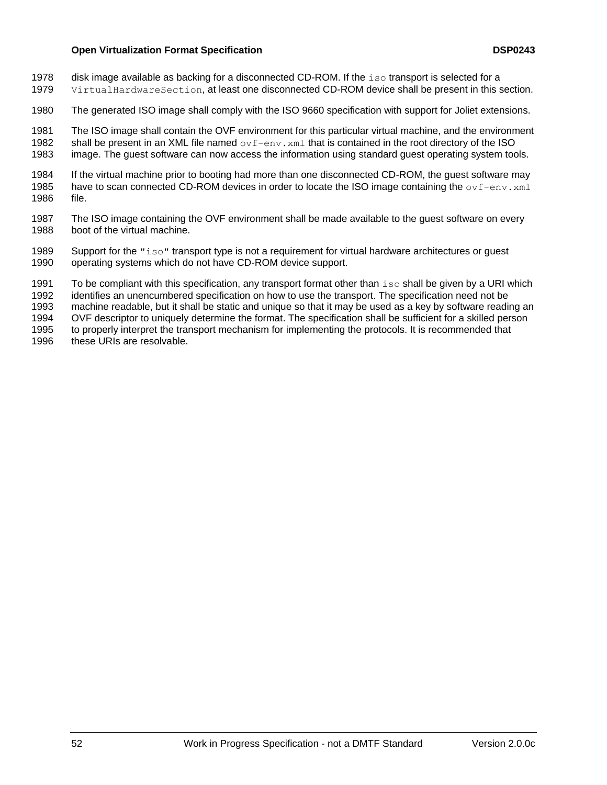- 1978 disk image available as backing for a disconnected CD-ROM. If the  $i$ so transport is selected for a
- VirtualHardwareSection, at least one disconnected CD-ROM device shall be present in this section.
- The generated ISO image shall comply with the ISO 9660 specification with support for Joliet extensions.

 The ISO image shall contain the OVF environment for this particular virtual machine, and the environment 1982 shall be present in an XML file named  $\cot$ -env.  $xml$  that is contained in the root directory of the ISO

image. The guest software can now access the information using standard guest operating system tools.

 If the virtual machine prior to booting had more than one disconnected CD-ROM, the guest software may 1985 have to scan connected CD-ROM devices in order to locate the ISO image containing the  $\text{ovf-env.xml}$ file.

- The ISO image containing the OVF environment shall be made available to the guest software on every boot of the virtual machine.
- 1989 Support for the " $\pm$ so" transport type is not a requirement for virtual hardware architectures or quest operating systems which do not have CD-ROM device support.

1991 To be compliant with this specification, any transport format other than iso shall be given by a URI which

identifies an unencumbered specification on how to use the transport. The specification need not be

machine readable, but it shall be static and unique so that it may be used as a key by software reading an

OVF descriptor to uniquely determine the format. The specification shall be sufficient for a skilled person

to properly interpret the transport mechanism for implementing the protocols. It is recommended that

these URIs are resolvable.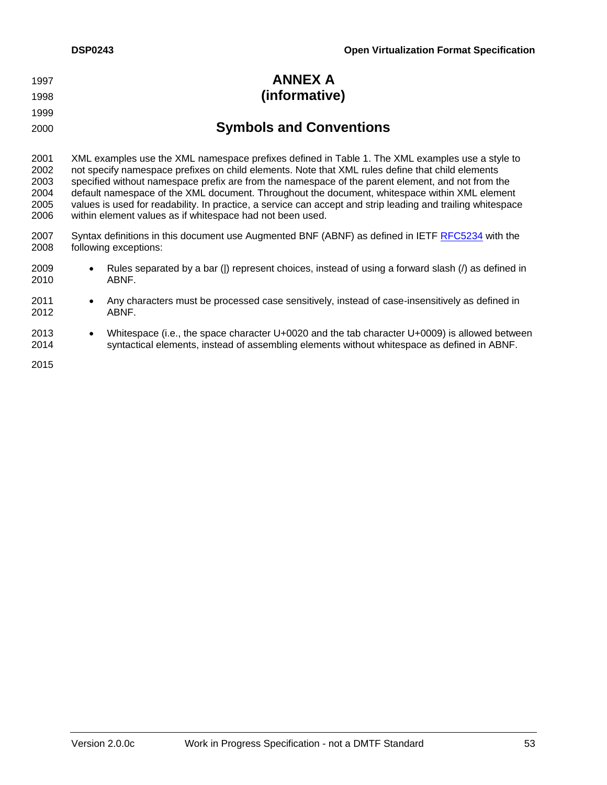<span id="page-52-0"></span> **ANNEX A (informative) Symbols and Conventions** XML examples use the XML namespace prefixes defined in [Table 1.](#page-14-1) The XML examples use a style to 2002 not specify namespace prefixes on child elements. Note that XML rules define that child elements<br>2003 specified without namespace prefix are from the namespace of the parent element, and not from the specified without namespace prefix are from the namespace of the parent element, and not from the default namespace of the XML document. Throughout the document, whitespace within XML element values is used for readability. In practice, a service can accept and strip leading and trailing whitespace within element values as if whitespace had not been used. Syntax definitions in this document use Augmented BNF (ABNF) as defined in IETF RFC5234 with the following exceptions: Rules separated by a bar (|) represent choices, instead of using a forward slash (/) as defined in ABNF. 2011 • Any characters must be processed case sensitively, instead of case-insensitively as defined in ABNF. 2013 • Whitespace (i.e., the space character U+0020 and the tab character U+0009) is allowed between<br>2014 syntactical elements, instead of assembling elements without whitespace as defined in ABNF. syntactical elements, instead of assembling elements without whitespace as defined in ABNF.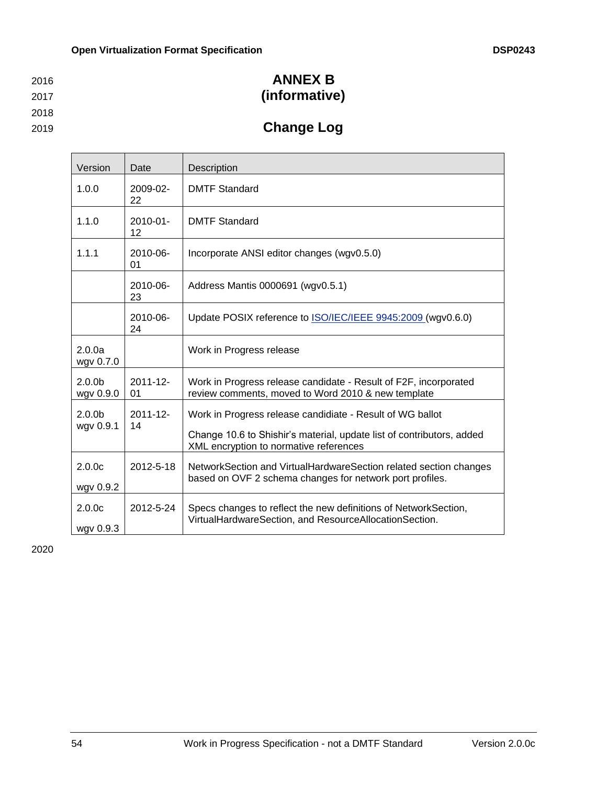<span id="page-53-0"></span>

2018

## 2016 **ANNEX B** 2017 **(informative)**

# 2019 **Change Log**

| Version                         | Date                             | Description                                                                                                                                                                  |
|---------------------------------|----------------------------------|------------------------------------------------------------------------------------------------------------------------------------------------------------------------------|
| 1.0.0                           | 2009-02-<br>22                   | <b>DMTF Standard</b>                                                                                                                                                         |
| 1.1.0                           | $2010 - 01 -$<br>12 <sup>2</sup> | <b>DMTF Standard</b>                                                                                                                                                         |
| 1.1.1                           | 2010-06-<br>01                   | Incorporate ANSI editor changes (wgv0.5.0)                                                                                                                                   |
|                                 | 2010-06-<br>23                   | Address Mantis 0000691 (wgv0.5.1)                                                                                                                                            |
|                                 | 2010-06-<br>24                   | Update POSIX reference to ISO/IEC/IEEE 9945:2009 (wgv0.6.0)                                                                                                                  |
| 2.0.0a<br>wgv 0.7.0             |                                  | Work in Progress release                                                                                                                                                     |
| 2.0.0 <sub>b</sub><br>wgv 0.9.0 | $2011 - 12 -$<br>01              | Work in Progress release candidate - Result of F2F, incorporated<br>review comments, moved to Word 2010 & new template                                                       |
| 2.0.0 <sub>b</sub><br>wgv 0.9.1 | $2011 - 12 -$<br>14              | Work in Progress release candidiate - Result of WG ballot<br>Change 10.6 to Shishir's material, update list of contributors, added<br>XML encryption to normative references |
| 2.0.0 <sub>c</sub><br>wgv 0.9.2 | 2012-5-18                        | NetworkSection and VirtualHardwareSection related section changes<br>based on OVF 2 schema changes for network port profiles.                                                |
| 2.0.0c<br>wgy 0.9.3             | 2012-5-24                        | Specs changes to reflect the new definitions of NetworkSection,<br>VirtualHardwareSection, and ResourceAllocationSection.                                                    |

2020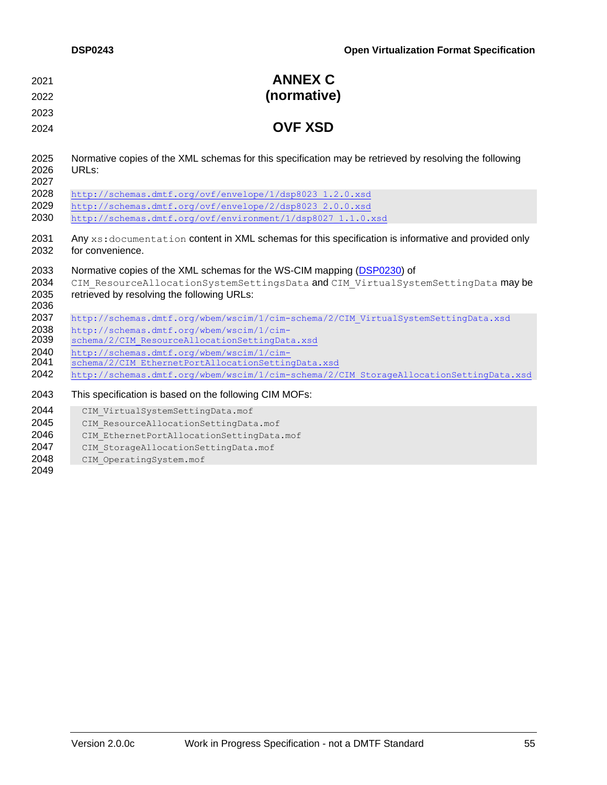<span id="page-54-0"></span>

| 2021<br>2022                 | <b>ANNEX C</b><br>(normative)                                                                                                                                                                             |
|------------------------------|-----------------------------------------------------------------------------------------------------------------------------------------------------------------------------------------------------------|
| 2023                         |                                                                                                                                                                                                           |
| 2024                         | <b>OVF XSD</b>                                                                                                                                                                                            |
| 2025<br>2026<br>2027         | Normative copies of the XML schemas for this specification may be retrieved by resolving the following<br>URLs:                                                                                           |
| 2028<br>2029                 | http://schemas.dmtf.org/ovf/envelope/1/dsp8023 1.2.0.xsd<br>http://schemas.dmtf.org/ovf/envelope/2/dsp8023 2.0.0.xsd                                                                                      |
| 2030                         | http://schemas.dmtf.org/ovf/environment/1/dsp8027 1.1.0.xsd                                                                                                                                               |
| 2031<br>2032                 | Any xs: documentation content in XML schemas for this specification is informative and provided only<br>for convenience.                                                                                  |
| 2033<br>2034<br>2035<br>2036 | Normative copies of the XML schemas for the WS-CIM mapping (DSP0230) of<br>CIM ResourceAllocationSystemSettingsData and CIM VirtualSystemSettingData may be<br>retrieved by resolving the following URLs: |
| 2037                         | http://schemas.dmtf.org/wbem/wscim/1/cim-schema/2/CIM VirtualSystemSettingData.xsd                                                                                                                        |
| 2038                         | http://schemas.dmtf.org/wbem/wscim/1/cim-                                                                                                                                                                 |
| 2039<br>2040                 | schema/2/CIM ResourceAllocationSettingData.xsd<br>http://schemas.dmtf.org/wbem/wscim/1/cim-                                                                                                               |
| 2041                         | schema/2/CIM EthernetPortAllocationSettingData.xsd                                                                                                                                                        |
| 2042                         | http://schemas.dmtf.org/wbem/wscim/1/cim-schema/2/CIM StorageAllocationSettingData.xsd                                                                                                                    |
| 2043                         | This specification is based on the following CIM MOFs:                                                                                                                                                    |
| 2044                         | CIM VirtualSystemSettingData.mof                                                                                                                                                                          |
| 2045                         | CIM ResourceAllocationSettingData.mof                                                                                                                                                                     |
| 2046                         | CIM EthernetPortAllocationSettingData.mof                                                                                                                                                                 |
| 2047                         | CIM StorageAllocationSettingData.mof                                                                                                                                                                      |
| 2048                         | CIM OperatingSystem.mof                                                                                                                                                                                   |
| 2049                         |                                                                                                                                                                                                           |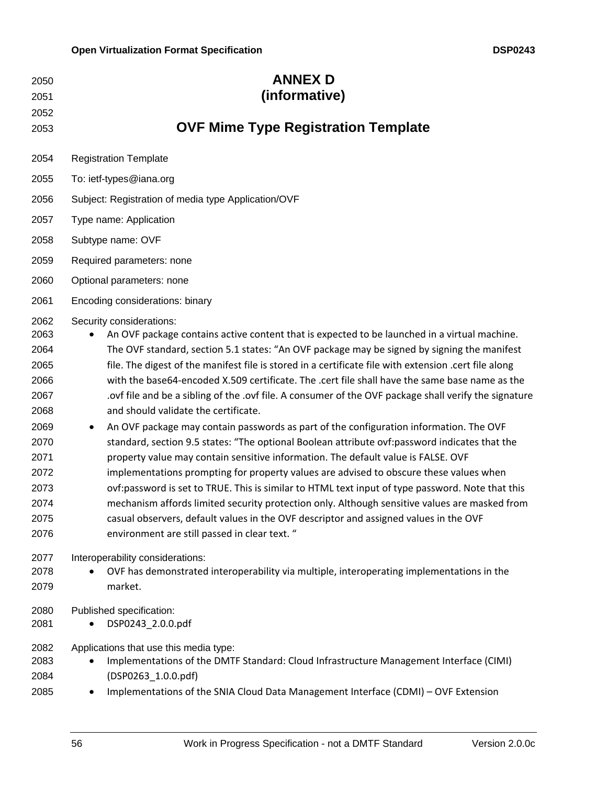<span id="page-55-0"></span>

| 2050<br>2051<br>2052                                                                                                 | <b>ANNEX D</b><br>(informative)                                                                                                                                                                                                                                                                                                                                                                                                                                                                                                                                                                                                                                                                                                                                                                                                                                                                                                                                                                                                                                                                                                                                                                                                                                                                                           |  |
|----------------------------------------------------------------------------------------------------------------------|---------------------------------------------------------------------------------------------------------------------------------------------------------------------------------------------------------------------------------------------------------------------------------------------------------------------------------------------------------------------------------------------------------------------------------------------------------------------------------------------------------------------------------------------------------------------------------------------------------------------------------------------------------------------------------------------------------------------------------------------------------------------------------------------------------------------------------------------------------------------------------------------------------------------------------------------------------------------------------------------------------------------------------------------------------------------------------------------------------------------------------------------------------------------------------------------------------------------------------------------------------------------------------------------------------------------------|--|
| 2053                                                                                                                 | <b>OVF Mime Type Registration Template</b>                                                                                                                                                                                                                                                                                                                                                                                                                                                                                                                                                                                                                                                                                                                                                                                                                                                                                                                                                                                                                                                                                                                                                                                                                                                                                |  |
| 2054                                                                                                                 | <b>Registration Template</b>                                                                                                                                                                                                                                                                                                                                                                                                                                                                                                                                                                                                                                                                                                                                                                                                                                                                                                                                                                                                                                                                                                                                                                                                                                                                                              |  |
| 2055                                                                                                                 | To: ietf-types@iana.org                                                                                                                                                                                                                                                                                                                                                                                                                                                                                                                                                                                                                                                                                                                                                                                                                                                                                                                                                                                                                                                                                                                                                                                                                                                                                                   |  |
| 2056                                                                                                                 | Subject: Registration of media type Application/OVF                                                                                                                                                                                                                                                                                                                                                                                                                                                                                                                                                                                                                                                                                                                                                                                                                                                                                                                                                                                                                                                                                                                                                                                                                                                                       |  |
| 2057                                                                                                                 | Type name: Application                                                                                                                                                                                                                                                                                                                                                                                                                                                                                                                                                                                                                                                                                                                                                                                                                                                                                                                                                                                                                                                                                                                                                                                                                                                                                                    |  |
| 2058                                                                                                                 | Subtype name: OVF                                                                                                                                                                                                                                                                                                                                                                                                                                                                                                                                                                                                                                                                                                                                                                                                                                                                                                                                                                                                                                                                                                                                                                                                                                                                                                         |  |
| 2059                                                                                                                 | Required parameters: none                                                                                                                                                                                                                                                                                                                                                                                                                                                                                                                                                                                                                                                                                                                                                                                                                                                                                                                                                                                                                                                                                                                                                                                                                                                                                                 |  |
| 2060                                                                                                                 | Optional parameters: none                                                                                                                                                                                                                                                                                                                                                                                                                                                                                                                                                                                                                                                                                                                                                                                                                                                                                                                                                                                                                                                                                                                                                                                                                                                                                                 |  |
| 2061                                                                                                                 | Encoding considerations: binary                                                                                                                                                                                                                                                                                                                                                                                                                                                                                                                                                                                                                                                                                                                                                                                                                                                                                                                                                                                                                                                                                                                                                                                                                                                                                           |  |
| 2062<br>2063<br>2064<br>2065<br>2066<br>2067<br>2068<br>2069<br>2070<br>2071<br>2072<br>2073<br>2074<br>2075<br>2076 | Security considerations:<br>An OVF package contains active content that is expected to be launched in a virtual machine.<br>The OVF standard, section 5.1 states: "An OVF package may be signed by signing the manifest<br>file. The digest of the manifest file is stored in a certificate file with extension .cert file along<br>with the base64-encoded X.509 certificate. The .cert file shall have the same base name as the<br>ovf file and be a sibling of the .ovf file. A consumer of the OVF package shall verify the signature.<br>and should validate the certificate.<br>An OVF package may contain passwords as part of the configuration information. The OVF<br>$\bullet$<br>standard, section 9.5 states: "The optional Boolean attribute ovf:password indicates that the<br>property value may contain sensitive information. The default value is FALSE. OVF<br>implementations prompting for property values are advised to obscure these values when<br>ovf:password is set to TRUE. This is similar to HTML text input of type password. Note that this<br>mechanism affords limited security protection only. Although sensitive values are masked from<br>casual observers, default values in the OVF descriptor and assigned values in the OVF<br>environment are still passed in clear text. " |  |
| 2077<br>2078<br>2079                                                                                                 | Interoperability considerations:<br>OVF has demonstrated interoperability via multiple, interoperating implementations in the<br>market.                                                                                                                                                                                                                                                                                                                                                                                                                                                                                                                                                                                                                                                                                                                                                                                                                                                                                                                                                                                                                                                                                                                                                                                  |  |
| 2080<br>2081                                                                                                         | Published specification:<br>DSP0243_2.0.0.pdf                                                                                                                                                                                                                                                                                                                                                                                                                                                                                                                                                                                                                                                                                                                                                                                                                                                                                                                                                                                                                                                                                                                                                                                                                                                                             |  |
| 2082<br>2083<br>2084<br>2085                                                                                         | Applications that use this media type:<br>Implementations of the DMTF Standard: Cloud Infrastructure Management Interface (CIMI)<br>(DSP0263_1.0.0.pdf)<br>Implementations of the SNIA Cloud Data Management Interface (CDMI) - OVF Extension<br>$\bullet$                                                                                                                                                                                                                                                                                                                                                                                                                                                                                                                                                                                                                                                                                                                                                                                                                                                                                                                                                                                                                                                                |  |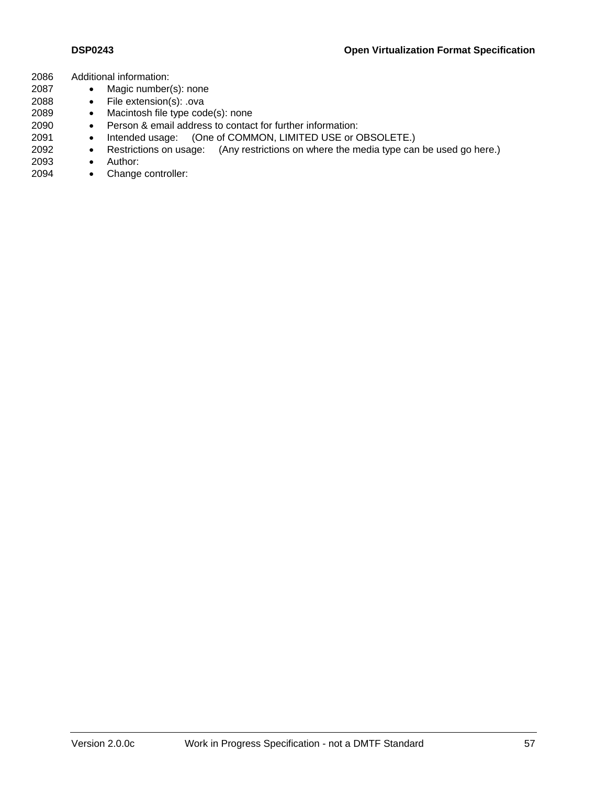- 2086 Additional information:
- 2087 Magic number(s): none
- 2088 File extension(s): .ova
- 2089 Macintosh file type code(s): none
- 2090 Person & email address to contact for further information:
- 2091 Intended usage: (One of COMMON, LIMITED USE or OBSOLETE.)
- 2092 Restrictions on usage: (Any restrictions on where the media type can be used go here.)
- 2093 Author:
- 2094 Change controller: